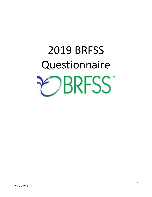# 2019 BRFSS **Questionnaire PRESS**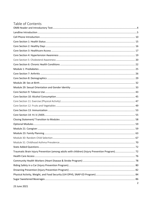## Table of Contents

| Traumatic Brain Injury Prevention (among adults with children) (Injury Prevention Program) 72 |  |
|-----------------------------------------------------------------------------------------------|--|
|                                                                                               |  |
|                                                                                               |  |
|                                                                                               |  |
|                                                                                               |  |
|                                                                                               |  |
|                                                                                               |  |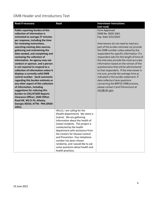<span id="page-3-0"></span>OMB Header and Introductory Text

| <b>Read if necessary</b>               | <b>Read</b>                        | <b>Interviewer instructions</b>           |
|----------------------------------------|------------------------------------|-------------------------------------------|
|                                        |                                    | (not read)                                |
| Public reporting burden of this        |                                    | Form Approved                             |
| collection of information is           |                                    | OMB No. 0920-1061                         |
| estimated to average 27 minutes        |                                    | Exp. Date 3/31/2021                       |
| per response, including the time       |                                    |                                           |
| for reviewing instructions,            |                                    | Interviewers do not need to read any      |
| searching existing data sources,       |                                    | part of the burden estimate nor provide   |
| gathering and maintaining the          |                                    | the OMB number unless asked by the        |
| data needed, and completing and        |                                    | respondent for specific information. If a |
| reviewing the collection of            |                                    | respondent asks for the length of time of |
| information. An agency may not         |                                    | the interview provide the most accurate   |
| conduct or sponsor, and a person       |                                    | information based on the version of the   |
| is not required to respond to a        |                                    | questionnaire that will be administered   |
| collection of information unless it    |                                    | to that respondent. If the interviewer is |
| displays a currently valid OMB         |                                    | not sure, provide the average time as     |
| control number. Send comments          |                                    | indicated in the burden statement. If     |
| regarding this burden estimate or      |                                    | data collectors have questions            |
| any other aspect of this collection    |                                    | concerning the BRFSS OMB process,         |
| of information, including              |                                    | please contact Carol Pierannunzi at       |
| suggestions for reducing this          |                                    | ivk7@cdc.gov.                             |
| burden to CDC/ATSDR Reports            |                                    |                                           |
| <b>Clearance Officer; 1600 Clifton</b> |                                    |                                           |
| Road NE, MS D-74, Atlanta,             |                                    |                                           |
| Georgia 30333; ATTN: PRA (0920-        |                                    |                                           |
| 1061).                                 |                                    |                                           |
|                                        | HELLO, I am calling for the        |                                           |
|                                        | (health department). My name is    |                                           |
|                                        | (name). We are gathering           |                                           |
|                                        | information about the health of    |                                           |
|                                        | (state) residents. This project is |                                           |
|                                        | conducted by the health            |                                           |
|                                        | department with assistance from    |                                           |
|                                        | the Centers for Disease Control    |                                           |
|                                        | and Prevention. Your telephone     |                                           |
|                                        | number has been chosen             |                                           |
|                                        | randomly, and I would like to ask  |                                           |
|                                        | some questions about health and    |                                           |
|                                        | health practices.                  |                                           |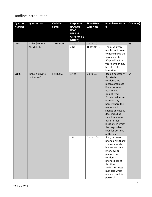## <span id="page-4-0"></span>Landline Introduction

| <b>Question</b><br><b>Number</b> | <b>Question text</b>            | <b>Variable</b><br>names | <b>Responses</b><br>(DO NOT<br><b>READ</b><br><b>UNLESS</b><br><b>OTHERWISE</b><br><b>NOTED)</b> | <b>SKIP INFO/</b><br><b>CATI Note</b> | <b>Interviewer Note</b><br>(s)                                                                                                                                                                                                                                                                                                                    | Column(s) |
|----------------------------------|---------------------------------|--------------------------|--------------------------------------------------------------------------------------------------|---------------------------------------|---------------------------------------------------------------------------------------------------------------------------------------------------------------------------------------------------------------------------------------------------------------------------------------------------------------------------------------------------|-----------|
| LL01.                            | Is this [PHONE<br>NUMBER]?      | CTELENM1                 | 1 Yes<br>$2$ No                                                                                  | Go to LL02<br><b>TERMINATE</b>        | Thank you very<br>much, but I seem<br>to have dialed the<br>wrong number.<br>It's possible that<br>your number may<br>be called at a<br>later time.                                                                                                                                                                                               | 63        |
| LL02.                            | Is this a private<br>residence? | PVTRESD1                 | 1 Yes                                                                                            | Go to LL04                            | Read if necessary:<br>By private<br>residence we<br>mean someplace<br>like a house or<br>apartment.<br>Do not read:<br>Private residence<br>includes any<br>home where the<br>respondent<br>spends at least 30<br>days including<br>vacation homes,<br>RVs or other<br>locations in which<br>the respondent<br>lives for portions<br>of the year. | 64        |
|                                  |                                 |                          | 2 No                                                                                             | Go to LL03                            | If no, business<br>phone only: thank<br>you very much<br>but we are only<br>interviewing<br>persons on<br>residential<br>phones lines at<br>this time.<br>NOTE: Business<br>numbers which<br>are also used for<br>personal                                                                                                                        |           |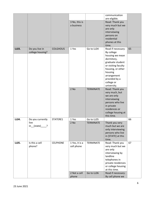|       |                                    |                 |                              |                  | communication                       |    |
|-------|------------------------------------|-----------------|------------------------------|------------------|-------------------------------------|----|
|       |                                    |                 |                              |                  | are eligible.                       |    |
|       |                                    |                 | 3 No, this is<br>a business  |                  | Read: Thank you<br>very much but we |    |
|       |                                    |                 |                              |                  | are only                            |    |
|       |                                    |                 |                              |                  | interviewing                        |    |
|       |                                    |                 |                              |                  | persons on                          |    |
|       |                                    |                 |                              |                  | residential                         |    |
|       |                                    |                 |                              |                  | phones at this                      |    |
|       |                                    |                 |                              |                  | time.                               |    |
| LL03. | Do you live in<br>college housing? | <b>COLGHOUS</b> | 1 Yes                        | Go to LL04       | Read if necessary:<br>By college    | 65 |
|       |                                    |                 |                              |                  | housing we mean                     |    |
|       |                                    |                 |                              |                  | dormitory,                          |    |
|       |                                    |                 |                              |                  | graduate student                    |    |
|       |                                    |                 |                              |                  | or visiting faculty                 |    |
|       |                                    |                 |                              |                  | housing, or other                   |    |
|       |                                    |                 |                              |                  | housing<br>arrangement              |    |
|       |                                    |                 |                              |                  | provided by a                       |    |
|       |                                    |                 |                              |                  | college or                          |    |
|       |                                    |                 |                              |                  | university.                         |    |
|       |                                    |                 | $2$ No                       | <b>TERMINATE</b> | Read: Thank you                     |    |
|       |                                    |                 |                              |                  | very much, but                      |    |
|       |                                    |                 |                              |                  | we are only                         |    |
|       |                                    |                 |                              |                  | interviewing                        |    |
|       |                                    |                 |                              |                  | persons who live                    |    |
|       |                                    |                 |                              |                  | in private                          |    |
|       |                                    |                 |                              |                  | residences or                       |    |
|       |                                    |                 |                              |                  | college housing at<br>this time.    |    |
| LL04. | Do you currently                   | STATERE1        | 1 Yes                        | Go to LL05       |                                     | 66 |
|       | live                               |                 | 2 No                         | <b>TERMINATE</b> | Thank you very                      |    |
|       | $in_{\text{1state}}$ ?             |                 |                              |                  | much but we are                     |    |
|       |                                    |                 |                              |                  | only interviewing                   |    |
|       |                                    |                 |                              |                  | persons who live                    |    |
|       |                                    |                 |                              |                  | in [STATE] at this                  |    |
|       | Is this a cell                     | <b>CELPHONE</b> |                              |                  | time.                               | 67 |
| LL05. | phone?                             |                 | 1 Yes, it is a<br>cell phone | <b>TERMINATE</b> | Read: Thank you<br>very much but we |    |
|       |                                    |                 |                              |                  | are only                            |    |
|       |                                    |                 |                              |                  | interviewing by                     |    |
|       |                                    |                 |                              |                  | landline                            |    |
|       |                                    |                 |                              |                  | telephones in                       |    |
|       |                                    |                 |                              |                  | private residences                  |    |
|       |                                    |                 |                              |                  | or college housing                  |    |
|       |                                    |                 |                              |                  | at this time.                       |    |
|       |                                    |                 | 2 Not a cell                 | Go to LL06       | Read if necessary:                  |    |
|       |                                    |                 | phone                        |                  | By cell phone we                    |    |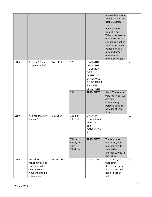|       |                                                                                                   |                |                                          |                                                                                                                                                       | mean a telephone<br>that is mobile and<br>usable outside<br>your<br>neighborhood.<br>Do not read:<br>Telephone service<br>over the internet<br>counts as landline<br>service (includes<br>Vonage, Magic<br>Jack and other<br>home-based<br>phone services). |       |
|-------|---------------------------------------------------------------------------------------------------|----------------|------------------------------------------|-------------------------------------------------------------------------------------------------------------------------------------------------------|-------------------------------------------------------------------------------------------------------------------------------------------------------------------------------------------------------------------------------------------------------------|-------|
| LL06. | Are you 18 years<br>of age or older?                                                              | LADULT1        | 1 Yes<br>2 No                            | [CATI NOTE:<br>IF COLLEGE<br>$HOUSING =$<br>"YES,"<br>CONTINUE;<br><b>OTHERWISE</b><br><b>GO TO ADULT</b><br>RANDOM<br>SELECTION]<br><b>TERMINATE</b> | Read: Thank you<br>very much but we<br>are only<br>interviewing<br>persons aged 18                                                                                                                                                                          | 68    |
|       |                                                                                                   |                |                                          |                                                                                                                                                       | or older at this<br>time.                                                                                                                                                                                                                                   |       |
| LL07. | Are you male or<br>female?                                                                        | <b>COLGSEX</b> | 1 Male<br>2 Female                       | ONLY for<br>respondents<br>who are LL<br>and<br>COLGHOUS=<br>1.                                                                                       |                                                                                                                                                                                                                                                             | 69    |
|       |                                                                                                   |                | 7 Don't<br>know/Not<br>sure<br>9 Refused | <b>TERMINATE</b>                                                                                                                                      | Thank you for<br>your time, your<br>number may be<br>selected for<br>another survey in<br>the future.                                                                                                                                                       |       |
| LL08. | I need to<br>randomly select<br>one adult who<br>lives in your<br>household to be<br>interviewed. | NUMADULT       | $\mathbf{1}$                             | Go to LL09                                                                                                                                            | Read: Are you<br>that adult?<br>If yes: Then you<br>are the person I<br>need to speak<br>with.                                                                                                                                                              | 70-71 |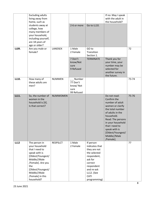|             | <b>Excluding adults</b><br>living away from<br>home, such as                                                                                                                                               |                 |                                                      |                                                                                                                                                                    | If no: May I speak<br>with the adult in<br>the household?                                                                                                                                                                                               |       |
|-------------|------------------------------------------------------------------------------------------------------------------------------------------------------------------------------------------------------------|-----------------|------------------------------------------------------|--------------------------------------------------------------------------------------------------------------------------------------------------------------------|---------------------------------------------------------------------------------------------------------------------------------------------------------------------------------------------------------------------------------------------------------|-------|
|             | students away at<br>college, how<br>many members of<br>your household,<br>including yourself,<br>are 18 years of<br>age or older?                                                                          |                 | 2-6 or more                                          | Go to LL10.                                                                                                                                                        |                                                                                                                                                                                                                                                         |       |
| LL09.       | Are you male or<br>female?                                                                                                                                                                                 | <b>LANDSEX</b>  | 1 Male<br>2 Female<br>7 Don't                        | GO to<br>Transition<br>Section 1.<br><b>TERMINATE</b>                                                                                                              | Thank you for                                                                                                                                                                                                                                           | 72    |
|             |                                                                                                                                                                                                            |                 | know/Not<br>sure<br>9 Refused                        |                                                                                                                                                                    | your time, your<br>number may be<br>selected for<br>another survey in<br>the future.                                                                                                                                                                    |       |
| LL10.       | How many of<br>these adults are<br>men?                                                                                                                                                                    | <b>NUMMEN</b>   | Number<br>77 Don't<br>know/Not<br>sure<br>99 Refused |                                                                                                                                                                    |                                                                                                                                                                                                                                                         | 73-74 |
| LL11.       | So, the number of<br>women in the<br>household is [X].<br>Is that correct?                                                                                                                                 | <b>NUMWOMEN</b> |                                                      |                                                                                                                                                                    | Do not read:<br>Confirm the<br>number of adult<br>women or clarify<br>the total number<br>of adults in the<br>household.<br>Read: The persons<br>in your household<br>that I need to<br>speak with is<br>[Oldest/Youngest/<br>Middle//Male<br>/Female]. | 75-76 |
| <b>LL12</b> | The person in<br>your household<br>that I need to<br>speak with is<br>[Oldest/Youngest/<br>Middle//Male<br>/Female]. Are you<br>the<br>[Oldest/Youngest/<br>Middle//Male<br>/Female] in this<br>household? | <b>RESPSLCT</b> | 1 Male<br>2 Female                                   | If person<br>indicates that<br>they are not<br>the selected<br>respondent,<br>ask for<br>correct<br>respondent<br>and re-ask<br>LL12. (See<br>CATI<br>programming) |                                                                                                                                                                                                                                                         | 77    |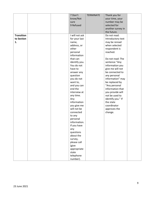|                   |  | 7 Don't                        | <b>TERMINATE</b> | Thank you for     |  |
|-------------------|--|--------------------------------|------------------|-------------------|--|
|                   |  | know/Not                       |                  | your time, your   |  |
|                   |  | sure                           |                  | number may be     |  |
|                   |  | 9 Refused                      |                  | selected for      |  |
|                   |  |                                |                  | another survey in |  |
|                   |  |                                |                  | the future.       |  |
| <b>Transition</b> |  | I will not ask                 |                  | Do not read:      |  |
| to Section        |  | for your last                  |                  | Introductory text |  |
| 1.                |  | name,                          |                  | may be reread     |  |
|                   |  | address, or                    |                  | when selected     |  |
|                   |  | other                          |                  | respondent is     |  |
|                   |  | personal                       |                  | reached.          |  |
|                   |  | information                    |                  |                   |  |
|                   |  | that can                       |                  | Do not read: The  |  |
|                   |  | identify you.                  |                  | sentence "Any     |  |
|                   |  | You do not                     |                  | information you   |  |
|                   |  | have to                        |                  | give me will not  |  |
|                   |  | answer any                     |                  | be connected to   |  |
|                   |  | question                       |                  | any personal      |  |
|                   |  | you do not                     |                  | information" may  |  |
|                   |  | want to,                       |                  | be replaced by    |  |
|                   |  | and you can                    |                  | "Any personal     |  |
|                   |  | end the                        |                  | information that  |  |
|                   |  | interview at                   |                  | you provide will  |  |
|                   |  | any time.                      |                  | not be used to    |  |
|                   |  | Any                            |                  | identify you." If |  |
|                   |  | information                    |                  | the state         |  |
|                   |  | you give me                    |                  | coordinator       |  |
|                   |  | will not be                    |                  | approves the      |  |
|                   |  | connected                      |                  | change.           |  |
|                   |  | to any                         |                  |                   |  |
|                   |  | personal                       |                  |                   |  |
|                   |  | information.                   |                  |                   |  |
|                   |  | If you have                    |                  |                   |  |
|                   |  | any                            |                  |                   |  |
|                   |  | questions                      |                  |                   |  |
|                   |  | about the                      |                  |                   |  |
|                   |  | survey,                        |                  |                   |  |
|                   |  | please call                    |                  |                   |  |
|                   |  | (give                          |                  |                   |  |
|                   |  | appropriate                    |                  |                   |  |
|                   |  |                                |                  |                   |  |
|                   |  |                                |                  |                   |  |
|                   |  |                                |                  |                   |  |
|                   |  | state<br>telephone<br>number). |                  |                   |  |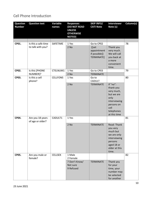## <span id="page-9-0"></span>Cell Phone Introduction

| <b>Question</b><br><b>Number</b> | <b>Question text</b>                     | <b>Variable</b><br>names | <b>Responses</b><br><b>(DO NOT READ</b><br><b>UNLESS</b><br><b>OTHERWISE</b><br><b>NOTED)</b> | <b>SKIP INFO/</b><br><b>CATI Note</b>                             | <b>Interviewer</b><br>Note (s)                                                                                                | Column(s) |
|----------------------------------|------------------------------------------|--------------------------|-----------------------------------------------------------------------------------------------|-------------------------------------------------------------------|-------------------------------------------------------------------------------------------------------------------------------|-----------|
|                                  |                                          |                          |                                                                                               |                                                                   |                                                                                                                               |           |
| CP01.                            | Is this a safe time<br>to talk with you? | SAFETIME                 | 1 Yes<br>2 No                                                                                 | Go to CP02<br>([set<br>appointment<br>if possible])<br>TERMINATE] | Thank you<br>very much.<br>We will call<br>you back at<br>a more<br>convenient<br>time.                                       | 78        |
| CP02.                            | Is this [PHONE<br>NUMBER]?               | CTELNUM1                 | 1 Yes<br>2 No                                                                                 | Go to CP03<br><b>TERMINATE</b>                                    |                                                                                                                               | 79        |
| CP03.                            | Is this a cell<br>phone?                 | CELLFON5                 | 1 Yes<br>2 No                                                                                 | Go to<br><b>CADULT</b><br><b>TERMINATE</b>                        | If "no":<br>thank you<br>very much,<br>but we are<br>only<br>interviewing<br>persons on<br>cell<br>telephones<br>at this time | 80        |
| CP04.                            | Are you 18 years<br>of age or older?     | CADULT1                  | 1 Yes<br>2 No                                                                                 | <b>TERMINATE</b>                                                  | Read: Thank<br>you very<br>much but<br>we are only<br>interviewing<br>persons<br>aged 18 or<br>older at this<br>time.         | 81        |
| CP05.                            | Are you male or<br>female?               | <b>CELLSEX</b>           | 1 Male<br>2 Female<br>7 Don't Know/<br>Not sure<br>9 Refused                                  | <b>TERMINATE</b>                                                  | Thank you<br>for your<br>time, your<br>number may<br>be selected<br>for another                                               | 82        |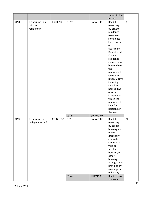|       |                                           |                 |               |                                | survey in the                                                                                                                                                                                                                                     |    |
|-------|-------------------------------------------|-----------------|---------------|--------------------------------|---------------------------------------------------------------------------------------------------------------------------------------------------------------------------------------------------------------------------------------------------|----|
|       |                                           |                 |               |                                | future.                                                                                                                                                                                                                                           |    |
| CP06. | Do you live in a<br>private<br>residence? | PVTRESD3        | 1 Yes         | Go to CP08                     | Read if<br>necessary:<br>By private<br>residence<br>we mean<br>someplace<br>like a house<br>or<br>apartment<br>Do not read:<br>Private<br>residence<br>includes any<br>home where<br>the<br>respondent<br>spends at<br>least 30 days<br>including | 83 |
|       |                                           |                 |               |                                | vacation<br>homes, RVs<br>or other<br>locations in<br>which the<br>respondent<br>lives for<br>portions of                                                                                                                                         |    |
|       |                                           |                 |               |                                | the year.                                                                                                                                                                                                                                         |    |
|       |                                           |                 | 2 No          | Go to CP07                     |                                                                                                                                                                                                                                                   |    |
| CP07. | Do you live in<br>college housing?        | <b>CCLGHOUS</b> | 1 Yes<br>2 No | Go to CP08<br><b>TERMINATE</b> | Read if<br>necessary:<br>By college<br>housing we<br>mean<br>dormitory,<br>graduate<br>student or<br>visiting<br>faculty<br>housing, or<br>other<br>housing<br>arrangement<br>provided by<br>a college or<br>university.<br>Read: Thank           | 84 |
|       |                                           |                 |               |                                | you very                                                                                                                                                                                                                                          |    |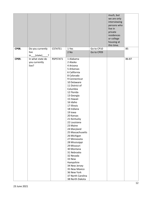|              |                                                                 |          |                                                                                                                                                                                                                                                                                                                                                                                                                                                                                                                                                                |                          | much, but<br>we are only<br>interviewing<br>persons who<br>live in<br>private<br>residences<br>or college<br>housing at<br>this time. |       |
|--------------|-----------------------------------------------------------------|----------|----------------------------------------------------------------------------------------------------------------------------------------------------------------------------------------------------------------------------------------------------------------------------------------------------------------------------------------------------------------------------------------------------------------------------------------------------------------------------------------------------------------------------------------------------------------|--------------------------|---------------------------------------------------------------------------------------------------------------------------------------|-------|
| <b>CP08.</b> | Do you currently<br>live<br>(state)<br>$\overline{\cdot}$<br>in | CSTATE1  | 1 Yes<br>2 No                                                                                                                                                                                                                                                                                                                                                                                                                                                                                                                                                  | Go to CP10<br>Go to CP09 |                                                                                                                                       | 85    |
| CP09.        | In what state do<br>you currently<br>live?                      | RSPSTAT1 | 1 Alabama<br>2 Alaska<br>4 Arizona<br>5 Arkansas<br>6 California<br>8 Colorado<br>9 Connecticut<br>10 Delaware<br>11 District of<br>Columbia<br>12 Florida<br>13 Georgia<br>15 Hawaii<br>16 Idaho<br>17 Illinois<br>18 Indiana<br>19 Iowa<br>20 Kansas<br>21 Kentucky<br>22 Louisiana<br>23 Maine<br>24 Maryland<br>25 Massachusetts<br>26 Michigan<br>27 Minnesota<br>28 Mississippi<br>29 Missouri<br>30 Montana<br>31 Nebraska<br>32 Nevada<br>33 New<br>Hampshire<br>34 New Jersey<br>35 New Mexico<br>36 New York<br>37 North Carolina<br>38 North Dakota |                          |                                                                                                                                       | 86-87 |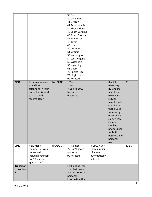|                                       |                                                                                                           |                 | 39 Ohio<br>40 Oklahoma<br>41 Oregon<br>42 Pennsylvania<br>44 Rhode Island<br>45 South Carolina<br>46 South Dakota<br>47 Tennessee<br>48 Texas<br>49 Utah<br>50 Vermont<br>51 Virginia<br>53 Washington<br>54 West Virginia<br>55 Wisconsin<br>56 Wyoming<br>66 Guam<br>72 Puerto Rico<br>78 Virgin Islands<br>99 Refused |                                                                               |                                                                                                                                                                                                                                                              |       |
|---------------------------------------|-----------------------------------------------------------------------------------------------------------|-----------------|--------------------------------------------------------------------------------------------------------------------------------------------------------------------------------------------------------------------------------------------------------------------------------------------------------------------------|-------------------------------------------------------------------------------|--------------------------------------------------------------------------------------------------------------------------------------------------------------------------------------------------------------------------------------------------------------|-------|
| CP10.                                 | Do you also have<br>a landline<br>telephone in your<br>home that is used<br>to make and<br>receive calls? | <b>LANDLINE</b> | 1 Yes<br>2 No<br>7 Don't know/<br>Not sure<br>9 Refused                                                                                                                                                                                                                                                                  |                                                                               | Read if<br>necessary:<br>By landline<br>telephone,<br>we mean a<br>regular<br>telephone in<br>your home<br>that is used<br>for making<br>or receiving<br>calls. Please<br>include<br>landline<br>phones used<br>for both<br>business and<br>personal<br>use. | 88    |
| CP11.                                 | How many<br>members of your<br>household,<br>including yourself,<br>are 18 years of<br>age or older?      | <b>HHADULT</b>  | $\overline{a}$ Number<br>77 Don't know/<br>Not sure<br>99 Refused                                                                                                                                                                                                                                                        | If $CPO7 = yes$ ,<br>then number<br>of adults is<br>automatically<br>set to 1 |                                                                                                                                                                                                                                                              | 89-90 |
| <b>Transition</b><br>to section<br>1. |                                                                                                           |                 | I will not ask for<br>your last name,<br>address, or other<br>personal<br>information that                                                                                                                                                                                                                               |                                                                               |                                                                                                                                                                                                                                                              |       |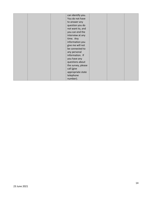|  | can identify you.  |  |  |
|--|--------------------|--|--|
|  | You do not have    |  |  |
|  | to answer any      |  |  |
|  | question you do    |  |  |
|  | not want to, and   |  |  |
|  | you can end the    |  |  |
|  | interview at any   |  |  |
|  | time. Any          |  |  |
|  | information you    |  |  |
|  | give me will not   |  |  |
|  | be connected to    |  |  |
|  | any personal       |  |  |
|  | information. If    |  |  |
|  | you have any       |  |  |
|  | questions about    |  |  |
|  | the survey, please |  |  |
|  | call (give         |  |  |
|  | appropriate state  |  |  |
|  | telephone          |  |  |
|  | number).           |  |  |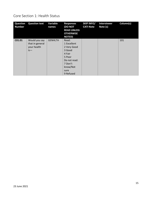### <span id="page-14-0"></span>Core Section 1: Health Status

| <b>Question</b><br><b>Number</b> | <b>Question text</b>                                     | Variable<br>names | <b>Responses</b><br><b>(DO NOT</b><br><b>READ UNLESS</b><br><b>OTHERWISE</b><br><b>NOTED)</b>                                 | <b>SKIP INFO/</b><br><b>CATI Note</b> | <b>Interviewer</b><br>Note (s) | Column(s) |
|----------------------------------|----------------------------------------------------------|-------------------|-------------------------------------------------------------------------------------------------------------------------------|---------------------------------------|--------------------------------|-----------|
| C01.01                           | Would you say<br>that in general<br>your health<br>$is-$ | <b>GENHLTH</b>    | Read:<br>1 Excellent<br>2 Very Good<br>3 Good<br>4 Fair<br>5 Poor<br>Do not read:<br>7 Don't<br>know/Not<br>sure<br>9 Refused |                                       |                                | 101       |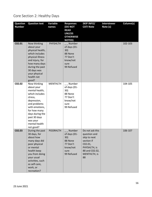# <span id="page-15-0"></span>Core Section 2: Healthy Days

| <b>Question</b><br><b>Number</b> | <b>Question text</b>                                                                                                                                                                                                    | Variable<br>names | <b>Responses</b><br><b>(DO NOT</b><br><b>READ</b><br><b>UNLESS</b><br><b>OTHERWISE</b><br><b>NOTED)</b> | <b>SKIP INFO/</b><br><b>CATI Note</b>                                                                                                       | <b>Interviewer</b><br>Note (s) | Column(s) |
|----------------------------------|-------------------------------------------------------------------------------------------------------------------------------------------------------------------------------------------------------------------------|-------------------|---------------------------------------------------------------------------------------------------------|---------------------------------------------------------------------------------------------------------------------------------------------|--------------------------------|-----------|
| C02.01                           | Now thinking<br>about your<br>physical health,<br>which includes<br>physical illness<br>and injury, for<br>how many days<br>during the past<br>30 days was<br>your physical<br>health not<br>good?                      | <b>PHYSHLTH</b>   | Number<br>of days (01-<br>30)<br>88 None<br>77 Don't<br>know/not<br>sure<br>99 Refused                  |                                                                                                                                             |                                | 102-103   |
| C02.02                           | Now thinking<br>about your<br>mental health,<br>which includes<br>stress,<br>depression,<br>and problems<br>with emotions,<br>for how many<br>days during the<br>past 30 days<br>was your<br>mental health<br>not good? | <b>MENTHLTH</b>   | __ Number<br>of days (01-<br>30)<br>88 None<br>77 Don't<br>know/not<br>sure<br>99 Refused               |                                                                                                                                             |                                | 104-105   |
| C02.03                           | During the past<br>30 days, for<br>about how<br>many days did<br>poor physical<br>or mental<br>health keep<br>you from doing<br>your usual<br>activities, such<br>as self-care,<br>work, or<br>recreation?              | <b>POORHLTH</b>   | Number<br>of days (01-<br>30)<br>88 None<br>77 Don't<br>know/not<br>sure<br>99 Refused                  | Do not ask this<br>question and<br>skip to next<br>section if<br>CO <sub>2.01</sub><br>PHYSHLTH, is<br>88 and C02.02,<br>MENTHLTH, is<br>88 |                                | 106-107   |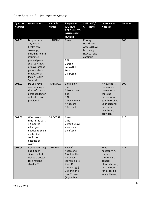<span id="page-16-0"></span>Core Section 3: Healthcare Access

| <b>Question</b><br><b>Number</b> | <b>Question text</b>                                                                                                          | Variable<br>names | <b>Responses</b><br>(DO NOT<br><b>READ UNLESS</b><br><b>OTHERWISE</b>                                                                        | <b>SKIP INFO/</b><br><b>CATI Note</b>                                              | <b>Interviewer</b><br>Note (s)                                                                                                                          | Column(s) |
|----------------------------------|-------------------------------------------------------------------------------------------------------------------------------|-------------------|----------------------------------------------------------------------------------------------------------------------------------------------|------------------------------------------------------------------------------------|---------------------------------------------------------------------------------------------------------------------------------------------------------|-----------|
| C03.01                           | Do you have<br>any kind of<br>health care<br>coverage,<br>including health<br>insurance,<br>prepaid plans                     | HLTHPLN1          | <b>NOTED)</b><br>1 Yes<br>2 No                                                                                                               | If using<br>Healthcare<br>Access (HCA)<br>Module go to<br>HCA.01, else<br>continue |                                                                                                                                                         | 108       |
|                                  | such as HMOs,<br>or government<br>plans such as<br>Medicare, or<br><b>Indian Health</b><br>Service?                           |                   | 7 Don't<br>know/Not<br>Sure<br>9 Refused                                                                                                     |                                                                                    |                                                                                                                                                         |           |
| C03.02                           | Do you have<br>one person you<br>think of as your<br>personal doctor<br>or health care<br>provider?                           | PERSDOC2          | 1 Yes, only<br>one<br>2 More than<br>one<br>3 No<br>7 Don't know<br>/ Not sure<br>9 Refused                                                  |                                                                                    | If No, read: Is<br>there more<br>than one, or is<br>there no<br>person who<br>you think of as<br>your personal<br>doctor or<br>health care<br>provider? | 109       |
| C03.03                           | Was there a<br>time in the past<br>12 months<br>when you<br>needed to see a<br>doctor but<br>could not<br>because of<br>cost? | <b>MEDCOST</b>    | 1 Yes<br>2 No<br>7 Don't know<br>/ Not sure<br>9 Refused                                                                                     |                                                                                    |                                                                                                                                                         | 110       |
| C03.04                           | About how long<br>has it been<br>since you last<br>visited a doctor<br>for a routine<br>checkup?                              | CHECKUP1          | Read if<br>necessary:<br>1 Within the<br>past year<br>(anytime less<br>than 12<br>months ago)<br>2 Within the<br>past 2 years<br>(1 year but |                                                                                    | Read if<br>necessary: A<br>routine<br>checkup is a<br>general<br>physical exam,<br>not an exam<br>for a specific<br>injury, illness,                    | 111       |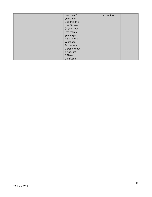|  | less than 2  | or condition. |  |
|--|--------------|---------------|--|
|  | years ago)   |               |  |
|  | 3 Within the |               |  |
|  | past 5 years |               |  |
|  | (2 years but |               |  |
|  | less than 5  |               |  |
|  | years ago)   |               |  |
|  | 45 or more   |               |  |
|  | years ago    |               |  |
|  | Do not read: |               |  |
|  | 7 Don't know |               |  |
|  | / Not sure   |               |  |
|  | 8 Never      |               |  |
|  | 9 Refused    |               |  |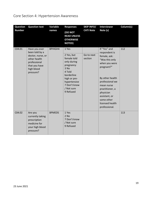# <span id="page-18-0"></span>Core Section 4: Hypertension Awareness

| <b>Question</b><br><b>Number</b> | <b>Question text</b>                                                                                                             | Variable<br>names | <b>Responses</b><br>(DO NOT<br><b>READ UNLESS</b><br><b>OTHERWISE</b><br><b>NOTED)</b>                                                                                    | <b>SKIP INFO/</b><br><b>CATI Note</b> | <b>Interviewer</b><br>Note (s)                                                                                                                                                                                                                        | Column(s) |
|----------------------------------|----------------------------------------------------------------------------------------------------------------------------------|-------------------|---------------------------------------------------------------------------------------------------------------------------------------------------------------------------|---------------------------------------|-------------------------------------------------------------------------------------------------------------------------------------------------------------------------------------------------------------------------------------------------------|-----------|
| C04.01                           | Have you ever<br>been told by a<br>doctor, nurse, or<br>other health<br>professional<br>that you have<br>high blood<br>pressure? | <b>BPHIGH4</b>    | 1 Yes<br>2 Yes, but<br>female told<br>only during<br>pregnancy<br>3 No<br>4 Told<br>borderline<br>high or pre-<br>hypertensive<br>7 Don't know<br>/ Not sure<br>9 Refused | Go to next<br>section                 | If "Yes" and<br>respondent is<br>female, ask:<br>"Was this only<br>when you were<br>pregnant?"<br>By other health<br>professional we<br>mean nurse<br>practitioner, a<br>physician<br>assistant, or<br>some other<br>licensed health<br>professional. | 112       |
| C04.02                           | Are you<br>currently taking<br>prescription<br>medicine for<br>your high blood<br>pressure?                                      | <b>BPMEDS</b>     | 1 Yes<br>2 No<br>7 Don't know<br>/ Not sure<br>9 Refused                                                                                                                  |                                       |                                                                                                                                                                                                                                                       | 113       |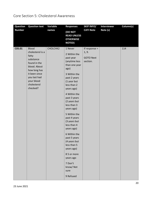## <span id="page-19-0"></span>Core Section 5: Cholesterol Awareness

| <b>Question</b> | <b>Question text</b>                                                                                                                                                             | Variable | <b>Responses</b>                                                                                                                                                                                                                                                                                                                                                                                                                                                         | <b>SKIP INFO/</b>                                        | <b>Interviewer</b> | Column(s) |
|-----------------|----------------------------------------------------------------------------------------------------------------------------------------------------------------------------------|----------|--------------------------------------------------------------------------------------------------------------------------------------------------------------------------------------------------------------------------------------------------------------------------------------------------------------------------------------------------------------------------------------------------------------------------------------------------------------------------|----------------------------------------------------------|--------------------|-----------|
| <b>Number</b>   |                                                                                                                                                                                  | names    | <b>(DO NOT</b><br><b>READ UNLESS</b><br><b>OTHERWISE</b><br><b>NOTED)</b>                                                                                                                                                                                                                                                                                                                                                                                                | <b>CATI Note</b>                                         | Note (s)           |           |
| C05.01          | <b>Blood</b><br>cholesterol is a<br>fatty<br>substance<br>found in the<br>blood. About<br>how long has<br>it been since<br>you last had<br>your blood<br>cholesterol<br>checked? | CHOLCHK2 | 1 Never<br>2 Within the<br>past year<br>(anytime less<br>than one year<br>ago)<br>3 Within the<br>past 2 years<br>(1 year but<br>less than 2<br>years ago)<br>4 Within the<br>past 3 years<br>(2 years but<br>less than 3<br>years ago)<br>5 Within the<br>past 4 years<br>(3 years but<br>less than 4<br>years ago)<br>6 Within the<br>past 5 years<br>(4 years but<br>less than 5<br>years ago)<br>85 or more<br>years ago<br>7 Don't<br>know/Not<br>sure<br>9 Refused | If response $=$<br>1, 9.<br><b>GOTO Next</b><br>section. |                    | 114       |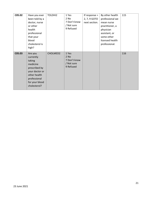| C05.02 | Have you ever<br>been told by a<br>doctor, nurse<br>or other<br>health<br>professional<br>that your<br>blood<br>cholesterol is<br>high?         | TOLDHI2  | 1 Yes<br>2 No<br>7 Don't know<br>/ Not sure<br>9 Refused   | If response $=$<br>2, 7, 9 GOTO<br>next section. | By other health<br>professional we<br>mean nurse<br>practitioner, a<br>physician<br>assistant, or<br>some other<br>licensed health<br>professional. | 115 |
|--------|-------------------------------------------------------------------------------------------------------------------------------------------------|----------|------------------------------------------------------------|--------------------------------------------------|-----------------------------------------------------------------------------------------------------------------------------------------------------|-----|
| C05.03 | Are you<br>currently<br>taking<br>medicine<br>prescribed by<br>your doctor or<br>other health<br>professional<br>for your blood<br>cholesterol? | CHOLMED2 | 1 Yes<br>$2$ No<br>7 Don't know<br>/ Not sure<br>9 Refused |                                                  |                                                                                                                                                     | 116 |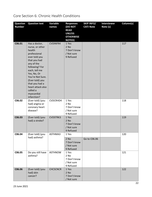### <span id="page-21-0"></span>Core Section 6: Chronic Health Conditions

| <b>Question</b><br><b>Number</b> | <b>Question text</b>                                                                                                                                                                                                                                                               | Variable<br>names | <b>Responses</b><br>(DO NOT<br><b>READ</b><br><b>UNLESS</b><br><b>OTHERWISE</b><br><b>NOTED)</b> | <b>SKIP INFO/</b><br><b>CATI Note</b> | <b>Interviewer</b><br>Note (s) | Column(s) |
|----------------------------------|------------------------------------------------------------------------------------------------------------------------------------------------------------------------------------------------------------------------------------------------------------------------------------|-------------------|--------------------------------------------------------------------------------------------------|---------------------------------------|--------------------------------|-----------|
| C06.01                           | Has a doctor,<br>nurse, or other<br>health<br>professional<br>ever told you<br>that you had<br>any of the<br>following? For<br>each, tell me<br>Yes, No, Or<br>You're Not Sure.<br>(Ever told) you<br>that you had a<br>heart attack also<br>called a<br>myocardial<br>infarction? | <b>CVDINFR4</b>   | 1 Yes<br>2 No<br>7 Don't know<br>/ Not sure<br>9 Refused                                         |                                       |                                | 117       |
| C06.02                           | (Ever told) (you<br>had) angina or<br>coronary heart<br>disease?                                                                                                                                                                                                                   | CVDCRHD4          | 1 Yes<br>2 No<br>7 Don't know<br>/ Not sure<br>9 Refused                                         |                                       |                                | 118       |
| C06.03                           | (Ever told) (you<br>had) a stroke?                                                                                                                                                                                                                                                 | CVDSTRK3          | 1 Yes<br>$2$ No<br>7 Don't know<br>/ Not sure<br>9 Refused                                       |                                       |                                | 119       |
| C06.04                           | (Ever told) (you<br>had) asthma?                                                                                                                                                                                                                                                   | ASTHMA3           | 1 Yes<br>2 No<br>7 Don't know<br>/ Not sure<br>9 Refused                                         | Go to C06.06                          |                                | 120       |
| C06.05                           | Do you still have<br>asthma?                                                                                                                                                                                                                                                       | <b>ASTHNOW</b>    | 1 Yes<br>2 No<br>7 Don't know<br>/ Not sure<br>9 Refused                                         |                                       |                                | 121       |
| C06.06                           | (Ever told) (you<br>had) skin<br>cancer?                                                                                                                                                                                                                                           | <b>CHCSCNCR</b>   | 1 Yes<br>2 No<br>7 Don't know<br>/ Not sure                                                      |                                       |                                | 122       |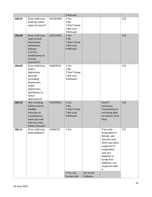|        |                                                                                                                                                     |                 | 9 Refused                                                |                               |                                                                                                                                                                                               |     |
|--------|-----------------------------------------------------------------------------------------------------------------------------------------------------|-----------------|----------------------------------------------------------|-------------------------------|-----------------------------------------------------------------------------------------------------------------------------------------------------------------------------------------------|-----|
| C06.07 | (Ever told) (you<br>had) any other<br>types of cancer?                                                                                              | <b>CHCOCNCR</b> | 1 Yes<br>2 No<br>7 Don't know<br>/ Not sure<br>9 Refused |                               |                                                                                                                                                                                               | 123 |
| C06.08 | (Ever told) (you<br>had) chronic<br>obstructive<br>pulmonary<br>disease,<br>C. O. P. D.,<br>emphysema or<br>chronic<br>bronchitis?                  | CHCCOPD1        | 1 Yes<br>2 No<br>7 Don't know<br>/ Not sure<br>9 Refused |                               |                                                                                                                                                                                               | 124 |
| C06.09 | (Ever told) (you<br>had) a<br>depressive<br>disorder<br>(including<br>depression,<br>major<br>depression,<br>dysthymia, or<br>minor<br>depression)? | ADDEPEV2        | 1 Yes<br>2 No<br>7 Don't know<br>/ Not sure<br>9 Refused |                               |                                                                                                                                                                                               | 125 |
| C06.10 | Not including<br>kidney stones,<br>bladder<br>infection or<br>incontinence,<br>were you ever<br>told you have<br>kidney disease?                    | CHCKDNY2        | 1 Yes<br>2 No<br>7 Don't know<br>/ Not sure<br>9 Refused |                               | Read if<br>necessary:<br>Incontinence is<br>not being able<br>to control urine<br>flow.                                                                                                       | 126 |
| C06.11 | (Ever told) (you<br>had) diabetes?                                                                                                                  | DIABETE3        | 1 Yes<br>2 Yes, but<br>female told                       | Go to Pre-<br><b>Diabetes</b> | If yes and<br>respondent is<br>female, ask:<br>was this only<br>when you were<br>pregnant? If<br>respondent<br>says pre-<br>diabetes or<br>borderline<br>diabetes, use<br>response code<br>4. | 127 |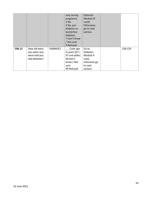|        |               |          | only during      | Optional        |         |
|--------|---------------|----------|------------------|-----------------|---------|
|        |               |          | pregnancy        | Module (if      |         |
|        |               |          | 3 No             | used).          |         |
|        |               |          | 4 No, pre-       | Otherwise,      |         |
|        |               |          | diabetes or      | go to next      |         |
|        |               |          | borderline       | section.        |         |
|        |               |          | diabetes         |                 |         |
|        |               |          | 7 Don't know     |                 |         |
|        |               |          | / Not sure       |                 |         |
|        |               |          | 9 Refused        |                 |         |
| C06.12 | How old were  | DIABAGE2 | Code age         | Go to           | 128-129 |
|        | you when you  |          | in years $[97 =$ | <b>Diabetes</b> |         |
|        | were told you |          | 97 and older]    | Module if       |         |
|        | had diabetes? |          | 98 Don't         | used,           |         |
|        |               |          | know / Not       | otherwise go    |         |
|        |               |          | sure             | to next         |         |
|        |               |          | 99 Refused       | section.        |         |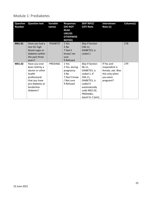### <span id="page-24-0"></span>Module 1: Prediabetes

| <b>Question</b><br><b>Number</b> | <b>Question text</b>                                                                                                                        | Variable<br>names | <b>Responses</b><br><b>(DO NOT</b><br><b>READ</b><br><b>UNLESS</b><br><b>OTHERWISE</b><br><b>NOTED)</b> | <b>SKIP INFO/</b><br><b>CATI Note</b>                                                                                                                             | <b>Interviewer</b><br>Note (s)                                                             | Column(s) |
|----------------------------------|---------------------------------------------------------------------------------------------------------------------------------------------|-------------------|---------------------------------------------------------------------------------------------------------|-------------------------------------------------------------------------------------------------------------------------------------------------------------------|--------------------------------------------------------------------------------------------|-----------|
| M01.01                           | Have you had a<br>test for high<br>blood sugar or<br>diabetes within<br>the past three<br>years?                                            | <b>PDIABTST</b>   | 1 Yes<br>2 No<br>7 Don't<br>know/not<br>sure<br>9 Refused                                               | Skip if Section<br>C06.11,<br>DIABETE3, is<br>coded 1                                                                                                             |                                                                                            | 278       |
| M01.02                           | Have you ever<br>been told by a<br>doctor or other<br>health<br>professional<br>that you have<br>pre-diabetes or<br>borderline<br>diabetes? | PREDIAB1          | 1 Yes<br>2 Yes, during<br>pregnancy<br>3 No<br>7 Don't know<br>/ Not sure<br>9 Refused                  | Skip if Section<br>06.11,<br>DIABETE3, is<br>coded 1; If<br>C06.11,<br>DIABETE3, is<br>coded 4<br>automatically<br>code M01.02,<br>PREDIAB1,<br>equal to 1 (yes); | If Yes and<br>respondent is<br>female, ask: Was<br>this only when<br>you were<br>pregnant? | 279       |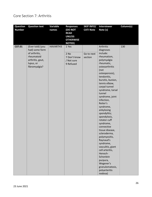#### <span id="page-25-0"></span>Core Section 7: Arthritis

| <b>Question</b><br><b>Number</b> | <b>Question text</b>                                                                                                | Variable<br>names | <b>Responses</b><br>(DO NOT<br><b>READ</b><br><b>UNLESS</b><br><b>OTHERWISE</b><br><b>NOTED)</b> | <b>SKIP INFO/</b><br><b>CATI Note</b> | <b>Interviewer</b><br>Note (s)                                                                                                                                                                                                                                                                                                                                                                                                                                                                                                                                                                          | Column(s) |
|----------------------------------|---------------------------------------------------------------------------------------------------------------------|-------------------|--------------------------------------------------------------------------------------------------|---------------------------------------|---------------------------------------------------------------------------------------------------------------------------------------------------------------------------------------------------------------------------------------------------------------------------------------------------------------------------------------------------------------------------------------------------------------------------------------------------------------------------------------------------------------------------------------------------------------------------------------------------------|-----------|
| C07.01                           | (Ever told) (you<br>had) some form<br>of arthritis,<br>rheumatoid<br>arthritis, gout,<br>lupus, or<br>fibromyalgia? | HAVARTH3          | 1 Yes<br>2 No<br>7 Don't know<br>/ Not sure<br>9 Refused                                         | Go to next<br>section                 | Arthritis<br>diagnoses<br>include:<br>rheumatism,<br>polymyalgia<br>rheumatic,<br>osteoarthritis<br>(not<br>osteoporosis),<br>tendonitis,<br>bursitis, bunion,<br>tennis elbow,<br>carpal tunnel<br>syndrome, tarsal<br>tunnel<br>syndrome, joint<br>infection,<br>Reiter's<br>syndrome,<br>ankylosing<br>spondylitis;<br>spondylosis,<br>rotator cuff<br>syndrome,<br>connective<br>tissue disease,<br>scleroderma,<br>polymyositis,<br>Raynaud's<br>syndrome,<br>vasculitis, giant<br>cell arteritis,<br>Henoch-<br>Schonlein<br>purpura,<br>Wegener's<br>granulomatosis,<br>polyarteritis<br>nodosa) | 130       |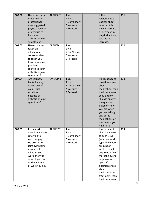| C07.02 | Has a doctor or<br>other health<br>professional<br>ever suggested<br>physical activity<br>or exercise to<br>help your<br>arthritis or joint<br>symptoms?                                                   | <b>ARTHEXER</b> | 1 Yes<br>$2$ No<br>7 Don't know<br>/ Not sure<br>9 Refused | If the<br>respondent is<br>unclear about<br>whether this<br>means increase<br>or decrease in<br>physical activity,<br>this means<br>increase.                                                                                                                                       | 131 |
|--------|------------------------------------------------------------------------------------------------------------------------------------------------------------------------------------------------------------|-----------------|------------------------------------------------------------|-------------------------------------------------------------------------------------------------------------------------------------------------------------------------------------------------------------------------------------------------------------------------------------|-----|
| C07.03 | Have you ever<br>taken an<br>educational<br>course or class<br>to teach you<br>how to manage<br>problems<br>related to your<br>arthritis or joint<br>symptoms?                                             | ARTHEDU         | 1 Yes<br>2 No<br>7 Don't know<br>/ Not sure<br>9 Refused   |                                                                                                                                                                                                                                                                                     | 132 |
| C07.04 | Are you now<br>limited in any<br>way in any of<br>your usual<br>activities<br>because of<br>arthritis or joint<br>symptoms?                                                                                | LMTJOIN3        | 1 Yes<br>$2$ No<br>7 Don't know<br>/ Not sure<br>9 Refused | If a respondent<br>question arises<br>about<br>medication, then<br>the interviewer<br>should reply:<br>"Please answer<br>the question<br>based on how<br>you are when<br>you are taking<br>any of the<br>medications or<br>treatments you<br>might use                              | 133 |
| C07.05 | In the next<br>question, we are<br>referring to<br>work for pay.<br>Do arthritis or<br>joint symptoms<br>now affect<br>whether you<br>work, the type<br>of work you do<br>or the amount<br>of work you do? | ARTHDIS2        | 1 Yes<br>2 No<br>7 Don't know<br>/ Not sure<br>9 Refused   | If respondent<br>gives an answer<br>to each issue<br>(whether works,<br>type of work, or<br>amount of<br>work), then if<br>any issue is "yes"<br>mark the overall<br>response as<br>"yes." If a<br>question arises<br>about<br>medications or<br>treatment, then<br>the interviewer | 134 |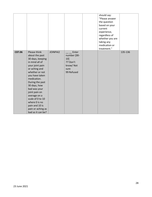|        |                                                                                                                                                                                                                                                                                                                                                  |                 |                                                                           | should say:<br>"Please answer<br>the question<br>based on your<br>current<br>experience,<br>regardless of<br>whether you are<br>taking any<br>medication or<br>treatment." |         |
|--------|--------------------------------------------------------------------------------------------------------------------------------------------------------------------------------------------------------------------------------------------------------------------------------------------------------------------------------------------------|-----------------|---------------------------------------------------------------------------|----------------------------------------------------------------------------------------------------------------------------------------------------------------------------|---------|
| C07.06 | Please think<br>about the past<br>30 days, keeping<br>in mind all of<br>your joint pain<br>or aching and<br>whether or not<br>you have taken<br>medication.<br>During the past<br>30 days, how<br>bad was your<br>joint pain on<br>average on a<br>scale of 0 to 10<br>where 0 is no<br>pain and 10 is<br>pain or aching as<br>bad as it can be? | <b>JOINPAI2</b> | Enter<br>number [00-<br>10]<br>77 Don't<br>know/Not<br>sure<br>99 Refused |                                                                                                                                                                            | 135-136 |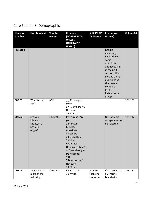# <span id="page-28-0"></span>Core Section 8: Demographics

| <b>Question</b><br><b>Number</b> | <b>Question text</b>                                       | Variable<br>names | <b>Responses</b><br>(DO NOT READ<br><b>UNLESS</b><br><b>OTHERWISE</b><br><b>NOTED)</b>                                                                                                                                               | <b>SKIP INFO/</b><br><b>CATI Note</b> | <b>Interviewer</b><br>Note (s)                                                                                                                                                                                | Column(s) |
|----------------------------------|------------------------------------------------------------|-------------------|--------------------------------------------------------------------------------------------------------------------------------------------------------------------------------------------------------------------------------------|---------------------------------------|---------------------------------------------------------------------------------------------------------------------------------------------------------------------------------------------------------------|-----------|
| Prologue                         |                                                            |                   |                                                                                                                                                                                                                                      |                                       | Read if<br>necessary:<br>I will ask you<br>some<br>questions<br>about yourself<br>in the next<br>section. We<br>include these<br>questions so<br>that we can<br>compare<br>health<br>indicators by<br>groups. |           |
| C08.01                           | What is your<br>age?                                       | AGE               | __ Code age in<br>years<br>07 Don't know /<br>Not sure<br>09 Refused                                                                                                                                                                 |                                       |                                                                                                                                                                                                               | 137-138   |
| C08.02                           | Are you<br>Hispanic,<br>Latino/a, or<br>Spanish<br>origin? | HISPANC3          | If yes, read: Are<br>you<br>1 Mexican,<br>Mexican<br>American,<br>Chicano/a<br>2 Puerto Rican<br>3 Cuban<br>4 Another<br>Hispanic, Latino/a,<br>or Spanish origin<br>Do not read:<br>5 No<br>7 Don't know /<br>Not sure<br>9 Refused |                                       | One or more<br>categories may<br>be selected.                                                                                                                                                                 | 139-142   |
| C08.03                           | Which one or<br>more of the<br>following                   | MRACE1            | Please read:<br>10 White                                                                                                                                                                                                             | If more<br>than one<br>response       | If 40 (Asian) or<br>50 (Pacific<br>Islander) is                                                                                                                                                               | 143-170   |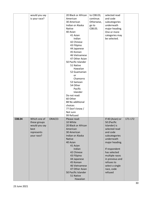|        | would you say |        | 20 Black or African | to C08.03; | selected read    |         |
|--------|---------------|--------|---------------------|------------|------------------|---------|
|        | is your race? |        | American            | continue.  | and code         |         |
|        |               |        | 30 American         | Otherwise, | subcategories    |         |
|        |               |        | Indian or Alaska    | go to      | underneath       |         |
|        |               |        | <b>Native</b>       | C08.05.    | major heading.   |         |
|        |               |        | 40 Asian            |            | One or more      |         |
|        |               |        | 41 Asian            |            | categories may   |         |
|        |               |        | Indian              |            | be selected.     |         |
|        |               |        | 42 Chinese          |            |                  |         |
|        |               |        | 43 Filipino         |            |                  |         |
|        |               |        | 44 Japanese         |            |                  |         |
|        |               |        | 45 Korean           |            |                  |         |
|        |               |        | 46 Vietnamese       |            |                  |         |
|        |               |        | 47 Other Asian      |            |                  |         |
|        |               |        | 50 Pacific Islander |            |                  |         |
|        |               |        | 51 Native           |            |                  |         |
|        |               |        | Hawaiian            |            |                  |         |
|        |               |        | 52 Guamanian        |            |                  |         |
|        |               |        | or                  |            |                  |         |
|        |               |        | Chamorro            |            |                  |         |
|        |               |        | 53 Samoan           |            |                  |         |
|        |               |        | 54 Other            |            |                  |         |
|        |               |        | Pacific             |            |                  |         |
|        |               |        | Islander            |            |                  |         |
|        |               |        | Do not read:        |            |                  |         |
|        |               |        | 60 Other            |            |                  |         |
|        |               |        | 88 No additional    |            |                  |         |
|        |               |        | choices             |            |                  |         |
|        |               |        | 77 Don't know /     |            |                  |         |
|        |               |        | Not sure            |            |                  |         |
|        |               |        | 99 Refused          |            |                  |         |
| C08.04 | Which one of  | ORACE3 | Please read:        |            | If 40 (Asian) or | 171-172 |
|        | these groups  |        | 10 White            |            | 50 (Pacific      |         |
|        | would you say |        | 20 Black or African |            | Islander) is     |         |
|        | best          |        | American            |            | selected read    |         |
|        | represents    |        | 30 American         |            | and code         |         |
|        | your race?    |        | Indian or Alaska    |            | subcategories    |         |
|        |               |        | <b>Native</b>       |            | underneath       |         |
|        |               |        | 40 Asian            |            | major heading.   |         |
|        |               |        | 41 Asian            |            |                  |         |
|        |               |        | Indian              |            | If respondent    |         |
|        |               |        | 42 Chinese          |            | has selected     |         |
|        |               |        | 43 Filipino         |            | multiple races   |         |
|        |               |        | 44 Japanese         |            | in previous and  |         |
|        |               |        | 45 Korean           |            | refuses to       |         |
|        |               |        | 46 Vietnamese       |            | select a single  |         |
|        |               |        | 47 Other Asian      |            | race, code       |         |
|        |               |        | 50 Pacific Islander |            | refused          |         |
|        |               |        | 51 Native           |            |                  |         |
|        |               |        | Hawaiian            |            |                  |         |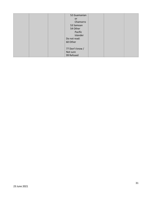|                 | 52 Guamanian |  |
|-----------------|--------------|--|
| or              |              |  |
|                 | Chamorro     |  |
| 53 Samoan       |              |  |
| 54 Other        |              |  |
|                 | Pacific      |  |
|                 | Islander     |  |
| Do not read:    |              |  |
| 60 Other        |              |  |
|                 |              |  |
| 77 Don't know / |              |  |
| Not sure        |              |  |
| 99 Refused      |              |  |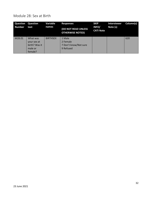#### <span id="page-31-0"></span>Module 28: Sex at Birth

| Question<br><b>Number</b> | <b>Question</b><br>text                                        | Variable<br>names | <b>Responses</b><br>(DO NOT READ UNLESS<br><b>OTHERWISE NOTED)</b> | <b>SKIP</b><br>INFO/<br><b>CATI Note</b> | <b>Interviewer</b><br>Note (s) | Column(s) |
|---------------------------|----------------------------------------------------------------|-------------------|--------------------------------------------------------------------|------------------------------------------|--------------------------------|-----------|
| M28.01                    | What was<br>your sex at<br>birth? Was it<br>male or<br>female? | <b>BIRTHSEX</b>   | 1 Male<br>2 Female<br>7 Don't know/Not sure<br>9 Refused           |                                          |                                | 620       |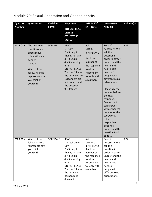| <b>Question</b> | <b>Question text</b>                                                                                                                                                     | Variable | <b>Responses</b>                                                                                                                                                                                                                            | <b>SKIP INFO/</b>                                                                                                                  | <b>Interviewer</b>                                                                                                                                                                                                                                                                                                                                                                                                  | Column(s) |
|-----------------|--------------------------------------------------------------------------------------------------------------------------------------------------------------------------|----------|---------------------------------------------------------------------------------------------------------------------------------------------------------------------------------------------------------------------------------------------|------------------------------------------------------------------------------------------------------------------------------------|---------------------------------------------------------------------------------------------------------------------------------------------------------------------------------------------------------------------------------------------------------------------------------------------------------------------------------------------------------------------------------------------------------------------|-----------|
| <b>Number</b>   |                                                                                                                                                                          | names    | <b>(DO NOT READ</b><br><b>UNLESS</b><br><b>OTHERWISE</b><br><b>NOTED)</b>                                                                                                                                                                   | <b>CATI Note</b>                                                                                                                   | Note (s)                                                                                                                                                                                                                                                                                                                                                                                                            |           |
| M29.01a         | The next two<br>questions are<br>about sexual<br>orientation and<br>gender<br>identity.<br>Which of the<br>following best<br>represents how<br>you think of<br>yourself? | SOMALE   | READ:<br>$1 = Gay$<br>$2 =$ Straight,<br>that is, not gay<br>$3 = Bisexual$<br>$4 =$ Something<br>else<br><b>DO NOT READ:</b><br>$7 = 1$ don't know<br>the answer/ The<br>respondent did<br>not understand<br>the question<br>$9 = Refused$ | Ask if<br>M28.01,<br>BIRTHSEX= 1.<br>Read the<br>number of<br>the response<br>to allow<br>respondent<br>to reply with<br>a number. | Read if<br>necessary: We<br>ask this<br>question in<br>order to better<br>understand the<br>health and<br>health care<br>needs of<br>people with<br>different sexual<br>orientations.<br>Please say the<br>number before<br>the text<br>response.<br>Respondent<br>can answer<br>with either the<br>number or the<br>text/word.<br>If the<br>respondent<br>does not<br>understand the<br>question topic,<br>code 7. | 621       |
| M29.01b         | Which of the<br>following best<br>represents how<br>you think of<br>yourself?                                                                                            | SOFEMALE | READ:<br>$1 =$ Lesbian or<br>Gay<br>$2 =$ Straight,<br>that is, not gay<br>$3 = Bisexual$<br>$4 =$ Something<br>else<br>DO NOT READ:<br>$7 = 1$ don't know<br>the answer/<br>Respondent<br>does not                                         | Ask if<br>M28.01,<br>BIRTHSEX=2.<br>Read the<br>number of<br>the response<br>to allow<br>respondent<br>to reply with<br>a number.  | Read if<br>necessary: We<br>ask this<br>question in<br>order to better<br>understand the<br>health and<br>health care<br>needs of<br>people with<br>different sexual<br>orientations.                                                                                                                                                                                                                               | 622       |

# <span id="page-32-0"></span>Module 29: Sexual Orientation and Gender Identity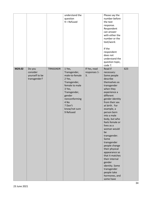|        |                                                      |                 | understand the<br>question<br>$9 =$ Refused                                                                                                                                                |                                    | Please say the<br>number before<br>the text<br>response.<br>Respondent<br>can answer<br>with either the<br>number or the<br>text/word.<br>If the<br>respondent<br>does not<br>understand the<br>question topic,                                                                                                                                                                                                                                                                                                                        |     |
|--------|------------------------------------------------------|-----------------|--------------------------------------------------------------------------------------------------------------------------------------------------------------------------------------------|------------------------------------|----------------------------------------------------------------------------------------------------------------------------------------------------------------------------------------------------------------------------------------------------------------------------------------------------------------------------------------------------------------------------------------------------------------------------------------------------------------------------------------------------------------------------------------|-----|
| M29.02 | Do you<br>consider<br>yourself to be<br>transgender? | <b>TRNSGNDR</b> | 1 Yes,<br>Transgender,<br>male-to-female<br>2 Yes,<br>Transgender,<br>female to male<br>3 Yes,<br>Transgender,<br>gender<br>nonconforming<br>4 No<br>7 Don't<br>know/not sure<br>9 Refused | If Yes, read<br>responses 1-<br>3. | code 7.<br>Read if<br>necessary:<br>Some people<br>describe<br>themselves as<br>transgender<br>when they<br>experience a<br>different<br>gender identity<br>from their sex<br>at birth. For<br>example, a<br>person born<br>into a male<br>body, but who<br>feels female or<br>lives as a<br>woman would<br>be<br>transgender.<br>Some<br>transgender<br>people change<br>their physical<br>appearance so<br>that it matches<br>their internal<br>gender<br>identity. Some<br>transgender<br>people take<br>hormones, and<br>some have | 623 |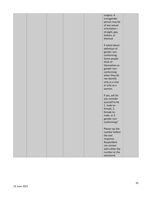|  |  | surgery. A      |  |
|--|--|-----------------|--|
|  |  | transgender     |  |
|  |  | person may be   |  |
|  |  | of any sexual   |  |
|  |  | orientation-    |  |
|  |  | straight, gay,  |  |
|  |  | lesbian, or     |  |
|  |  | bisexual.       |  |
|  |  |                 |  |
|  |  | If asked about  |  |
|  |  | definition of   |  |
|  |  |                 |  |
|  |  | gender non-     |  |
|  |  | conforming:     |  |
|  |  | Some people     |  |
|  |  | think of        |  |
|  |  | themselves as   |  |
|  |  | gender non-     |  |
|  |  | conforming      |  |
|  |  | when they do    |  |
|  |  | not identify    |  |
|  |  | only as a man   |  |
|  |  | or only as a    |  |
|  |  | woman.          |  |
|  |  |                 |  |
|  |  | If yes, ask Do  |  |
|  |  | you consider    |  |
|  |  |                 |  |
|  |  | yourself to be  |  |
|  |  | 1. male-to-     |  |
|  |  | female, 2.      |  |
|  |  | female-to-      |  |
|  |  | male, or 3.     |  |
|  |  | gender non-     |  |
|  |  | conforming?     |  |
|  |  |                 |  |
|  |  | Please say the  |  |
|  |  | number before   |  |
|  |  | the text        |  |
|  |  | response.       |  |
|  |  | Respondent      |  |
|  |  | can answer      |  |
|  |  | with either the |  |
|  |  | number or the   |  |
|  |  |                 |  |
|  |  | text/word.      |  |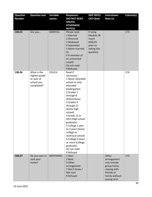| <b>Question</b><br><b>Number</b> | <b>Question text</b>                                                   | Variable<br>names | <b>Responses</b><br>(DO NOT READ<br><b>UNLESS</b><br><b>OTHERWISE</b><br><b>NOTED)</b>                                                                                                                                                                                                                                                                                                                  | <b>SKIP INFO/</b><br><b>CATI Note</b>                                            | <b>Interviewer</b><br>Note (s)                                                                                     | Column(s) |
|----------------------------------|------------------------------------------------------------------------|-------------------|---------------------------------------------------------------------------------------------------------------------------------------------------------------------------------------------------------------------------------------------------------------------------------------------------------------------------------------------------------------------------------------------------------|----------------------------------------------------------------------------------|--------------------------------------------------------------------------------------------------------------------|-----------|
| C08.05                           | Are you                                                                | <b>MARITAL</b>    | Please read:<br>1 Married<br>2 Divorced<br>3 Widowed<br>4 Separated<br>5 Never married<br>Or<br>6 A member of<br>an unmarried<br>couple<br>Do not read:<br>9 Refused                                                                                                                                                                                                                                    | If using<br>Module 28<br>insert<br>M28.01<br>prior to<br>asking this<br>question |                                                                                                                    | 173       |
| C08.06                           | What is the<br>highest grade<br>or year of<br>school you<br>completed? | <b>EDUCA</b>      | Read if<br>necessary:<br>1 Never attended<br>school or only<br>attended<br>kindergarten<br>2 Grades 1<br>through 8<br>(Elementary)<br>3 Grades 9<br>through 11<br>(Some high<br>school)<br>4 Grade 12 or<br>GED (High school<br>graduate)<br>5 College 1 year<br>to 3 years (Some<br>college or<br>technical school)<br>6 College 4 years<br>or more (College<br>graduate)<br>Do not read:<br>9 Refused |                                                                                  |                                                                                                                    | 174       |
| C08.07                           | Do you own or<br>rent your<br>home?                                    | RENTHOM1          | 1 Own<br>2 Rent<br>3 Other<br>arrangement<br>7 Don't know /<br>Not sure<br>9 Refused                                                                                                                                                                                                                                                                                                                    |                                                                                  | Other<br>arrangement<br>may include<br>group home,<br>staying with<br>friends or<br>family without<br>paying rent. | 175       |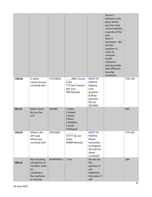|        |                                                                                                     |               |                                                                              |                                                                                                              | Home is<br>defined as the<br>place where<br>you live most<br>of the time/the<br>majority of the<br>year.<br>Read if<br>necessary: We<br>ask this<br>question in<br>order to<br>compare<br>health<br>indicators<br>among people<br>with different<br>housing<br>situations. |         |
|--------|-----------------------------------------------------------------------------------------------------|---------------|------------------------------------------------------------------------------|--------------------------------------------------------------------------------------------------------------|----------------------------------------------------------------------------------------------------------------------------------------------------------------------------------------------------------------------------------------------------------------------------|---------|
| C08.08 | In what<br>county do you<br>currently live?                                                         | CTYCODE2      | <b>ANSI County</b><br>Code<br>777 Don't know /<br>Not sure<br>999 Refused    | <b>NOTE TO</b><br><b>PORTIA:</b><br>Replace<br>Core<br>question<br>8.08 by<br>question<br>S01.01<br>(ISLAND) |                                                                                                                                                                                                                                                                            | 176-178 |
| S01.01 | What island<br>do you live<br>on?                                                                   | <b>ISLAND</b> | 1 Oahu<br>2 Hawaii<br>3 Kauai<br>4 Maui<br>5 Molokai<br>6 Lanai<br>9 Refused |                                                                                                              |                                                                                                                                                                                                                                                                            | 901     |
| C08.09 | What is the<br>ZIP Code<br>where you<br>currently live?                                             | ZIPCODE1      | 77777 Do not<br>know<br>99999 Refused                                        | <b>NOTE TO</b><br><b>PORTIA:</b><br>Please<br>remember<br>to program<br>zip code by<br>island<br>crosswalk   |                                                                                                                                                                                                                                                                            | 179-183 |
| C08.10 | Not including<br>cell phones or<br>numbers used<br>for<br>computers,<br>fax machines<br>or security | NUMHHOL3      | 1 Yes                                                                        | Do not ask<br>this<br>question if<br>cell<br>telephone<br>interview. If<br>cell                              |                                                                                                                                                                                                                                                                            | 184     |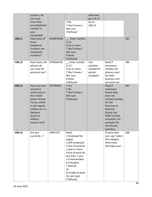| C08.11 | systems, do<br>you have<br>more than<br>one telephone<br>number in<br>your<br>household?<br>How many of<br>these                                                                               | NUMPHON3        | 2 No<br>7 Don't know /<br>Not sure<br>9 Refused<br>Enter number                                                                                                                                                                         | interview,<br>go to 8.12<br>Go to<br>C08.12            |                                                                                                                                                                                                                | 185 |
|--------|------------------------------------------------------------------------------------------------------------------------------------------------------------------------------------------------|-----------------|-----------------------------------------------------------------------------------------------------------------------------------------------------------------------------------------------------------------------------------------|--------------------------------------------------------|----------------------------------------------------------------------------------------------------------------------------------------------------------------------------------------------------------------|-----|
|        | telephone<br>numbers are<br>residential<br>numbers?                                                                                                                                            |                 | $(1-5)$<br>6 Six or more<br>7 Don't know /<br>Not sure<br>8 None<br>9 Refused                                                                                                                                                           |                                                        |                                                                                                                                                                                                                |     |
| C08.12 | How many cell<br>phones do<br>you have for<br>personal use?                                                                                                                                    | CPDEMO1B        | Enter number<br>$(1-5)$<br>6 Six or more<br>7 Don't know /<br>Not sure<br>8 None<br>9 Refused                                                                                                                                           | Last<br>question<br>needed for<br>partial<br>complete. | Read if<br>necessary:<br>Include cell<br>phones used<br>for both<br>business and<br>personal use.                                                                                                              | 186 |
| C08.13 | Have you ever<br>served on<br>active duty in<br>the United<br><b>States Armed</b><br>Forces, either<br>in the regular<br>military or in a<br>National<br>Guard or<br>military<br>reserve unit? | <b>VETERAN3</b> | 1 Yes<br>2 No<br>7 Don't know /<br>Not sure<br>9 Refused                                                                                                                                                                                |                                                        | Read if<br>necessary:<br>Active duty<br>does not<br>include training<br>for the<br>Reserves or<br>National<br>Guard, but<br><b>DOES</b> include<br>activation, for<br>example, for<br>the Persian<br>Gulf War. | 187 |
| C08.14 | Are you<br>currently?                                                                                                                                                                          | EMPLOY1         | Read:<br>1 Employed for<br>wages<br>2 Self-employed<br>3 Out of work for<br>1 year or more<br>4 Out of work for<br>less than 1 year<br>5 A Homemaker<br>6 A Student<br>7 Retired<br>Or<br>8 Unable to work<br>Do not read:<br>9 Refused |                                                        | If more than<br>one, say "select<br>the category<br>which best<br>describes you".                                                                                                                              | 188 |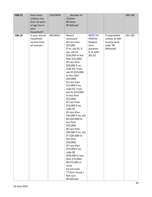| C08.15 | How many<br>children less<br>than 18 years<br>of age live in<br>your<br>household? | <b>CHILDREN</b> | Number of<br>children<br>88 None<br>99 Refused                                                                                                                                                                                                                                                                                                                                                                                                                                                                                                                                                                                                                                                                                                   |                                                                                        |                                                                            | 189-190 |
|--------|------------------------------------------------------------------------------------|-----------------|--------------------------------------------------------------------------------------------------------------------------------------------------------------------------------------------------------------------------------------------------------------------------------------------------------------------------------------------------------------------------------------------------------------------------------------------------------------------------------------------------------------------------------------------------------------------------------------------------------------------------------------------------------------------------------------------------------------------------------------------------|----------------------------------------------------------------------------------------|----------------------------------------------------------------------------|---------|
| C08.16 | Is your annual<br>household<br>income from<br>all sources-                         | INCOME2         | Read if<br>necessary:<br>04 Less than<br>\$25,000<br>If no, ask 05; if<br>yes, ask 03<br>(\$20,000 to less<br>than \$25,000)<br>03 Less than<br>\$20,000 If no,<br>code 04; if yes,<br>ask 02 (\$15,000<br>to less than<br>\$20,000)<br>02 Less than<br>\$15,000 If no,<br>code 03; if yes,<br>ask 01 (\$10,000<br>to less than<br>$$15,000$ )<br>01 Less than<br>\$10,000 If no,<br>code 02<br>05 Less than<br>\$35,000 If no, ask<br>06 (\$25,000 to<br>less than<br>\$35,000)<br>06 Less than<br>\$50,000 If no, ask<br>07 (\$35,000 to<br>less than<br>\$50,000)<br>07 Less than<br>\$75,000 If no,<br>code 08<br>(\$50,000 to less<br>than \$75,000)<br>08 \$75,000 or<br>more<br>Do not read:<br>77 Don't know /<br>Not sure<br>99 Refused | <b>NOTE TO</b><br><b>PORTIA:</b><br>Replace<br>Core<br>question<br>8.16 with<br>S01.02 | If respondent<br>refuses at ANY<br>income level,<br>code '99'<br>(Refused) | 191-192 |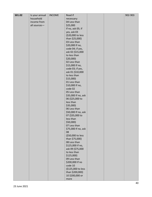| S01.02 | Is your annual | <b>INCOME</b> | Read if                   |  | 902-903 |
|--------|----------------|---------------|---------------------------|--|---------|
|        | household      |               | necessary:                |  |         |
|        | income from    |               | 04 Less than              |  |         |
|        | all sources-   |               | \$25,000                  |  |         |
|        |                |               | If no, ask 05; if         |  |         |
|        |                |               | yes, ask 03               |  |         |
|        |                |               | (\$20,000 to less         |  |         |
|        |                |               | than \$25,000)            |  |         |
|        |                |               | 03 Less than              |  |         |
|        |                |               | \$20,000 If no,           |  |         |
|        |                |               | code 04; if yes,          |  |         |
|        |                |               | ask 02 (\$15,000          |  |         |
|        |                |               | to less than              |  |         |
|        |                |               | \$20,000)                 |  |         |
|        |                |               | 02 Less than              |  |         |
|        |                |               | \$15,000 If no,           |  |         |
|        |                |               | code 03; if yes,          |  |         |
|        |                |               | ask 01 (\$10,000          |  |         |
|        |                |               | to less than              |  |         |
|        |                |               | $$15,000$ )               |  |         |
|        |                |               | 01 Less than              |  |         |
|        |                |               | \$10,000 If no,           |  |         |
|        |                |               | code 02                   |  |         |
|        |                |               | 05 Less than              |  |         |
|        |                |               | \$35,000 If no, ask       |  |         |
|        |                |               | 06 (\$25,000 to           |  |         |
|        |                |               | less than                 |  |         |
|        |                |               | $$35,000$ )               |  |         |
|        |                |               | 06 Less than              |  |         |
|        |                |               | \$50,000 If no, ask       |  |         |
|        |                |               | 07 (\$35,000 to           |  |         |
|        |                |               | less than                 |  |         |
|        |                |               | \$50,000)                 |  |         |
|        |                |               | 07 Less than              |  |         |
|        |                |               | \$75,000 If no, ask<br>08 |  |         |
|        |                |               | (\$50,000 to less         |  |         |
|        |                |               | than \$75,000)            |  |         |
|        |                |               | 08 Less than              |  |         |
|        |                |               | \$125,000 If no,          |  |         |
|        |                |               | ask 09 (\$75,000          |  |         |
|        |                |               | to less than              |  |         |
|        |                |               | $$125,000$ )              |  |         |
|        |                |               | 09 Less than              |  |         |
|        |                |               | \$200,000 If no           |  |         |
|        |                |               | code 10                   |  |         |
|        |                |               | (\$125,000 to less        |  |         |
|        |                |               | than \$200,000)           |  |         |
|        |                |               | 10 \$200,000 or           |  |         |
|        |                |               | more                      |  |         |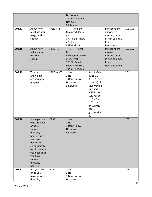|        |                                                                                                                                                                                                              |              | Do not read:<br>77 Don't know /<br>Not sure<br>99 Refused                                                                     |                                                                                                                                                                                                          |                                                                                              |         |
|--------|--------------------------------------------------------------------------------------------------------------------------------------------------------------------------------------------------------------|--------------|-------------------------------------------------------------------------------------------------------------------------------|----------------------------------------------------------------------------------------------------------------------------------------------------------------------------------------------------------|----------------------------------------------------------------------------------------------|---------|
| C08.17 | About how<br>much do you<br>weigh without<br>shoes?                                                                                                                                                          | WEIGHT2      | _ Weight<br>(pounds/kilogra<br>ms)<br>7777 Don't know<br>/ Not sure<br>9999 Refused                                           |                                                                                                                                                                                                          | If respondent<br>answers in<br>metrics, put 9<br>in first column.<br>Round<br>fractions up   | 193-196 |
| C08.18 | About how<br>tall are you<br>without<br>shoes?                                                                                                                                                               | HEIGHT3      | $\frac{1}{2}$ Height<br>$(\text{ft} / )$<br>inches/meters/ce<br>ntimeters)<br>77/77 Don't<br>know / Not sure<br>99/99 Refused |                                                                                                                                                                                                          | If respondent<br>answers in<br>metrics, put 9<br>in first column.<br>Round<br>fractions down | 197-200 |
| C08.19 | To your<br>knowledge,<br>are you now<br>pregnant?                                                                                                                                                            | PREGNANT     | 1 Yes<br>2 No<br>7 Don't know /<br>Not sure<br>9 Refused                                                                      | Skip if Male<br>(M28.01,<br><b>BIRTHSEX, is</b><br>coded 1). If<br>M28.01=mis<br>sing and<br>(CP05=1 or<br>$LL12=1;$ or<br>$LLO9 = 1$ or<br>$LLO7 = 1$ ).<br>or C08.01,<br>AGE, is<br>greater than<br>49 |                                                                                              | 201     |
| C08.20 | Some people<br>who are deaf<br>or have<br>serious<br>difficulty<br>hearing use<br>assistive<br>devices to<br>communicate<br>by phone. Are<br>you deaf or do<br>you have<br>serious<br>difficulty<br>hearing? | <b>DEAF</b>  | 1 Yes<br>2 No<br>7 Don't know /<br>Not sure<br>9 Refused                                                                      |                                                                                                                                                                                                          |                                                                                              | 202     |
| C08.21 | Are you blind<br>or do you<br>have serious<br>difficulty                                                                                                                                                     | <b>BLIND</b> | 1 Yes<br>2 No<br>7 Don't know /<br>Not sure                                                                                   |                                                                                                                                                                                                          |                                                                                              | 203     |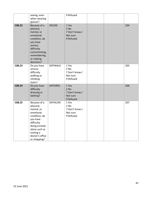|        | seeing, even<br>when wearing<br>glasses?                                                                                                                                           |                 | 9 Refused                                                  |  |     |
|--------|------------------------------------------------------------------------------------------------------------------------------------------------------------------------------------|-----------------|------------------------------------------------------------|--|-----|
| C08.22 | Because of a<br>physical,<br>mental, or<br>emotional<br>condition, do<br>you have<br>serious<br>difficulty<br>concentrating,<br>remembering,<br>or making<br>decisions?            | <b>DECIDE</b>   | 1 Yes<br>2 No<br>7 Don't know /<br>Not sure<br>9 Refused   |  | 204 |
| C08.23 | Do you have<br>serious<br>difficulty<br>walking or<br>climbing<br>stairs?                                                                                                          | <b>DIFFWALK</b> | 1 Yes<br>$2$ No<br>7 Don't know /<br>Not sure<br>9 Refused |  | 205 |
| C08.24 | Do you have<br>difficulty<br>dressing or<br>bathing?                                                                                                                               | <b>DIFFDRES</b> | 1 Yes<br>$2$ No<br>7 Don't know /<br>Not sure<br>9 Refused |  | 206 |
| C08.25 | Because of a<br>physical,<br>mental, or<br>emotional<br>condition, do<br>you have<br>difficulty<br>doing errands<br>alone such as<br>visiting a<br>doctor's office<br>or shopping? | <b>DIFFALON</b> | 1 Yes<br>2 No<br>7 Don't know /<br>Not sure<br>9 Refused   |  | 207 |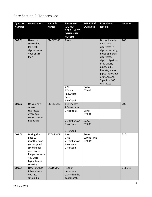#### Core Section 9: Tobacco Use

| <b>Question</b>                                                                       | <b>Question text</b>                                                                                                                          | Variable                                | <b>Responses</b>                                         | <b>SKIP INFO/</b>                                                                                                                                                                                                                          | <b>Interviewer</b> | Column(s) |
|---------------------------------------------------------------------------------------|-----------------------------------------------------------------------------------------------------------------------------------------------|-----------------------------------------|----------------------------------------------------------|--------------------------------------------------------------------------------------------------------------------------------------------------------------------------------------------------------------------------------------------|--------------------|-----------|
| <b>Number</b>                                                                         |                                                                                                                                               | names                                   | (DO NOT                                                  | <b>CATI Note</b>                                                                                                                                                                                                                           | Note (s)           |           |
|                                                                                       |                                                                                                                                               |                                         | <b>READ UNLESS</b>                                       |                                                                                                                                                                                                                                            |                    |           |
|                                                                                       |                                                                                                                                               |                                         | <b>OTHERWISE</b><br><b>NOTED)</b>                        |                                                                                                                                                                                                                                            |                    |           |
| C09.01<br>Have you<br>smoked at<br>least 100<br>cigarettes in<br>your entire<br>life? | SMOKE100                                                                                                                                      | 1 Yes                                   |                                                          | Do not include:<br>electronic<br>cigarettes (e-<br>cigarettes, njoy,<br>bluetip), herbal<br>cigarettes,<br>cigars, cigarillos,<br>little cigars,<br>pipes, bidis,<br>kreteks, water<br>pipes (hookahs)<br>or marijuana.<br>5 packs = $100$ | 208                |           |
|                                                                                       |                                                                                                                                               |                                         | 2 No<br>7 Don't<br>know/Not<br>Sure                      | Go to<br>C09.05                                                                                                                                                                                                                            | cigarettes         |           |
| C09.02<br>Do you now<br>smoke                                                         | SMOKDAY2                                                                                                                                      | 9 Refused<br>1 Every day<br>2 Some days |                                                          |                                                                                                                                                                                                                                            | 209                |           |
|                                                                                       | cigarettes<br>every day,<br>some days, or                                                                                                     |                                         | 3 Not at all                                             | Go to<br>C09.04                                                                                                                                                                                                                            |                    |           |
|                                                                                       | not at all?                                                                                                                                   |                                         | 7 Don't know<br>/ Not sure<br>9 Refused                  | Go to<br>C09.05                                                                                                                                                                                                                            |                    |           |
| C09.03                                                                                | During the<br>past 12<br>months, have<br>you stopped<br>smoking for<br>one day or<br>longer because<br>you were<br>trying to quit<br>smoking? | STOPSMK2                                | 1 Yes<br>2 No<br>7 Don't know<br>/ Not sure<br>9 Refused | Go to<br>C09.05 (skip<br>CO9.04)                                                                                                                                                                                                           |                    | 210       |
| C09.04                                                                                | How long has<br>it been since<br>you last<br>smoked a                                                                                         | LASTSMK2                                | Read if<br>necessary:<br>01 Within the<br>past month     |                                                                                                                                                                                                                                            |                    | 211-212   |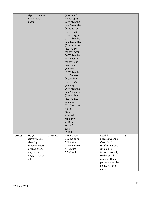|        | cigarette, even<br>one or two<br>puffs?                                                                        |         | (less than 1<br>month ago)<br>02 Within the<br>past 3 months<br>(1 month but<br>less than 3<br>months ago)<br>03 Within the<br>past 6 months<br>(3 months but<br>less than 6<br>months ago)<br>04 Within the<br>past year (6<br>months but<br>less than 1<br>year ago)<br>05 Within the<br>past 5 years<br>(1 year but<br>less than 5<br>years ago)<br>06 Within the<br>past 10 years<br>(5 years but<br>less than 10<br>years ago)<br>07 10 years or<br>more<br>08 Never<br>smoked<br>regularly<br>77 Don't<br>know / Not<br>sure<br>99 Refused |                                                                                                                                                                                      |     |
|--------|----------------------------------------------------------------------------------------------------------------|---------|--------------------------------------------------------------------------------------------------------------------------------------------------------------------------------------------------------------------------------------------------------------------------------------------------------------------------------------------------------------------------------------------------------------------------------------------------------------------------------------------------------------------------------------------------|--------------------------------------------------------------------------------------------------------------------------------------------------------------------------------------|-----|
| C09.05 | Do you<br>currently use<br>chewing<br>tobacco, snuff,<br>or snus every<br>day, some<br>days, or not at<br>all? | USENOW3 | 1 Every day<br>2 Some days<br>3 Not at all<br>7 Don't know<br>/ Not sure<br>9 Refused                                                                                                                                                                                                                                                                                                                                                                                                                                                            | Read if<br>necessary: Snus<br>(Swedish for<br>snuff) is a moist<br>smokeless<br>tobacco, usually<br>sold in small<br>pouches that are<br>placed under the<br>lip against the<br>gum. | 213 |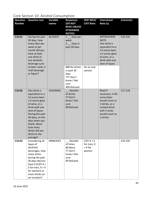### Core Section 10: Alcohol Consumption

| <b>Question</b> | <b>Question text</b>       | <b>Variable</b> | <b>Responses</b>   | <b>SKIP INFO/</b> | <b>Interviewer</b> | Column(s) |
|-----------------|----------------------------|-----------------|--------------------|-------------------|--------------------|-----------|
| <b>Number</b>   |                            | names           | <b>(DO NOT</b>     | <b>CATI Note</b>  | Note (s)           |           |
|                 |                            |                 | <b>READ UNLESS</b> |                   |                    |           |
|                 |                            |                 | <b>OTHERWISE</b>   |                   |                    |           |
|                 |                            |                 | <b>NOTED)</b>      |                   |                    |           |
| C10.01          | During the past            | ALCDAY5         | $1 -$ Days per     |                   | <b>INTERVIEWER</b> | 214-216   |
|                 | 30 days, how               |                 | week               |                   | NOTE:              |           |
|                 | many days per              |                 | $2 -$ Days in      |                   | One drink is       |           |
|                 | week or per                |                 | past 30 days       |                   | equivalent to a    |           |
|                 | month did you              |                 |                    |                   | 12-ounce beer,     |           |
|                 | have at least              |                 |                    |                   | a 5-ounce glass    |           |
|                 | one drink of               |                 |                    |                   | of wine, or a      |           |
|                 | any alcoholic              |                 |                    |                   | drink with one     |           |
|                 | beverage such              |                 |                    |                   | shot of liquor.    |           |
|                 | as beer, wine, a           |                 | 888 No drinks      | Go to next        |                    |           |
|                 | malt beverage              |                 | in past 30         | section           |                    |           |
|                 | or liquor?                 |                 | days<br>777 Don't  |                   |                    |           |
|                 |                            |                 | know / Not         |                   |                    |           |
|                 |                            |                 | sure               |                   |                    |           |
|                 |                            |                 | 999 Refused        |                   |                    |           |
| C10.02          | One drink is               | AVEDRNK2        | Number             |                   | Read if            | 217-218   |
|                 | equivalent to a            |                 | of drinks          |                   | necessary: A 40-   |           |
|                 | 12-ounce beer,             |                 | 77 Don't           |                   | ounce beer         |           |
|                 | a 5-ounce glass            |                 | know / Not         |                   | would count as     |           |
|                 | of wine, or a              |                 | sure               |                   | 3 drinks, or a     |           |
|                 | drink with one             |                 | 99 Refused         |                   | cocktail drink     |           |
|                 | shot of liquor.            |                 |                    |                   | with 2 shots       |           |
|                 | During the past            |                 |                    |                   | would count as     |           |
|                 | 30 days, on the            |                 |                    |                   | 2 drinks.          |           |
|                 | days when you              |                 |                    |                   |                    |           |
|                 | drank, about               |                 |                    |                   |                    |           |
|                 | how many<br>drinks did you |                 |                    |                   |                    |           |
|                 | drink on the               |                 |                    |                   |                    |           |
|                 | average?                   |                 |                    |                   |                    |           |
| C10.03          | Considering all            | DRNK3GE5        | __ Number          | CATI $X = 5$      |                    | 219-220   |
|                 | types of                   |                 | of times           | for men, X        |                    |           |
|                 | alcoholic                  |                 | 88 None            | $= 4$ for         |                    |           |
|                 | beverages, how             |                 | 77 Don't           | women             |                    |           |
|                 | many times                 |                 | know / Not         |                   |                    |           |
|                 | during the past            |                 | sure               |                   |                    |           |
|                 | 30 days did you            |                 | 99 Refused         |                   |                    |           |
|                 | have $X$ [CATI $X =$       |                 |                    |                   |                    |           |
|                 | 5 for men, $X = 4$         |                 |                    |                   |                    |           |
|                 | for women] or              |                 |                    |                   |                    |           |
|                 | more drinks on             |                 |                    |                   |                    |           |
|                 | an occasion?               |                 |                    |                   |                    |           |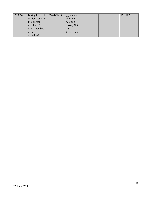| C <sub>10.04</sub> | During the past  | <b>MAXDRNKS</b> | Number     |  | 221-222 |
|--------------------|------------------|-----------------|------------|--|---------|
|                    | 30 days, what is |                 | of drinks  |  |         |
|                    | the largest      |                 | 77 Don't   |  |         |
|                    | number of        |                 | know / Not |  |         |
|                    | drinks you had   |                 | sure       |  |         |
|                    | on any           |                 | 99 Refused |  |         |
|                    | occasion?        |                 |            |  |         |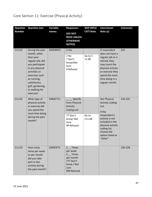## Core Section 11: Exercise (Physical Activity)

| <b>Question</b><br><b>Number</b> | <b>Question text</b>                                                                                                                                                                                                         | Variable<br>names | <b>Responses</b><br>(DO NOT<br><b>READ UNLESS</b><br><b>OTHERWISE</b><br><b>NOTED)</b>                            | <b>SKIP INFO/</b><br><b>CATI Note</b> | <b>Interviewer</b><br>Note (s)                                                                                                                                                                     | Column(s) |
|----------------------------------|------------------------------------------------------------------------------------------------------------------------------------------------------------------------------------------------------------------------------|-------------------|-------------------------------------------------------------------------------------------------------------------|---------------------------------------|----------------------------------------------------------------------------------------------------------------------------------------------------------------------------------------------------|-----------|
| C11.01                           | During the past<br>month, other<br>than your<br>regular job, did<br>you participate<br>in any physical<br>activities or<br>exercises such<br>as running,<br>calisthenics,<br>golf, gardening,<br>or walking for<br>exercise? | EXERANY2          | 1 Yes<br>$2$ No<br>7 Don't<br>know/Not<br>Sure<br>9 Refused                                                       | Go to C<br>11.08                      | If respondent<br>does not have a<br>regular job or is<br>retired, they<br>may count the<br>physical activity<br>or exercise they<br>spend the most<br>time doing in a<br>regular month.            | 223       |
| C11.02                           | What type of<br>physical activity<br>or exercise did<br>you spend the<br>most time doing<br>during the past<br>month?                                                                                                        | EXRACT11          | Specify<br>from Physical<br>Activity<br><b>Coding List</b><br>77 Don't<br>know/Not<br>Sure<br>99 Refused          | Go to<br>C11.08                       | See Physical<br><b>Activity Coding</b><br>List.<br>If the<br>respondent's<br>activity is not<br>included in the<br>physical activity<br>coding list,<br>choose the<br>option listed as<br>"other". | 224-225   |
| C11.03                           | How many<br>times per week<br>or per month<br>did you take<br>part in this<br>activity during<br>the past month?                                                                                                             | EXEROFT1          | $1$ <sub>_</sub> _Times<br>per week<br>$2$ __Times<br>per month<br>777 Don't<br>know / Not<br>sure<br>999 Refused |                                       |                                                                                                                                                                                                    | 226-228   |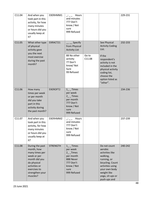| C11.04 | And when you<br>took part in this<br>activity, for how<br>many minutes<br>or hours did you<br>usually keep at<br>it?                                           | EXERHMM1        | Hours<br>and minutes<br>777 Don't<br>know / Not<br>sure<br>999 Refused                                                        |                 |                                                                                                                                                                                                    | 229-231 |
|--------|----------------------------------------------------------------------------------------------------------------------------------------------------------------|-----------------|-------------------------------------------------------------------------------------------------------------------------------|-----------------|----------------------------------------------------------------------------------------------------------------------------------------------------------------------------------------------------|---------|
| C11.05 | What other type<br>of physical<br>activity gave<br>you the next<br>most exercise<br>during the past<br>month?                                                  | EXRACT21        | Specify<br>from Physical<br><b>Activity List</b><br>88 No other<br>activity<br>77 Don't<br>know/Not<br>Sure<br>99 Refused     | Go to<br>C11.08 | See Physical<br><b>Activity Coding</b><br>List.<br>If the<br>respondent's<br>activity is not<br>included in the<br>physical activity<br>coding list,<br>choose the<br>option listed as<br>"other". | 232-233 |
| C11.06 | How many<br>times per week<br>or per month<br>did you take<br>part in this<br>activity during<br>the past month?                                               | EXEROFT2        | $1$ <sub>_</sub> _Times<br>per week<br>$2$ __Times<br>per month<br>777 Don't<br>know / Not<br>sure<br>999 Refused             |                 |                                                                                                                                                                                                    | 234-236 |
| C11.07 | And when you<br>took part in this<br>activity, for how<br>many minutes<br>or hours did you<br>usually keep at<br>it?                                           | EXERHMM2        | Hours<br>and minutes<br>777 Don't<br>know / Not<br>sure<br>999 Refused                                                        |                 |                                                                                                                                                                                                    | 237-239 |
| C11.08 | During the past<br>month, how<br>many times per<br>week or per<br>month did you<br>do physical<br>activities or<br>exercises to<br>strengthen your<br>muscles? | <b>STRENGTH</b> | $1$ <sub>_</sub> _Times<br>per week<br>$2$ _Times<br>per month<br>888 Never<br>777 Don't<br>know / Not<br>sure<br>999 Refused |                 | Do not count<br>aerobic<br>activities like<br>walking,<br>running, or<br>bicycling. Count<br>activities using<br>your own body<br>weight like<br>yoga, sit-ups or<br>push-ups and                  | 240-242 |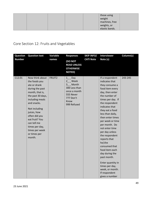|  |  | those using<br>weight |  |
|--|--|-----------------------|--|
|  |  | machines, free        |  |
|  |  | weights, or           |  |
|  |  | elastic bands.        |  |

# Core Section 12: Fruits and Vegetables

| <b>Question</b> | <b>Question text</b>                                                                                                                                                                                                                                                                          | Variable | <b>Responses</b>                                                                                                             | <b>SKIP INFO/</b> | <b>Interviewer</b>                                                                                                                                                                                                                                                                                                                                                                                                                                                                                                   | Column(s) |
|-----------------|-----------------------------------------------------------------------------------------------------------------------------------------------------------------------------------------------------------------------------------------------------------------------------------------------|----------|------------------------------------------------------------------------------------------------------------------------------|-------------------|----------------------------------------------------------------------------------------------------------------------------------------------------------------------------------------------------------------------------------------------------------------------------------------------------------------------------------------------------------------------------------------------------------------------------------------------------------------------------------------------------------------------|-----------|
| <b>Number</b>   |                                                                                                                                                                                                                                                                                               | names    | (DO NOT<br><b>READ UNLESS</b><br><b>OTHERWISE</b><br><b>NOTED)</b>                                                           | <b>CATI Note</b>  | Note (s)                                                                                                                                                                                                                                                                                                                                                                                                                                                                                                             |           |
| C12.01          | Now think about<br>the foods you<br>ate or drank<br>during the past<br>month, that is,<br>the past 30 days,<br>including meals<br>and snacks.<br>Not including<br>juices, how<br>often did you<br>eat fruit? You<br>can tell me<br>times per day,<br>times per week<br>or times per<br>month. | FRUIT2   | $1$ <sub>--</sub> Day<br>2 Week<br>3 Month<br>300 Less than<br>once a month<br>555 Never<br>777 Don't<br>Know<br>999 Refused |                   | If a respondent<br>indicates that<br>they consume a<br>food item every<br>day, then enter<br>the number of<br>times per day. If<br>the respondent<br>indicates that<br>they eat a food<br>less than daily,<br>then enter times<br>per week or time<br>per month. Do<br>not enter time<br>per day unless<br>the respondent<br>reports that<br>he/she<br>consumed that<br>food item each<br>day during the<br>past month.<br>Enter quantity in<br>times per day,<br>week, or month.<br>If respondent<br>gives a number | 243-245   |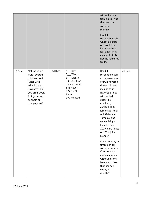|        |                                                                                                                                                                          |          |                                                                                                                                      | without a time<br>frame, ask "was<br>that per day,<br>week, or<br>month?"<br>Read if<br>respondent asks<br>what to include<br>or says 'I don't<br>know': include<br>fresh, frozen or<br>canned fruit. Do<br>not include dried<br>fruits.                                                                                                                                                                                                                                                                |         |
|--------|--------------------------------------------------------------------------------------------------------------------------------------------------------------------------|----------|--------------------------------------------------------------------------------------------------------------------------------------|---------------------------------------------------------------------------------------------------------------------------------------------------------------------------------------------------------------------------------------------------------------------------------------------------------------------------------------------------------------------------------------------------------------------------------------------------------------------------------------------------------|---------|
| C12.02 | Not including<br>fruit-flavored<br>drinks or fruit<br>juices with<br>added sugar,<br>how often did<br>you drink 100%<br>fruit juice such<br>as apple or<br>orange juice? | FRUITJU2 | $1$ <sub>_</sub> _ Day<br>$2_{-}$ Week<br>3_ Month<br>300 Less than<br>once a month<br>555 Never<br>777 Don't<br>Know<br>999 Refused | Read if<br>respondent asks<br>about examples<br>of fruit-flavored<br>drinks: "do not<br>include fruit-<br>flavored drinks<br>with added<br>sugar like<br>cranberry<br>cocktail, Hi-C,<br>lemonade, Kool-<br>Aid, Gatorade,<br>Tampico, and<br>sunny delight.<br>Include only<br>100% pure juices<br>or 100% juice<br>blends."<br>Enter quantity in<br>times per day,<br>week, or month.<br>If respondent<br>gives a number<br>without a time<br>frame, ask "Was<br>that per day,<br>week, or<br>month?" | 246-248 |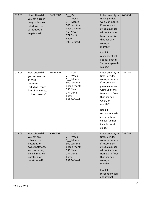| C12.03 | How often did<br>you eat a green<br>leafy or lettuce<br>salad, with or<br>without other<br>vegetables?                                                | <b>FVGREEN1</b> | $1$ <sub>_</sub> Day<br>2 Week<br>3_ Month<br>300 Less than<br>once a month<br>555 Never<br>777 Don't<br>Know<br>999 Refused               | Enter quantity in<br>times per day,<br>week, or month.<br>If respondent<br>gives a number<br>without a time<br>frame, ask "Was<br>that per day,<br>week, or<br>month?"<br>Read if<br>respondent asks<br>about spinach:<br>"Include spinach<br>salads."              | 249-251 |
|--------|-------------------------------------------------------------------------------------------------------------------------------------------------------|-----------------|--------------------------------------------------------------------------------------------------------------------------------------------|---------------------------------------------------------------------------------------------------------------------------------------------------------------------------------------------------------------------------------------------------------------------|---------|
| C12.04 | How often did<br>you eat any kind<br>of fried<br>potatoes,<br>including French<br>fries, home fries,<br>or hash browns?                               | FRENCHF1        | $1$ <sub>_</sub> Day<br>$2_{-}$ Week<br>3_ Month<br>300 Less than<br>once a month<br>555 Never<br>777 Don't<br>Know<br>999 Refused         | Enter quantity in<br>times per day,<br>week, or month.<br>If respondent<br>gives a number<br>without a time<br>frame, ask "Was<br>that per day,<br>week, or<br>month?"<br>Read if<br>respondent asks<br>about potato<br>chips: "Do not<br>include potato<br>chips." | 252-254 |
| C12.05 | How often did<br>you eat any<br>other kind of<br>potatoes, or<br>sweet potatoes,<br>such as baked,<br>boiled, mashed<br>potatoes, or<br>potato salad? | POTATOE1        | $1$ <sub>_</sub> Day<br>$2$ <sub>-</sub> Week<br>3 Month<br>300 Less than<br>once a month<br>555 Never<br>777 Don't<br>Know<br>999 Refused | Enter quantity in<br>times per day,<br>week, or month.<br>If respondent<br>gives a number<br>without a time<br>frame, ask "Was<br>that per day,<br>week, or<br>month?"<br>Read if<br>respondent asks<br>about what                                                  | 255-257 |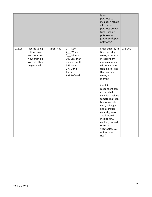|        |                                                                                                   |          |                                                                                                                                         | types of<br>potatoes to<br>include: "Include<br>all types of<br>potatoes except<br>fried. Include<br>potatoes au<br>gratin, scalloped<br>potatoes."                                                                                                                                                                                                                                                                                                |         |
|--------|---------------------------------------------------------------------------------------------------|----------|-----------------------------------------------------------------------------------------------------------------------------------------|----------------------------------------------------------------------------------------------------------------------------------------------------------------------------------------------------------------------------------------------------------------------------------------------------------------------------------------------------------------------------------------------------------------------------------------------------|---------|
| C12.06 | Not including<br>lettuce salads<br>and potatoes,<br>how often did<br>you eat other<br>vegetables? | VEGETAB2 | $1$ <sub>_</sub> Day<br>$2_{-}$ Week<br>$3_{-}$ Month<br>300 Less than<br>once a month<br>555 Never<br>777 Don't<br>Know<br>999 Refused | Enter quantity in<br>times per day,<br>week, or month.<br>If respondent<br>gives a number<br>without a time<br>frame, ask "Was<br>that per day,<br>week, or<br>month?"<br>Read if<br>respondent asks<br>about what to<br>include: "Include<br>tomatoes, green<br>beans, carrots,<br>corn, cabbage,<br>bean sprouts,<br>collard greens,<br>and broccoli.<br>Include raw,<br>cooked, canned,<br>or frozen<br>vegetables. Do<br>not include<br>rice." | 258-260 |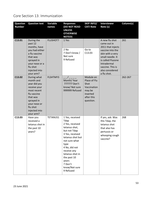### Core Section 13: Immunization

| <b>Question</b><br><b>Number</b> | <b>Question text</b>                                                                                                                                                       | Variable<br>names | <b>Responses</b><br>(DO NOT READ<br><b>UNLESS</b><br><b>OTHERWISE</b><br><b>NOTED)</b>                                                                                                                                                                          | <b>SKIP INFO/</b><br><b>CATI Note</b>                                                             | <b>Interviewer</b><br>Note (s)                                                                                                                                                                           | Column(s) |
|----------------------------------|----------------------------------------------------------------------------------------------------------------------------------------------------------------------------|-------------------|-----------------------------------------------------------------------------------------------------------------------------------------------------------------------------------------------------------------------------------------------------------------|---------------------------------------------------------------------------------------------------|----------------------------------------------------------------------------------------------------------------------------------------------------------------------------------------------------------|-----------|
| C13.01                           | During the<br>past 12<br>months, have<br>you had either<br>a flu vaccine<br>that was<br>sprayed in<br>your nose or a<br>flu shot<br>injected into<br>your arm?             | <b>FLUSHOT7</b>   | 1 Yes<br>2 No<br>7 Don't know /<br>Not sure<br>9 Refused                                                                                                                                                                                                        | Go to<br>C13.03                                                                                   | A new flu shot<br>came out in<br>2011 that injects<br>vaccine into the<br>skin with a very<br>small needle. It<br>is called Fluzone<br>Intradermal<br>vaccine. This is<br>also considered<br>a flu shot. | 261       |
| C13.02                           | During what<br>month and<br>year did you<br>receive your<br>most recent<br>flu vaccine<br>that was<br>sprayed in<br>your nose or<br>flu shot<br>injected into<br>your arm? | FLSHTMY3          | Month/Year<br>777777 Don't<br>know/ Not sure<br>999999 Refused                                                                                                                                                                                                  | Module on<br>Place of Flu<br>Shot<br>Vaccination<br>may be<br>inserted<br>after this<br>question. |                                                                                                                                                                                                          | 262-267   |
| C13.03                           | Have you<br>received a<br>tetanus shot in<br>the past 10<br>years?                                                                                                         | TETANUS1          | 1 Yes, received<br>Tdap<br>2 Yes, received<br>tetanus shot,<br>but not Tdap<br>3 Yes, received<br>tetanus shot but<br>not sure what<br>type<br>4 No, did not<br>receive any<br>tetanus shot in<br>the past 10<br>years<br>7 Don't<br>know/Not sure<br>9 Refused |                                                                                                   | If yes, ask: Was<br>this Tdap, the<br>tetanus shot<br>that also has<br>pertussis or<br>whooping cough<br>vaccine?                                                                                        | 268       |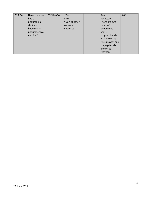| C13.04 | Have you ever | PNEUVAC4 | 1 Yes          | Read if         | 269 |
|--------|---------------|----------|----------------|-----------------|-----|
|        | had a         |          | $2$ No         | necessary:      |     |
|        | pneumonia     |          | 7 Don't know / | There are two   |     |
|        | shot also     |          | Not sure       | types of        |     |
|        | known as a    |          | 9 Refused      | pneumonia       |     |
|        | pneumococcal  |          |                | shots:          |     |
|        | vaccine?      |          |                | polysaccharide, |     |
|        |               |          |                | also known as   |     |
|        |               |          |                | Pneumovax, and  |     |
|        |               |          |                | conjugate, also |     |
|        |               |          |                | known as        |     |
|        |               |          |                | Prevnar.        |     |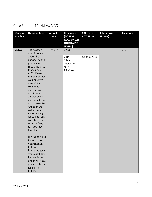### Core Section 14: H.I.V./AIDS

| <b>Question</b><br><b>Number</b> | <b>Question text</b>                                                                                                                                                                                                                                                                                                                                                                                                                                                                                                                                                                          | Variable<br>names | <b>Responses</b><br><b>(DO NOT</b><br><b>READ UNLESS</b><br><b>OTHERWISE</b><br><b>NOTED)</b> | <b>SKIP INFO/</b><br><b>CATI Note</b> | <b>Interviewer</b><br>Note (s) | Column(s) |
|----------------------------------|-----------------------------------------------------------------------------------------------------------------------------------------------------------------------------------------------------------------------------------------------------------------------------------------------------------------------------------------------------------------------------------------------------------------------------------------------------------------------------------------------------------------------------------------------------------------------------------------------|-------------------|-----------------------------------------------------------------------------------------------|---------------------------------------|--------------------------------|-----------|
| C14.01                           | The next few<br>questions are<br>about the<br>national health<br>problem of<br>H.I.V., the virus<br>that causes<br>AIDS. Please<br>remember that<br>your answers<br>are strictly<br>confidential<br>and that you<br>don't have to<br>answer every<br>question if you<br>do not want to.<br>Although we<br>will ask you<br>about testing,<br>we will not ask<br>you about the<br>results of any<br>test you may<br>have had.<br>Including fluid<br>testing from<br>your mouth,<br>but not<br>including tests<br>you may have<br>had for blood<br>donation, have<br>you ever been<br>tested for | HIVTST7           | 1 Yes<br>2 No<br>7 Don't<br>know/ not<br>sure<br>9 Refused                                    | Go to C14.03                          |                                | 270       |
|                                  | H.I.V?                                                                                                                                                                                                                                                                                                                                                                                                                                                                                                                                                                                        |                   |                                                                                               |                                       |                                |           |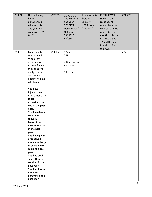| C14.02 | Not including<br>blood<br>donations, in<br>what month<br>and year was<br>your last H.I.V.<br>test?                                                                                                                                                                                                                                                                                                                                                                                                                                                                                                                   | HIVTSTD3        | Code month<br>and year<br>77/ 7777<br>Don't know /<br>Not sure<br>99/9999<br>Refused<br>1 Yes | If response is<br>before<br>January<br>1985, code<br>"777777". | <b>INTERVIEWER</b><br>NOTE: If the<br>respondent<br>remembers the<br>year but cannot<br>remember the<br>month, code the<br>first two digits<br>77 and the last<br>four digits for<br>the year. | 271-276<br>277 |
|--------|----------------------------------------------------------------------------------------------------------------------------------------------------------------------------------------------------------------------------------------------------------------------------------------------------------------------------------------------------------------------------------------------------------------------------------------------------------------------------------------------------------------------------------------------------------------------------------------------------------------------|-----------------|-----------------------------------------------------------------------------------------------|----------------------------------------------------------------|------------------------------------------------------------------------------------------------------------------------------------------------------------------------------------------------|----------------|
| C14.03 | I am going to<br>read you a list.<br>When I am<br>done, please<br>tell me if any of<br>the situations<br>apply to you.<br>You do not<br>need to tell me<br>which one.<br>You have<br>injected any<br>drug other than<br>those<br>prescribed for<br>you in the past<br>year.<br>You have been<br>treated for a<br>sexually<br>transmitted<br>disease or STD<br>in the past<br>year.<br>You have given<br>or received<br>money or drugs<br>in exchange for<br>sex in the past<br>year.<br>You had anal<br>sex without a<br>condom in the<br>past year.<br>You had four or<br>more sex<br>partners in the<br>past year. | <b>HIVRISK5</b> | 2 No<br>7 Don't know<br>/ Not sure<br>9 Refused                                               |                                                                |                                                                                                                                                                                                |                |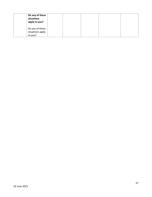| Do any of these<br>situations<br>apply to you? |  |  |  |
|------------------------------------------------|--|--|--|
| Do any of these<br>situations apply<br>to you? |  |  |  |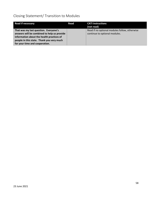## Closing Statement/ Transition to Modules

| <b>Read if necessary</b>                                                             | Read | <b>CATI</b> instructions<br>(not read)                                         |
|--------------------------------------------------------------------------------------|------|--------------------------------------------------------------------------------|
| That was my last question. Everyone's<br>answers will be combined to help us provide |      | Read if no optional modules follow, otherwise<br>continue to optional modules. |
| information about the health practices of                                            |      |                                                                                |
| people in this state. Thank you very much                                            |      |                                                                                |
| for your time and cooperation.                                                       |      |                                                                                |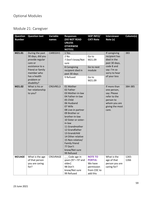# Module 21: Caregiver

| <b>Question</b><br><b>Question text</b><br>Variable<br><b>SKIP INFO/</b><br><b>Interviewer</b><br><b>Responses</b><br><b>Number</b><br>Note (s)<br><b>(DO NOT READ</b><br><b>CATI Note</b> | Column(s) |
|--------------------------------------------------------------------------------------------------------------------------------------------------------------------------------------------|-----------|
| names<br><b>UNLESS</b>                                                                                                                                                                     |           |
| <b>OTHERWISE</b>                                                                                                                                                                           |           |
| <b>NOTED)</b>                                                                                                                                                                              |           |
| M21.01<br>During the past<br>CAREGIV1<br>1 Yes<br>If caregiving                                                                                                                            | 383       |
| 30 days, did you<br>2 No<br>recipient has<br>Go to                                                                                                                                         |           |
| died in the<br>provide regular<br>7 Don't know/Not<br>M21.09<br>past 30 days,<br>care or                                                                                                   |           |
| sure<br>code 8 and<br>assistance to a                                                                                                                                                      |           |
| 8 Caregiving<br>Go to next<br>friend or family<br>say: I'm so<br>recipient died in<br>module                                                                                               |           |
| member who<br>sorry to hear<br>past 30 days                                                                                                                                                |           |
| has a health<br>of your loss<br>9 Refused<br>Go to                                                                                                                                         |           |
| problem or<br>M21.09                                                                                                                                                                       |           |
| disability?                                                                                                                                                                                |           |
| 01 Mother<br>If more than<br>M21.02<br>What is his or<br><b>CRGVREL3</b><br>02 Father<br>her relationship                                                                                  | 384-385   |
| one person,<br>03 Mother-in-law<br>to you?<br>say: Please                                                                                                                                  |           |
| 04 Father-in-law<br>refer to the                                                                                                                                                           |           |
| 05 Child<br>person to                                                                                                                                                                      |           |
| 06 Husband<br>whom you are                                                                                                                                                                 |           |
| 07 Wife<br>giving the most                                                                                                                                                                 |           |
| 08 Live-in partner<br>care.                                                                                                                                                                |           |
| 09 Brother or                                                                                                                                                                              |           |
| brother-in-law<br>10 Sister or sister-                                                                                                                                                     |           |
| in-law                                                                                                                                                                                     |           |
| 11 Grandmother                                                                                                                                                                             |           |
| 12 Grandfather                                                                                                                                                                             |           |
| 13 Grandchild                                                                                                                                                                              |           |
| 14 Other relative                                                                                                                                                                          |           |
| 15 Non-relative/                                                                                                                                                                           |           |
| Family friend<br>77 Don't                                                                                                                                                                  |           |
| know/Not sure                                                                                                                                                                              |           |
| 99 Refused                                                                                                                                                                                 |           |
| M21AGE<br><b>NOTE TO</b><br>What is the<br>What is the age<br>CRGVRAGE<br>__ Code age in                                                                                                   | 1265-     |
| years $[97 = 97$ and<br>of that person<br><b>PORTIA:</b><br>age of that                                                                                                                    | 1266      |
| older]<br>We have<br>you are caring<br>person you are                                                                                                                                      |           |
| for?<br>98 Don't<br>caring for?<br>permission<br>know/Not sure<br>from CDC to                                                                                                              |           |
|                                                                                                                                                                                            |           |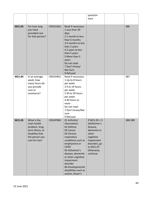|        |                                                                                                                        |          |                                                                                                                                                                                                                                                                                              | question                                                                                                                                                |         |
|--------|------------------------------------------------------------------------------------------------------------------------|----------|----------------------------------------------------------------------------------------------------------------------------------------------------------------------------------------------------------------------------------------------------------------------------------------------|---------------------------------------------------------------------------------------------------------------------------------------------------------|---------|
|        |                                                                                                                        |          |                                                                                                                                                                                                                                                                                              | here                                                                                                                                                    |         |
|        |                                                                                                                        |          |                                                                                                                                                                                                                                                                                              |                                                                                                                                                         |         |
| M21.03 | For how long<br>you have<br>provided care<br>for that person?                                                          | CRGVLNG1 | Read if necessary:<br>1 Less than 30<br>days<br>21 month to less<br>than 6 months<br>36 months to less<br>than 2 years<br>4 2 years to less<br>than 5 years<br>5 More than 5<br>years<br>Do not read:<br>7 Don't Know/<br>Not Sure<br>9 Refused                                              |                                                                                                                                                         | 386     |
| M21.04 | In an average<br>week, how<br>many hours do<br>you provide<br>care or<br>assistance?                                   | CRGVHRS1 | Read if necessary:<br>1 Up to 8 hours<br>per week<br>29 to 19 hours<br>per week<br>3 20 to 39 hours<br>per week<br>4 40 hours or<br>more<br>Do not read:<br>7 Don't know/Not<br>sure<br>9 Refused                                                                                            |                                                                                                                                                         | 387     |
| M21.05 | What is the<br>main health<br>problem, long-<br>term illness, or<br>disability that<br>the person you<br>care for has? | CRGVPRB3 | 01 Arthritis/<br>rheumatism<br>02 Asthma<br>03 Cancer<br>04 Chronic<br>respiratory<br>conditions such as<br>emphysema or<br><b>COPD</b><br>05 Alzheimer's<br>disease, dementia<br>or other cognitive<br>impairment<br>disorder<br>06 Developmental<br>disabilities such as<br>autism, Down's | If $M21.05 = 5$<br>(Alzheimer's<br>disease,<br>dementia or<br>other<br>cognitive<br>impairment<br>disorder), go<br>to M21.07.<br>Otherwise,<br>continue | 388-389 |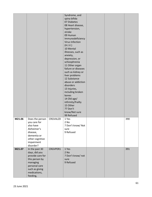|        |                                                                                                                                                  |          | Syndrome, and<br>spina bifida<br>07 Diabetes<br>08 Heart disease,<br>hypertension,<br>stroke<br>09 Human<br>Immunodeficiency<br><b>Virus Infection</b><br>(H.I.V.)<br>10 Mental<br>illnesses, such as<br>anxiety,<br>depression, or<br>schizophrenia<br>11 Other organ<br>failure or diseases<br>such as kidney or<br>liver problems<br>12 Substance<br>abuse or addiction<br>disorders<br>13 Injuries,<br>including broken<br>bones<br>14 Old age/<br>infirmity/frailty<br>15 Other<br>77 Don't<br>know/Not sure<br>99 Refused |  |     |
|--------|--------------------------------------------------------------------------------------------------------------------------------------------------|----------|---------------------------------------------------------------------------------------------------------------------------------------------------------------------------------------------------------------------------------------------------------------------------------------------------------------------------------------------------------------------------------------------------------------------------------------------------------------------------------------------------------------------------------|--|-----|
| M21.06 | Does the person<br>you care for<br>also have<br>Alzheimer's<br>disease,<br>dementia or<br>other cognitive<br>impairment<br>disorder?             | CRGVALZD | 1 Yes<br>2 No<br>7 Don't know/ Not<br>sure<br>9 Refused                                                                                                                                                                                                                                                                                                                                                                                                                                                                         |  | 390 |
| M21.07 | In the past 30<br>days, did you<br>provide care for<br>this person by<br>managing<br>personal care<br>such as giving<br>medications,<br>feeding, | CRGVPER1 | 1 Yes<br>2 No<br>7 Don't know/ not<br>sure<br>9 Refused                                                                                                                                                                                                                                                                                                                                                                                                                                                                         |  | 391 |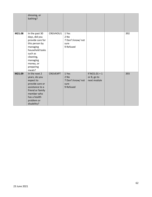|        | dressing, or<br>bathing?                                                                                                                                                     |                 |                                                           |                                               |     |
|--------|------------------------------------------------------------------------------------------------------------------------------------------------------------------------------|-----------------|-----------------------------------------------------------|-----------------------------------------------|-----|
| M21.08 | In the past 30<br>days, did you<br>provide care for<br>this person by<br>managing<br>household tasks<br>such as<br>cleaning,<br>managing<br>money, or<br>preparing<br>meals? | CRGVHOU1        | 1 Yes<br>2 No<br>7 Don't know/ not<br>sure<br>9 Refused   |                                               | 392 |
| M21.09 | In the next 2<br>years, do you<br>expect to<br>provide care or<br>assistance to a<br>friend or family<br>member who<br>has a health<br>problem or<br>disability?             | <b>CRGVEXPT</b> | 1 Yes<br>$2$ No<br>7 Don't know/ not<br>sure<br>9 Refused | If $M21.01 = 1$<br>or 8, go to<br>next module | 393 |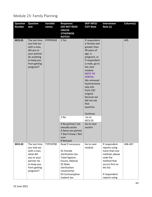## Module 23: Family Planning

| <b>Question</b><br><b>Number</b> | <b>Question</b><br>text                                                                                                              | Variable<br>names | <b>Responses</b><br><b>(DO NOT READ</b>                                                                                                              | <b>SKIP INFO/</b><br><b>CATI Note</b>                                                                                                                                                                                                                                                                                                                               | <b>Interviewer</b><br>Note (s)                                                                                                                                 | Column(s) |
|----------------------------------|--------------------------------------------------------------------------------------------------------------------------------------|-------------------|------------------------------------------------------------------------------------------------------------------------------------------------------|---------------------------------------------------------------------------------------------------------------------------------------------------------------------------------------------------------------------------------------------------------------------------------------------------------------------------------------------------------------------|----------------------------------------------------------------------------------------------------------------------------------------------------------------|-----------|
|                                  |                                                                                                                                      |                   | <b>UNLESS</b><br><b>OTHERWISE</b><br><b>NOTED)</b>                                                                                                   |                                                                                                                                                                                                                                                                                                                                                                     |                                                                                                                                                                |           |
| M23.01                           | The last time<br>you had sex<br>with a man,<br>did you or<br>your partner<br>do anything<br>to keep you<br>from getting<br>pregnant? | PFPPRVN3          | 1 Yes<br>2 No<br>3 No partner/ not<br>sexually active<br>4 Same sex partner<br>7 Don't know / Not<br>sure                                            | If respondent<br>is female and<br>greater than<br>49 years of<br>age, is<br>pregnant, or<br>if respondent<br>is male, go to<br>the next<br>module.<br><b>NOTE TO</b><br><b>PORTIA:</b><br>We removed<br>hysterectomy<br>skip info<br>from CDC<br>original<br>because we<br>did not ask<br>that<br>question.<br>Continue<br>Go to<br>M23.03<br>Go to next<br>section |                                                                                                                                                                | 405       |
| M23.02                           |                                                                                                                                      | TYPCNTR8          | 9 Refused<br>Read if necessary:                                                                                                                      | Go to next                                                                                                                                                                                                                                                                                                                                                          |                                                                                                                                                                | 406-407   |
|                                  | The last time<br>you had sex<br>with a man,<br>what did<br>you or your<br>partner do<br>to keep you<br>from getting<br>pregnant?     |                   | 01 Female<br>sterilization (ex.<br>Tubal ligation,<br>Essure, Adiana)<br>02 Male<br>sterilization<br>(vasectomy)<br>03 Contraceptive<br>implant (ex. | module                                                                                                                                                                                                                                                                                                                                                              | If respondent<br>reports using<br>more than one<br>method, please<br>code the<br>method that<br>occurs first on<br>the list.<br>If respondent<br>reports using |           |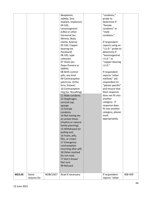|        |             |          | Nexplanon,           | "condoms,"        |         |
|--------|-------------|----------|----------------------|-------------------|---------|
|        |             |          | Jadelle, Sino        | probe to          |         |
|        |             |          | Implant, Implanon)   | determine if      |         |
|        |             |          | 04 IUD,              | "female           |         |
|        |             |          | Levonorgestrel       | condoms" or       |         |
|        |             |          | (LNG) or other       | "male             |         |
|        |             |          | hormonal (ex.        | condoms."         |         |
|        |             |          | Mirena, Skyla,       |                   |         |
|        |             |          | Liletta, Kylena)     | If respondent     |         |
|        |             |          | 05 IUD, Copper-      | reports using an  |         |
|        |             |          | bearing (ex.         | "I.U.D." probe to |         |
|        |             |          | ParaGard)            | determine if      |         |
|        |             |          | 06 IUD, type         | "levonorgestrel   |         |
|        |             |          | unknown              | I.U.D." or        |         |
|        |             |          | 07 Shots (ex.        | "copper-bearing   |         |
|        |             |          | Depo-Provera or      | I.U.D.'           |         |
|        |             |          | DMPA)                |                   |         |
|        |             |          | 08 Birth control     | If respondent     |         |
|        |             |          | pills, any kind      | reports "other    |         |
|        |             |          | 09 Contraceptive     | method," ask      |         |
|        |             |          | patch (ex. Ortho     | respondent to     |         |
|        |             |          | Evra, Xulane)        | "please specific" |         |
|        |             |          | 10 Contraceptive     | and ensure that   |         |
|        |             |          | ring (ex. NuvaRing)  | their response    |         |
|        |             |          | 11 Male condoms      | does not fit into |         |
|        |             |          | 12 Diaphragm,        | another           |         |
|        |             |          | cervical cap,        | category. If      |         |
|        |             |          | sponge               | response does     |         |
|        |             |          | 13 Female            | fit into another  |         |
|        |             |          | condoms              | category, please  |         |
|        |             |          | 14 Not having sex    | mark              |         |
|        |             |          | at certain times     | appropriately.    |         |
|        |             |          | (rhythm or natural   |                   |         |
|        |             |          | family planning)     |                   |         |
|        |             |          | 15 Withdrawal (or    |                   |         |
|        |             |          | pulling out)         |                   |         |
|        |             |          | 16 Foam, jelly,      |                   |         |
|        |             |          | film, or cream       |                   |         |
|        |             |          | 17 Emergency         |                   |         |
|        |             |          | contraception        |                   |         |
|        |             |          | (morning after pill) |                   |         |
|        |             |          | 18 Other method      |                   |         |
|        |             |          | Do not read:         |                   |         |
|        |             |          | 77 Don't know/       |                   |         |
|        |             |          | Not sure             |                   |         |
|        |             |          | 99 Refused           |                   |         |
|        |             |          |                      |                   |         |
|        |             |          |                      |                   |         |
| M23.03 | Some        | NOBCUSE7 | Read if necessary:   | If respondent     | 408-409 |
|        | reasons for |          |                      | reports "other    |         |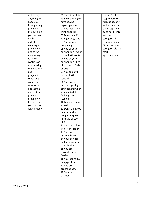| not doing     | 01 You didn't think  | reason," ask      |  |
|---------------|----------------------|-------------------|--|
| anything to   | you were going to    | respondent to     |  |
| keep you      | have sex/no          | "please specify"  |  |
| from getting  | regular partner      | and ensure that   |  |
| pregnant      | 02 You just didn't   | their response    |  |
| the last time | think about it       | does not fit into |  |
| you had sex   | 03 Don't care if     | another           |  |
| might         | you get pregnant     | category. If      |  |
| include       | 04 You want a        | response does     |  |
| wanting a     | pregnancy            | fit into another  |  |
| pregnancy,    | 05 You or your       | category, please  |  |
| not being     | partner don't want   | mark              |  |
| able to pay   | to use birth control | appropriately.    |  |
| for birth     | 06 You or your       |                   |  |
| control, or   | partner don't like   |                   |  |
| not thinking  | birth control/side   |                   |  |
| that you can  | effects              |                   |  |
| get           | 07 You couldn't      |                   |  |
| pregnant.     | pay for birth        |                   |  |
| What was      | control              |                   |  |
| your main     | 08 You had a         |                   |  |
| reason for    | problem getting      |                   |  |
| not using a   | birth control when   |                   |  |
| method to     | you needed it        |                   |  |
| prevent       | 09 Religious         |                   |  |
| pregnancy     | reasons              |                   |  |
| the last time | 10 Lapse in use of   |                   |  |
| you had sex   | a method             |                   |  |
| with a man?   | 11 Don't think you   |                   |  |
|               | or your partner      |                   |  |
|               | can get pregnant     |                   |  |
|               | (infertile or too    |                   |  |
|               | old)                 |                   |  |
|               | 12 You had tubes     |                   |  |
|               | tied (sterilization) |                   |  |
|               | 13 You had a         |                   |  |
|               | hysterectomy         |                   |  |
|               | 14 Your partner      |                   |  |
|               | had a vasectomy      |                   |  |
|               | (sterilization       |                   |  |
|               | 15 You are           |                   |  |
|               | currently breast-    |                   |  |
|               | feeding              |                   |  |
|               | 16 You just had a    |                   |  |
|               | baby/postpartum      |                   |  |
|               | 17 You are           |                   |  |
|               | pregnant now         |                   |  |
|               | 18 Same sex          |                   |  |
|               | partner              |                   |  |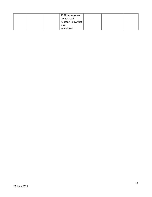|      | 19 Other reasons  |  |  |
|------|-------------------|--|--|
|      | Do not read:      |  |  |
|      | 77 Don't know/Not |  |  |
| sure |                   |  |  |
|      | 99 Refused        |  |  |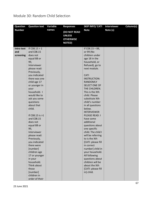### Module 30: Random Child Selection

| <b>Question</b> | <b>Question text</b>           | Variable | <b>Responses</b>                                                   | <b>SKIP INFO/ CATI</b>             | <b>Interviewer</b> | Column(s) |
|-----------------|--------------------------------|----------|--------------------------------------------------------------------|------------------------------------|--------------------|-----------|
| <b>Number</b>   |                                | names    | (DO NOT READ<br><b>UNLESS</b><br><b>OTHERWISE</b><br><b>NOTED)</b> | <b>Note</b>                        | Note (s)           |           |
| Intro text      | If $CO8.15 > 1$                |          |                                                                    | If $CO8.15 = 88$ ,                 |                    |           |
| and             | and C08.15                     |          |                                                                    | or 99 (No                          |                    |           |
| screening       | does not                       |          |                                                                    | children under                     |                    |           |
|                 | equal 88 or                    |          |                                                                    | age 18 in the                      |                    |           |
|                 | 99,                            |          |                                                                    | household, or                      |                    |           |
|                 | Interviewer                    |          |                                                                    | Refused), go to                    |                    |           |
|                 | please read:                   |          |                                                                    | next module.                       |                    |           |
|                 | Previously,                    |          |                                                                    | <b>CATI</b>                        |                    |           |
|                 | you indicated<br>there was one |          |                                                                    | <b>INSTRUCTION:</b>                |                    |           |
|                 | child age 17                   |          |                                                                    | <b>RANDOMLY</b>                    |                    |           |
|                 | or younger in                  |          |                                                                    | <b>SELECT ONE OF</b>               |                    |           |
|                 | your                           |          |                                                                    | THE CHILDREN.                      |                    |           |
|                 | household. I                   |          |                                                                    | This is the Xth                    |                    |           |
|                 | would like to                  |          |                                                                    | child. Please                      |                    |           |
|                 | ask you some                   |          |                                                                    | substitute Xth                     |                    |           |
|                 | questions                      |          |                                                                    | child's number                     |                    |           |
|                 | about that                     |          |                                                                    | in all questions                   |                    |           |
|                 | child.                         |          |                                                                    | below.                             |                    |           |
|                 |                                |          |                                                                    | <b>INTERVIEWER</b>                 |                    |           |
|                 | If $C08.15$ is $>1$            |          |                                                                    | <b>PLEASE READ: I</b>              |                    |           |
|                 | and C08.15                     |          |                                                                    | have some                          |                    |           |
|                 | does not                       |          |                                                                    | additional                         |                    |           |
|                 | equal 88 or                    |          |                                                                    | questions about                    |                    |           |
|                 | 99,<br>Interviewer             |          |                                                                    | one specific<br>child. The child I |                    |           |
|                 | please read:                   |          |                                                                    | will be referring                  |                    |           |
|                 | Previously,                    |          |                                                                    | to is the Xth                      |                    |           |
|                 | you indicated                  |          |                                                                    | [CATI: please fill                 |                    |           |
|                 | there were                     |          |                                                                    | in correct                         |                    |           |
|                 | [number]                       |          |                                                                    | number] child in                   |                    |           |
|                 | children age                   |          |                                                                    | your household.                    |                    |           |
|                 | 17 or younger                  |          |                                                                    | All following                      |                    |           |
|                 | in your                        |          |                                                                    | questions about                    |                    |           |
|                 | household.                     |          |                                                                    | children will be                   |                    |           |
|                 | Think about                    |          |                                                                    | about the Xth                      |                    |           |
|                 | those                          |          |                                                                    | [CATI: please fill                 |                    |           |
|                 | [number]                       |          |                                                                    | in] child.                         |                    |           |
|                 | children in                    |          |                                                                    |                                    |                    |           |
|                 | order of their                 |          |                                                                    |                                    |                    |           |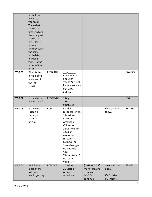|        | birth, from<br>oldest to<br>youngest.<br>The oldest<br>child is the<br>first child and<br>the youngest<br>child is the<br>last. Please<br>include<br>children with<br>the same<br>birth date,<br>including<br>twins, in the<br>order of their<br>birth. |                 |                                                                                                                                                                                                                                            |                                                                        |                                                             |         |
|--------|---------------------------------------------------------------------------------------------------------------------------------------------------------------------------------------------------------------------------------------------------------|-----------------|--------------------------------------------------------------------------------------------------------------------------------------------------------------------------------------------------------------------------------------------|------------------------------------------------------------------------|-------------------------------------------------------------|---------|
| M30.01 | What is the<br>birth month<br>and year of<br>the [Xth]<br>child?                                                                                                                                                                                        | <b>RCSBIRTH</b> | Code month<br>and year<br>77/ 7777 Don't<br>know / Not sure<br>99/9999<br>Refused                                                                                                                                                          |                                                                        |                                                             | 624-629 |
| M30.02 | Is the child a<br>boy or a girl?                                                                                                                                                                                                                        | <b>RCSGENDR</b> | 1 Boy<br>2 Girl<br>9 Refused                                                                                                                                                                                                               |                                                                        |                                                             | 630     |
| M30.03 | Is the child<br>Hispanic,<br>Latino/a, or<br>Spanish<br>origin?                                                                                                                                                                                         | RCHISLA1        | Read if<br>response is yes:<br>1 Mexican,<br>Mexican<br>American,<br>Chicano/a<br>2 Puerto Rican<br>3 Cuban<br>4 Another<br>Hispanic,<br>Latino/a, or<br>Spanish origin<br>Do not read:<br>5 No<br>7 Don't know /<br>Not sure<br>9 Refused |                                                                        | If yes, ask: Are<br>they                                    | 631-634 |
| M30.04 | Which one or<br>more of the<br>following<br>would you say                                                                                                                                                                                               | RCSRACE1        | 10 White<br>20 Black or<br>African<br>American                                                                                                                                                                                             | [CATI NOTE: If<br>more than one<br>response to<br>M30.04;<br>continue. | Select all that<br>apply<br>If 40 (Asian) or<br>50 (Pacific | 635-662 |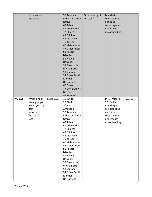|        | is the race of |          | 30 American                         | Otherwise, go to | Islander) is     |         |
|--------|----------------|----------|-------------------------------------|------------------|------------------|---------|
|        | the child?     |          | Indian or Alaska                    | M30.06.]         | selected read    |         |
|        |                |          | <b>Native</b>                       |                  | and code         |         |
|        |                |          | 40 Asian                            |                  | subcategories    |         |
|        |                |          | 41 Asian Indian                     |                  | underneath       |         |
|        |                |          | 42 Chinese                          |                  | major heading.   |         |
|        |                |          | 43 Filipino                         |                  |                  |         |
|        |                |          | 44 Japanese                         |                  |                  |         |
|        |                |          | 45 Korean                           |                  |                  |         |
|        |                |          | 46 Vietnamese                       |                  |                  |         |
|        |                |          | 47 Other Asian                      |                  |                  |         |
|        |                |          | <b>50 Pacific</b>                   |                  |                  |         |
|        |                |          | <b>Islander</b>                     |                  |                  |         |
|        |                |          | 51 Native                           |                  |                  |         |
|        |                |          | Hawaiian                            |                  |                  |         |
|        |                |          | 52 Guamanian                        |                  |                  |         |
|        |                |          | or Chamorro                         |                  |                  |         |
|        |                |          | 53 Samoan                           |                  |                  |         |
|        |                |          | 54 Other Pacific                    |                  |                  |         |
|        |                |          | Islander                            |                  |                  |         |
|        |                |          | Do not read:                        |                  |                  |         |
|        |                |          | 60 Other                            |                  |                  |         |
|        |                |          | 77 Don't know /                     |                  |                  |         |
|        |                |          | Not sure                            |                  |                  |         |
|        |                |          | 99 Refused                          |                  |                  |         |
| M30.05 | Which one of   | RCSBRAC2 | 10 White                            |                  | If 40 (Asian) or | 663-664 |
|        | these groups   |          | 20 Black or                         |                  | 50 (Pacific      |         |
|        | would you say  |          | African                             |                  | Islander) is     |         |
|        | best           |          | American                            |                  | selected read    |         |
|        | represents     |          | 30 American                         |                  | and code         |         |
|        | the child's    |          | Indian or Alaska                    |                  | subcategories    |         |
|        | race?          |          | Native                              |                  | underneath       |         |
|        |                |          | 40 Asian                            |                  | major heading.   |         |
|        |                |          | 41 Asian Indian                     |                  |                  |         |
|        |                |          | 42 Chinese                          |                  |                  |         |
|        |                |          | 43 Filipino                         |                  |                  |         |
|        |                |          | 44 Japanese                         |                  |                  |         |
|        |                |          | 45 Korean                           |                  |                  |         |
|        |                |          | 46 Vietnamese                       |                  |                  |         |
|        |                |          | 47 Other Asian<br><b>50 Pacific</b> |                  |                  |         |
|        |                |          | <b>Islander</b>                     |                  |                  |         |
|        |                |          | 51 Native                           |                  |                  |         |
|        |                |          | Hawaiian                            |                  |                  |         |
|        |                |          |                                     |                  |                  |         |
|        |                |          |                                     |                  |                  |         |
|        |                |          | 52 Guamanian                        |                  |                  |         |
|        |                |          | or Chamorro                         |                  |                  |         |
|        |                |          | 53 Samoan                           |                  |                  |         |
|        |                |          | 54 Other Pacific<br>Islander        |                  |                  |         |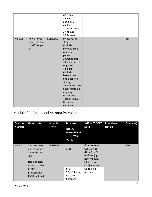|        |                                                      |          | 60 Other<br>88 No<br>additional<br>choices<br>77 Don't know<br>/ Not sure<br>99 Refused                                                                                                                                                                                                                                    |  |     |
|--------|------------------------------------------------------|----------|----------------------------------------------------------------------------------------------------------------------------------------------------------------------------------------------------------------------------------------------------------------------------------------------------------------------------|--|-----|
| M30.06 | How are you<br>related to the<br>child? Are you<br>a | RCSRLTN2 | Please read:<br>1 Parent<br>(include<br>biologic, step,<br>or adoptive<br>parent)<br>2 Grandparent<br>3 Foster parent<br>or guardian<br>4 Sibling<br>(include<br>biologic, step,<br>and adoptive<br>sibling)<br>5 Other relative<br>6 Not related in<br>any way<br>Do not read:<br>7 Don't know /<br>Not sure<br>9 Refused |  | 665 |

### Module 31: Childhood Asthma Prevalence

| <b>Question</b><br><b>Number</b> | <b>Question text</b>                                                                        | Variable<br>names | <b>Responses</b><br>(DO NOT<br><b>READ UNLESS</b><br><b>OTHERWISE</b><br><b>NOTED)</b> | SKIP INFO/ CATI Interviewer<br><b>Note</b>                                                                              | Note (s) | Column(s) |
|----------------------------------|---------------------------------------------------------------------------------------------|-------------------|----------------------------------------------------------------------------------------|-------------------------------------------------------------------------------------------------------------------------|----------|-----------|
| M31.01                           | The next two<br>questions are<br>about the Xth<br>child.<br>Has a doctor,<br>nurse or other | CASTHDX2          | 1 Yes                                                                                  | If response to<br>$C08.15 = 88$<br>(None) or 99<br>(Refused), go to<br>next module.<br>Fill in correct<br>[Xth] number. |          | 666       |
|                                  | health<br>professional<br>EVER said that                                                    |                   | $2$ No<br>7 Don't know/<br>not sure<br>9 Refused                                       | Go to next<br>module                                                                                                    |          |           |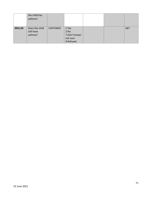|        | the child has<br>asthma?                |                      |                                                           |  |     |
|--------|-----------------------------------------|----------------------|-----------------------------------------------------------|--|-----|
| M31.02 | Does the child<br>still have<br>asthma? | CASTHNO <sub>2</sub> | 1 Yes<br>$2$ No<br>7 Don't know/<br>not sure<br>9 Refused |  | 667 |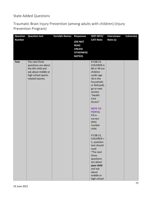### State Added Questions

Traumatic Brain Injury Prevention (among adults with children) (Injury Prevention Program)

| Question      | <b>Question text</b>                                                                                                          | <b>Variable Names</b> | <b>Responses</b>                                                             | <b>SKIP INFO/</b>                                                                                                                                                                                                                                                                                                                                                                                                                                                | <b>Interviewer</b> | Column(s) |
|---------------|-------------------------------------------------------------------------------------------------------------------------------|-----------------------|------------------------------------------------------------------------------|------------------------------------------------------------------------------------------------------------------------------------------------------------------------------------------------------------------------------------------------------------------------------------------------------------------------------------------------------------------------------------------------------------------------------------------------------------------|--------------------|-----------|
| <b>Number</b> |                                                                                                                               |                       | (DO NOT<br><b>READ</b><br><b>UNLESS</b><br><b>OTHERWISE</b><br><b>NOTED)</b> | <b>CATI Note</b>                                                                                                                                                                                                                                                                                                                                                                                                                                                 | Note (s)           |           |
| <b>Text</b>   | The next three<br>questions are about<br>the Xth child and<br>ask about middle or<br>high school sports-<br>related injuries. |                       |                                                                              | If C08.15,<br><b>CHILDREN is</b><br>88 or 99 (no<br>children<br>under age<br>18 in the<br>household,<br>or Refused),<br>go to next<br>section<br>"Health<br>Care<br>Access"<br><b>NOTE TO</b><br><b>PORTIA:</b><br>Fill in<br>correct<br>[X <sub>th</sub> ]<br>number<br>child.<br>If C08.15,<br>CHILDREN =<br>1, question<br>text should<br>read:<br>"The next<br>three<br>questions<br>are about<br>your child<br>and ask<br>about<br>middle or<br>high school |                    |           |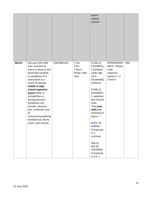|        |                                                                                                                                                                                                                                                                                                                                                                                          |            |                                                | sports-<br>related<br>injuries."                                                                                                                                                                                                                                                                                                                               |                                                                                        |     |
|--------|------------------------------------------------------------------------------------------------------------------------------------------------------------------------------------------------------------------------------------------------------------------------------------------------------------------------------------------------------------------------------------------|------------|------------------------------------------------|----------------------------------------------------------------------------------------------------------------------------------------------------------------------------------------------------------------------------------------------------------------------------------------------------------------------------------------------------------------|----------------------------------------------------------------------------------------|-----|
| S02.01 | Has your Xth child<br>ever received an<br>injury or blow to the<br>head that resulted<br>in symptoms of a<br>concussion as a<br>result of playing<br>middle or high<br>school-organized<br>sports either in<br>competition or<br>during practice?<br>Symptoms can<br>include: memory<br>loss, confusion, loss<br>of<br>consciousness/being<br>knocked out, blurry<br>vision, and nausea. | CNCSSNCHLD | 1 Yes<br>2 No<br>7 Don't<br>Know / Not<br>Sure | If C08.15,<br>CHILDREN $\geq$<br>1 (children<br>under age<br>18 in<br>household),<br>continue.<br>If C08.15,<br>$CHILDREN =$<br>1, question<br>text should<br>read:<br>"Has your<br>child ever<br>received an<br>injury"<br><b>NOTE TO</b><br><b>PORTIA:</b><br>If response<br>is 1,<br>continue<br>Skip to<br>SO2.03,<br>CNCSSNED<br>if response<br>is 2 or 7 | <b>INTERVIEWER</b><br>NOTE: Please<br>read<br>response<br>options 1, 2,<br>$3$ and $4$ | 904 |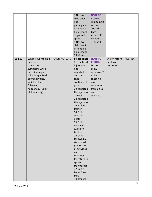|        |                                                                                                                                                                                                    |              | 3 No, my<br>child does<br>not<br>participate<br>in middle or<br>high school<br>organized<br>sports<br>4 No, my<br>child is not<br>in middle or<br>high school                                                                                                                                                                                                                                                                                                                                         | <b>NOTE TO</b><br><b>PORTIA:</b><br>Skip to next<br>section<br>"Health<br>Care<br>Access" if<br>response is<br>3, 4, or 9                      |                                       |         |
|--------|----------------------------------------------------------------------------------------------------------------------------------------------------------------------------------------------------|--------------|-------------------------------------------------------------------------------------------------------------------------------------------------------------------------------------------------------------------------------------------------------------------------------------------------------------------------------------------------------------------------------------------------------------------------------------------------------------------------------------------------------|------------------------------------------------------------------------------------------------------------------------------------------------|---------------------------------------|---------|
| S02.02 | When your Xth child<br>had those<br>concussion<br>symptoms while<br>participating in<br>school-organized<br>sport activities,<br>which of the<br>following<br>happened? (Select<br>all that apply) | CNCSSNCHLDFU | 9 Refused<br>Please read:<br>01 The head<br>injury was<br>not<br>reported,<br>and the<br>child<br>continued to<br>play<br>02 Reported<br>the injury to<br>a coach<br>03 Reported<br>the injury to<br>an athletic<br>trainer<br>04 Child<br>seen by a<br>doctor<br>05 Child<br>received<br>cognitive<br>testing<br>06 Child<br>followed a<br>structured<br>progression<br>of activities<br>and<br>treatment<br>for return to<br>sports<br>Do not read:<br>77 Don't<br>know / Not<br>Sure<br>99 Refused | <b>NOTE TO</b><br><b>PORTIA:</b><br>Do not<br>allow<br>response 01<br>to be<br>chosen if<br>any<br>responses<br>from 02-06<br>are<br>selected. | Allow/record<br>multiple<br>responses | 905-916 |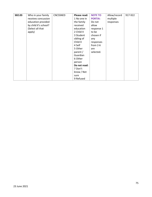| S02.03 | Who in your family   | CNCSSNED | Please read: | <b>NOTE TO</b> | Allow/record | 917-922 |
|--------|----------------------|----------|--------------|----------------|--------------|---------|
|        | receives concussion  |          | 1 No one in  | <b>PORTIA:</b> | multiple     |         |
|        | education provided   |          | the family   | Do not         | responses    |         |
|        | by child X's school? |          | received     | allow          |              |         |
|        | (Select all that     |          | education    | response 1     |              |         |
|        | apply)               |          | 2 Child X    | to be          |              |         |
|        |                      |          | 3 Student    | chosen if      |              |         |
|        |                      |          | sibling of   | any            |              |         |
|        |                      |          | Child X      | responses      |              |         |
|        |                      |          | 4 Self       | from $2-6$     |              |         |
|        |                      |          | 5 Other      | are            |              |         |
|        |                      |          | parent /     | selected.      |              |         |
|        |                      |          | Guardian     |                |              |         |
|        |                      |          | 6 Other      |                |              |         |
|        |                      |          | person       |                |              |         |
|        |                      |          | Do not read: |                |              |         |
|        |                      |          | 7 Don't      |                |              |         |
|        |                      |          | know / Not   |                |              |         |
|        |                      |          | sure         |                |              |         |
|        |                      |          | 9 Refused    |                |              |         |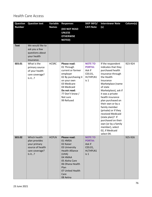## Health Care Access

| <b>Question</b> | <b>Question text</b>                                                                          | Variable     | <b>Responses</b>                                                                                                                                                                             | <b>SKIP INFO/</b>                                                                    | <b>Interviewer Note</b>                                                                                                                                                                                                                                                                                                                                                                                                                    | Column(s) |
|-----------------|-----------------------------------------------------------------------------------------------|--------------|----------------------------------------------------------------------------------------------------------------------------------------------------------------------------------------------|--------------------------------------------------------------------------------------|--------------------------------------------------------------------------------------------------------------------------------------------------------------------------------------------------------------------------------------------------------------------------------------------------------------------------------------------------------------------------------------------------------------------------------------------|-----------|
| <b>Number</b>   |                                                                                               | <b>Names</b> | <b>(DO NOT READ</b><br><b>UNLESS</b><br><b>OTHERWISE</b><br><b>NOTED)</b>                                                                                                                    | <b>CATI Note</b>                                                                     | (s)                                                                                                                                                                                                                                                                                                                                                                                                                                        |           |
| <b>Text</b>     | We would like to<br>ask you a few<br>questions about<br>your health<br>insurance.             |              |                                                                                                                                                                                              |                                                                                      |                                                                                                                                                                                                                                                                                                                                                                                                                                            |           |
| S03.01          | What is the<br>primary source<br>of your health<br>care coverage?<br>Is it?                   | <b>HCSRC</b> | Please read:<br>01 Through<br>current or former<br>employer<br>02 By purchasing it<br>on your own<br>03 Medicare<br>04 Medicaid<br>Do not read:<br>77 Don't know /<br>Not sure<br>99 Refused | <b>NOTE TO</b><br><b>PORTIA:</b><br>Ask if<br>C03.01,<br>HLTHPLN1<br>is <sub>1</sub> | If the respondent<br>indicates that they<br>purchased health<br>insurance through<br>the Health<br>Insurance<br>Marketplace (name<br>of state<br>Marketplace), ask if<br>it was a private<br>health insurance<br>plan purchased on<br>their own or by a<br>family member<br>(private) or if they<br>received Medicaid<br>(state plan)? If<br>purchased on their<br>own (or by a family<br>member), select<br>02, if Medicaid<br>select 04. | 923-924   |
| S03.02          | Which health<br>plan provides<br>your primary<br>source of health<br>care coverage?<br>Is it? | <b>HCPLN</b> | Please read:<br>01 HMSA<br>02 Kaiser<br>03 University<br><b>Health Alliance</b><br>(UHA)<br>04 HMAA<br>05 Aloha Care<br>06 Ohana Health<br>Plan<br>07 United Health<br>Care<br>08 Aetna      | <b>NOTE TO</b><br><b>PORTIA:</b><br>Ask if<br>C03.01,<br>HLTHPLN1<br>is <sub>1</sub> |                                                                                                                                                                                                                                                                                                                                                                                                                                            | 925-926   |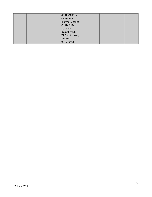|  | 09 TRICARE or    |  |  |
|--|------------------|--|--|
|  | <b>CHAMPVA</b>   |  |  |
|  | (Formerly called |  |  |
|  | CHAMPUS)         |  |  |
|  | 10 Other         |  |  |
|  | Do not read:     |  |  |
|  | 77 Don't know /  |  |  |
|  | Not sure         |  |  |
|  | 99 Refused       |  |  |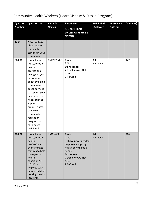| <b>Question</b> | <b>Question text</b>                                                                                                                                                                                                                                                                                                        | Variable         | <b>Responses</b>                                                                                                                                          | <b>SKIP INFO/</b> | <b>Interviewer</b> | Column(s) |
|-----------------|-----------------------------------------------------------------------------------------------------------------------------------------------------------------------------------------------------------------------------------------------------------------------------------------------------------------------------|------------------|-----------------------------------------------------------------------------------------------------------------------------------------------------------|-------------------|--------------------|-----------|
| <b>Number</b>   |                                                                                                                                                                                                                                                                                                                             | <b>Names</b>     | (DO NOT READ<br><b>UNLESS OTHERWISE</b><br><b>NOTED)</b>                                                                                                  | <b>CATI Note</b>  | Note (s)           |           |
| <b>Text</b>     | Now I will ask<br>about support<br>for health<br>services in your<br>community.                                                                                                                                                                                                                                             |                  |                                                                                                                                                           |                   |                    |           |
| S04.01          | Has a doctor,<br>nurse, or other<br>health<br>professional<br>ever given you<br>information<br>about available<br>community-<br>based services<br>to support your<br>health or basic<br>needs such as<br>support<br>groups, classes,<br>counselors,<br>community<br>recreation<br>programs or<br>faith-based<br>activities? | <b>CMMTYINFO</b> | 1 Yes<br>2 No<br>Do not read:<br>7 Don't know / Not<br>sure<br>9 Refused                                                                                  | Ask<br>everyone   |                    | 927       |
| S04.02          | Has a doctor,<br>nurse, or other<br>health<br>professional<br>ever arranged<br>services to help<br>manage your<br>health<br>condition AT<br>HOME or to<br>help you with<br>basic needs like<br>housing, health<br>insurance,                                                                                                | <b>HMESVCS</b>   | 1 Yes<br>$2$ No<br>3 I have never needed<br>help to manage my<br>health or with basic<br>needs<br>Do not read:<br>7 Don't know / Not<br>sure<br>9 Refused | Ask<br>everyone   |                    | 928       |

# Community Health Workers (Heart Disease & Stroke Program)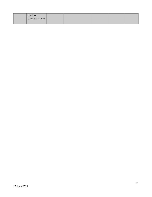| food, or        |  |  |  |
|-----------------|--|--|--|
| transportation? |  |  |  |
|                 |  |  |  |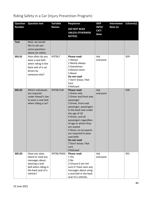| <b>Question</b> | <b>Question text</b>                                                                                                             | Variable          | <b>Responses</b>                                                                                                                                                                                                                                                                                                                                                               | <b>SKIP</b>                         | <b>Interviewer</b> | Column(s) |
|-----------------|----------------------------------------------------------------------------------------------------------------------------------|-------------------|--------------------------------------------------------------------------------------------------------------------------------------------------------------------------------------------------------------------------------------------------------------------------------------------------------------------------------------------------------------------------------|-------------------------------------|--------------------|-----------|
| <b>Number</b>   |                                                                                                                                  | <b>Names</b>      | (DO NOT READ<br><b>UNLESS OTHERWISE</b><br><b>NOTED)</b>                                                                                                                                                                                                                                                                                                                       | INFO/<br><b>CATI</b><br><b>Note</b> | Note (s)           |           |
| <b>Text</b>     | Next, we would<br>like to ask you<br>some questions<br>about car safety.                                                         |                   |                                                                                                                                                                                                                                                                                                                                                                                |                                     |                    |           |
| S05.01          | How often do you<br>wear a seat belt<br>when riding in the<br>back seat of a car<br>driven by<br>someone else?                   | <b>IPSTBLT</b>    | Please read:<br>1 Always<br>2 Nearly always<br>3 Sometimes<br>4 Almost never<br>5 Never<br>Do not read:<br>7 Don't know / Not<br>Sure<br>9 Refused                                                                                                                                                                                                                             | Ask<br>everyone                     |                    | 929       |
| S05.02          | Which individuals<br>are required<br>under Hawaii's law<br>to wear a seat belt<br>when riding a car?                             | <b>IPSTBLTLW</b>  | Please read:<br>1 Driver only<br>2 Driver and front seat<br>passenger<br>3 Driver, front seat<br>passenger, passengers<br>in the back seat under<br>the age of 18<br>4 Driver, and all<br>passengers regardless<br>of age or where they<br>are seated<br>5 None, no occupants<br>are required to wear<br>seat belts<br>Do not read:<br>7 Don't know / Not<br>sure<br>9 Refused | Ask<br>everyone                     |                    | 930       |
| S05.03          | Have you seen,<br>heard or read any<br>messages about<br>wearing a seat<br>belt when riding in<br>the back seat of a<br>vehicle? | <b>IPSTBLTMSG</b> | Please read:<br>1 Yes<br>2 No<br>3 Unsure (I am not<br>sure if I have seen any<br>messages about using<br>a seat belt in the back<br>seat of a vehicle).                                                                                                                                                                                                                       | Ask<br>everyone                     |                    | 931       |

# Riding Safety in a Car (Injury Prevention Program)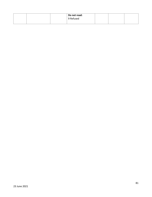|  | Do not read:<br>9 Refused |  |  |
|--|---------------------------|--|--|
|  |                           |  |  |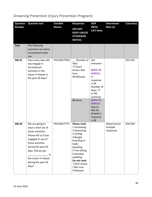| <b>Question</b> | <b>Question text</b>                                                                                                                                                                                                                  | <b>Variable</b>    | <b>Responses</b>                                                                                                                                                                                            | <b>SKIP</b>                                                                                                                                                                                                                     | <b>Interviewer</b>                    | Column(s) |
|-----------------|---------------------------------------------------------------------------------------------------------------------------------------------------------------------------------------------------------------------------------------|--------------------|-------------------------------------------------------------------------------------------------------------------------------------------------------------------------------------------------------------|---------------------------------------------------------------------------------------------------------------------------------------------------------------------------------------------------------------------------------|---------------------------------------|-----------|
| <b>Number</b>   |                                                                                                                                                                                                                                       | <b>Names</b>       | (DO NOT<br><b>READ UNLESS</b><br><b>OTHERWISE</b><br><b>NOTED)</b>                                                                                                                                          | INFO/<br><b>CATI Note</b>                                                                                                                                                                                                       | Note (s)                              |           |
| <b>Text</b>     | The following<br>questions are about<br>recreational water<br>use.                                                                                                                                                                    |                    |                                                                                                                                                                                                             |                                                                                                                                                                                                                                 |                                       |           |
| S06.01          | How many days did<br>you engage in<br>recreational<br>activities in the<br>ocean in Hawaii in<br>the past 30 days?                                                                                                                    | <b>IPOCNACTFRQ</b> | _ _ Number of<br>days<br>77 Don't<br>know / Not<br>Sure<br>99 Refused<br>88 None                                                                                                                            | Ask<br>everyone<br><b>NOTE TO</b><br><b>PORTIA:</b><br>If<br>response<br>is XX<br>Number of<br>days, 77<br>or 99,<br>continue<br><b>NOTE TO</b><br><b>PORTIA:</b><br>Skip to<br>S06.03,<br><b>IPSWM if</b><br>response<br>is 88 |                                       | 932-933   |
| S06.02          | We are going to<br>read a short list of<br>ocean activities.<br>Please tell us if you<br>engaged in any of<br>those activities<br>during the past 30<br>days. Did you go<br>in.<br>the ocean in Hawaii<br>during the past 30<br>days? | <b>IPOCNACTTYP</b> | Please read:<br>1 Snorkeling<br>2 Swimming<br>3 Surfing<br>4 Boogie<br>boarding or<br>body<br>boarding<br>5 Free diving<br>6 Standup<br>paddling<br>Do not read:<br>7 Don't know<br>/ Not sure<br>9 Refused |                                                                                                                                                                                                                                 | Allow/record<br>multiple<br>responses | 934-939   |

# Drowning Prevention (Injury Prevention Program)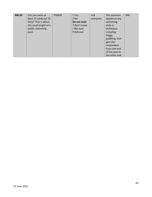| S06.03 | Can you swim at       | <b>IPSWM</b> | 1 Yes        | Ask      | This question  | 940 |
|--------|-----------------------|--------------|--------------|----------|----------------|-----|
|        | least 25 yards (or 75 |              | $2$ No       | everyone | applies to any |     |
|        | feet)? That is about  |              | Do not read: |          | swimming       |     |
|        | the usual length of a |              | 7 Don't know |          | style or       |     |
|        | public swimming       |              | / Not sure   |          | technique,     |     |
|        | pool.                 |              | 9 Refused    |          | including      |     |
|        |                       |              |              |          | doggy          |     |
|        |                       |              |              |          | paddling, that |     |
|        |                       |              |              |          | gets the       |     |
|        |                       |              |              |          | respondent     |     |
|        |                       |              |              |          | from one end   |     |
|        |                       |              |              |          | of the pool to |     |
|        |                       |              |              |          | the other end. |     |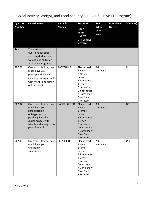| Physical Activity, Weight, and Food Security (UH OPHS, SNAP-ED Program) |  |  |  |
|-------------------------------------------------------------------------|--|--|--|
|-------------------------------------------------------------------------|--|--|--|

| <b>Question</b> | <b>Question text</b>                                                                                                                                                         | Variable           | <b>Responses</b>                                                                                                                                         | <b>SKIP</b>                         | <b>Interviewer</b> | Column(s) |
|-----------------|------------------------------------------------------------------------------------------------------------------------------------------------------------------------------|--------------------|----------------------------------------------------------------------------------------------------------------------------------------------------------|-------------------------------------|--------------------|-----------|
| <b>Number</b>   |                                                                                                                                                                              | <b>Names</b>       | <b>(DO NOT</b><br><b>READ</b><br><b>UNLESS</b><br><b>OTHERWISE</b><br><b>NOTED)</b>                                                                      | INFO/<br><b>CATI</b><br><b>Note</b> | Note (s)           |           |
| <b>Text</b>     | The next set of<br>questions ask about<br>your physical activity,<br>weight, and Nutrition<br>Assistance Programs.                                                           |                    |                                                                                                                                                          |                                     |                    |           |
| S07.01          | Over your lifetime, how<br>much have you<br>participated in hula,<br>including during school,<br>with friends and family,<br>or in a halau?                                  | PAEVRHULA          | Please read:<br>1 Never<br>2 Almost<br>never<br>3 Sometimes<br>4 Often<br>5 Very often<br>Do not read:<br>7 Don't know<br>/ Not Sure<br>9 Refused        | Ask<br>everyone                     |                    | 941       |
| S07.02          | Over your lifetime, how<br>much have you<br>participated in<br>outrigger canoe<br>paddling, including<br>during school, with<br>friends and family, or as<br>part of a club? | <b>PAOTRGGRFRQ</b> | <b>Please read:</b><br>1 Never<br>2 Almost<br>never<br>3 Sometimes<br>4 Often<br>5 Very often<br>Do not read:<br>7 Don't know<br>/ Not Sure<br>9 Refused | Ask<br>everyone                     |                    | 942       |
| S07.03          | Over your lifetime, how<br>much have you<br>engaged in<br>spearfishing?                                                                                                      | SPEARFISH          | Please read:<br>1 Never<br>2 Almost<br>never<br>3 Sometimes<br>4 Often<br>5 Very often<br>Do not read:<br>7 Don't know<br>/ Not Sure<br>9 Refused        | Ask<br>everyone                     |                    | 943       |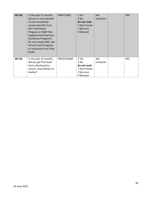| S07.04 | In the past 12 months,        | SNAP12MO   | 1 Yes        | Ask      | 944 |
|--------|-------------------------------|------------|--------------|----------|-----|
|        | did you or any member         |            | $2$ No       | everyone |     |
|        | of your household             |            | Do not read: |          |     |
|        | receive benefits from         |            | 7 Don't know |          |     |
|        | the Food Stamp                |            | / Not sure   |          |     |
|        | Program or SNAP (the          |            | 9 Refused    |          |     |
|        | <b>Supplemental Nutrition</b> |            |              |          |     |
|        | <b>Assistance Program)?</b>   |            |              |          |     |
|        | Do not include WIC, the       |            |              |          |     |
|        | School Lunch Program,         |            |              |          |     |
|        | or assistance from food       |            |              |          |     |
|        | banks.                        |            |              |          |     |
|        |                               |            |              |          |     |
| S07.05 | In the past 12 months,        | FREEFD12MO | 1 Yes        | Ask      | 945 |
|        | did you get free food         |            | 2 No         | everyone |     |
|        | from a food pantry,           |            | Do not read: |          |     |
|        | church, soup kitchen or       |            | 7 Don't know |          |     |
|        | shelter?                      |            | / Not sure   |          |     |
|        |                               |            | 9 Refused    |          |     |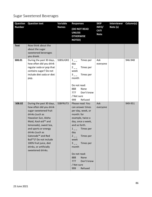# Sugar Sweetened Beverages

| Question      | <b>Question text</b>                                                                                                                                                                                                                                                                                                                                                | Variable     | <b>Responses</b>                                                                                                                                                                                                                                                                                                                                    | <b>SKIP</b>                         | <b>Interviewer</b> | Column(s) |
|---------------|---------------------------------------------------------------------------------------------------------------------------------------------------------------------------------------------------------------------------------------------------------------------------------------------------------------------------------------------------------------------|--------------|-----------------------------------------------------------------------------------------------------------------------------------------------------------------------------------------------------------------------------------------------------------------------------------------------------------------------------------------------------|-------------------------------------|--------------------|-----------|
| <b>Number</b> |                                                                                                                                                                                                                                                                                                                                                                     | <b>Names</b> | <b>(DO NOT READ</b><br><b>UNLESS</b><br><b>OTHERWISE</b><br><b>NOTED)</b>                                                                                                                                                                                                                                                                           | INFO/<br><b>CATI</b><br><b>Note</b> | Note (s)           |           |
| <b>Text</b>   | Now think about the<br>about the sugar<br>sweetened beverages<br>you drank.                                                                                                                                                                                                                                                                                         |              |                                                                                                                                                                                                                                                                                                                                                     |                                     |                    |           |
| S08.01        | During the past 30 days,<br>how often did you drink<br>regular soda or pop that<br>contains sugar? Do not<br>include diet soda or diet<br>pop.                                                                                                                                                                                                                      | SSBSUGR2     | Times per<br>$1\degree$<br>day<br>$2 \quad - \quad -$<br>Times per<br>week<br>$3 \quad -$<br>Times per<br>month<br>Do not read:<br>888<br>None<br>777<br>Don't know<br>/ Not sure<br>Refused<br>999                                                                                                                                                 | Ask<br>everyone                     |                    | 946-948   |
| S08.02        | During the past 30 days,<br>how often did you drink<br>sugar-sweetened fruit<br>drinks (such as<br>Hawaiian Sun, Aloha<br>Maid, Kool-aid™ and<br>lemonade), sweet tea,<br>and sports or energy<br>drinks (such as<br>Gatorade <sup>™</sup> and Red<br>Bull <sup>™</sup> )? Do not include<br>100% fruit juice, diet<br>drinks, or artificially<br>sweetened drinks. | SSBFRUT3     | Please read: You<br>can answer times<br>per day, week, or<br>month: for<br>example, twice a<br>day, once a week,<br>and so forth.<br>Times per<br>$1 \quad - \quad$<br>day<br>Times per<br>$2 \quad - \quad -$<br>week<br>3 <sub>__</sub> __ Times per<br>month<br>Do not read:<br>None<br>888<br>Don't know<br>777<br>/ Not sure<br>Refused<br>999 | Ask<br>everyone                     |                    | 949-951   |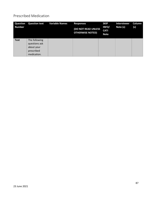## Prescribed Medication

| <b>Question</b><br><b>Number</b> | <b>Question text</b>                                                      | <b>Variable Names</b> | <b>Responses</b><br>(DO NOT READ UNLESS<br><b>OTHERWISE NOTED)</b> | <b>SKIP</b><br>INFO/<br><b>CATI</b><br><b>Note</b> | <b>Interviewer</b><br>Note (s) | Column<br>(s) |
|----------------------------------|---------------------------------------------------------------------------|-----------------------|--------------------------------------------------------------------|----------------------------------------------------|--------------------------------|---------------|
| <b>Text</b>                      | The following<br>questions ask<br>about your<br>prescribed<br>medication. |                       |                                                                    |                                                    |                                |               |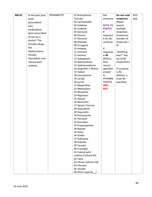| S09.01<br>Ask<br><b>IPPAINRXTYP</b><br>01 Butorphanol<br>In the past year, | Do not read    | $952 -$ |
|----------------------------------------------------------------------------|----------------|---------|
| Tartrate<br>everyone<br>what                                               | responses      | 963     |
| 02 Carisoprodol<br>prescription                                            | Allow/         |         |
| 03 Celebrex<br><b>NOTE TO</b><br>pain                                      | record         |         |
| 04 Codeine<br><b>PORTIA:</b><br>medications                                | multiple       |         |
| 05 Darvocet<br>If<br>were prescribed                                       | responses      |         |
| 06 Darvon<br>response                                                      | (maximum       |         |
| to you by a<br>07 Demerol<br>is 01-46,                                     | number of      |         |
| doctor? This<br>08 Dilaudid<br>continue                                    | $responents =$ |         |
| includes drugs<br>09 Duragesic                                             | 6)             |         |
| like<br>10 Embeda<br>If                                                    |                |         |
| Hydrocodone,<br>11 Fentanyl<br>response                                    | "Anything      |         |
| Vicodin,<br>12 Fentora<br>is 46                                            | else?" See     |         |
| Oxycodone and<br>13 Gabapentin<br>(Other),                                 | list of 46     |         |
| Tylenol with<br>14 Hydrocodone<br>then                                     | medications    |         |
| 15 Hydromorphone<br>record<br>codeine.                                     |                |         |
| 16 Ibuprofen / Motrin<br>specified                                         | If response    |         |
| 17 Kadian<br>answer                                                        | is 46          |         |
| 18 Levorphanol<br>in:                                                      | (Other), it    |         |
| 19 Lortab<br><b>IPPAINRX</b>                                               | must be        |         |
| 20 Lorcet<br><b>TYPOTH</b>                                                 | specified      |         |
| 21 Meperidine<br>$(964 -$                                                  |                |         |
| 22 Methadone<br>991)                                                       |                |         |
| 23 Morphine                                                                |                |         |
| 24 Naproxen                                                                |                |         |
| 25 Narcan                                                                  |                |         |
| 26 Neurontin                                                               |                |         |
| 27 Opium Tincture                                                          |                |         |
| 28 Oxycodone                                                               |                |         |
| 29 Oxycontin                                                               |                |         |
| 30 Pentazocine                                                             |                |         |
| 31 Percocet                                                                |                |         |
| 32 Percodan                                                                |                |         |
| 33 Propoxyphene                                                            |                |         |
| 34 Roxicet                                                                 |                |         |
| 35 Soma                                                                    |                |         |
| 36 Stadol                                                                  |                |         |
| 37 Suboxone                                                                |                |         |
| 38 Subutex                                                                 |                |         |
| 39 Toradol                                                                 |                |         |
| 40 Tramadol                                                                |                |         |
| 41 Tylenol with                                                            |                |         |
| codeine (Tylenol #3)                                                       |                |         |
| 42 Tylox                                                                   |                |         |
| 43 Ultram (Ultram ER)                                                      |                |         |
| 44 Ultracet                                                                |                |         |
| 45 Vicodin                                                                 |                |         |
| 46 Other (specify_)                                                        |                |         |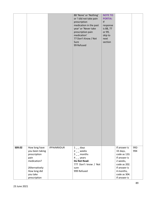|        |                                                                                                                       |                    | 88 'None' or 'Nothing'<br>or 'I did not take pain<br>prescription<br>medication in the past<br>year' or 'Never take<br>prescription pain<br>medication'<br>77 Don't Know / Not<br>Sure<br>99 Refused | <b>NOTE TO</b><br><b>PORTIA:</b><br>$\sf l\sf f$<br>response<br>is 88, 77<br>or 99,<br>skip to<br>next<br>section |                                                                                                                                   |      |
|--------|-----------------------------------------------------------------------------------------------------------------------|--------------------|------------------------------------------------------------------------------------------------------------------------------------------------------------------------------------------------------|-------------------------------------------------------------------------------------------------------------------|-----------------------------------------------------------------------------------------------------------------------------------|------|
| S09.02 | How long have                                                                                                         | <b>IPPAINRXDUR</b> | $1\_\_$ days                                                                                                                                                                                         |                                                                                                                   | If answer is                                                                                                                      | 992- |
|        | you been taking<br>prescription<br>pain<br>medication?<br>(Alternatively:<br>How long did<br>you take<br>prescription |                    | $2 -$ weeks<br>$3 -$ months<br>$4 -$ years<br>Do Not Read:<br>777 Don't know / Not<br>sure<br>999 Refused                                                                                            |                                                                                                                   | 33 days,<br>code as 133.<br>If answer is<br>2 weeks,<br>code as 202.<br>If answer is<br>4 months,<br>code as 304.<br>If answer is | 994  |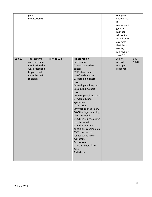|        | pain<br>medication?)                                                                                             |                    |                                                                                                                                                                                                                                                                                                                                                                                                                                                                                                                                                                     | one year,<br>code as 401.<br>If<br>respondent<br>gives a<br>number<br>without a<br>time frame,<br>ask "was<br>that days,<br>weeks,<br>months, or<br>years?" |              |
|--------|------------------------------------------------------------------------------------------------------------------|--------------------|---------------------------------------------------------------------------------------------------------------------------------------------------------------------------------------------------------------------------------------------------------------------------------------------------------------------------------------------------------------------------------------------------------------------------------------------------------------------------------------------------------------------------------------------------------------------|-------------------------------------------------------------------------------------------------------------------------------------------------------------|--------------|
| S09.03 | The last time<br>you used pain<br>medication that<br>was prescribed<br>to you, what<br>were the main<br>reasons? | <b>IPPAINRXRSN</b> | Please read if<br>necessary:<br>01 Pain related to<br>cancer<br>02 Post-surgical<br>care/medical care<br>03 Back pain, short<br>term<br>04 Back pain, long term<br>05 Joint pain, short<br>term<br>06 Joint pain, long term<br>07 Carpal tunnel<br>syndrome<br>08 Arthritis<br>09 Work-related injury<br>10 Other injury causing<br>short term pain<br>11 Other injury causing<br>long term pain<br>12 Other physical<br>conditions causing pain<br>13 To prevent or<br>relieve withdrawal<br>symptoms<br>Do not read:<br>77 Don't know / Not<br>sure<br>99 Refused | Allow/<br>record<br>multiple<br>responses                                                                                                                   | 995-<br>1020 |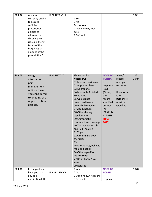| S09.04 | Are you<br>currently unable<br>to acquire<br>sufficient<br>prescription<br>opioids to<br>address your<br>chronic pain<br>issues, either in<br>terms of the<br>frequency or | IPPAINRXINSUF       | 1 Yes<br>2 No<br>Do not read:<br>7 Don't know / Not<br>sure<br>9 Refused                                                                                                                                                                                                                                                                                                                                                                                                                                                      |                                                                                                                                                                                  |                                                                                                          | 1021          |
|--------|----------------------------------------------------------------------------------------------------------------------------------------------------------------------------|---------------------|-------------------------------------------------------------------------------------------------------------------------------------------------------------------------------------------------------------------------------------------------------------------------------------------------------------------------------------------------------------------------------------------------------------------------------------------------------------------------------------------------------------------------------|----------------------------------------------------------------------------------------------------------------------------------------------------------------------------------|----------------------------------------------------------------------------------------------------------|---------------|
|        | amount of the<br>prescription?                                                                                                                                             |                     |                                                                                                                                                                                                                                                                                                                                                                                                                                                                                                                               |                                                                                                                                                                                  |                                                                                                          |               |
| S09.05 | What<br>alternative<br>pain<br>management<br>options have<br>you considered<br>to ongoing use<br>of prescription<br>opioids?                                               | <b>IPPAINRXALT</b>  | Please read if<br>necessary:<br>01 Medical marijuana<br>02 Buprenorphine<br>03 Naltrexone<br>04 Medically Assisted<br>Treatment<br>05 Opioids not<br>prescribed to me<br>06 Herbal remedies<br>07 Acupuncture<br>08 Other dietary<br>supplements<br>09 Chiropractic<br>treatment and massage<br>10 Therapeutic touch<br>and Reiki healing<br>11 Yoga<br>12 Other mind-body<br>therapies<br>13<br>Psychotherapy/behavio<br>ral modification<br>14 Other (specify)<br>Do not read:<br>77 Don't know / Not<br>sure<br>99 Refused | <b>NOTE TO</b><br><b>PORTIA:</b><br>If<br>response<br>is 14<br>(Other)<br>then<br>record<br>specified<br>answer<br>in:<br><b>IPPAINRX</b><br><b>ALTOTH</b><br>$(1050 -$<br>1077) | Allow/<br>record<br>multiple<br>responses<br>If response<br>is 14<br>(Other), it<br>must be<br>specified | 1022-<br>1049 |
| S09.06 | In the past year,<br>have you had<br>any pain<br>medication left                                                                                                           | <b>IPPNRXLFTOVR</b> | 1 Yes<br>$2$ No<br>7 Don't Know/ Not sure<br>9 Refused                                                                                                                                                                                                                                                                                                                                                                                                                                                                        | <b>NOTE TO</b><br><b>PORTIA:</b><br>If<br>response                                                                                                                               |                                                                                                          | 1078          |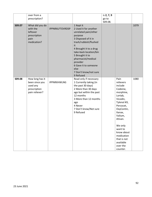|        | over from a<br>prescription?                                                    |                        |                                                                                                                                                                                                                                                                                                            | is 2, 7, 9<br>go to<br>S09.08. |                                                                                                                                                                                                                                                              |      |
|--------|---------------------------------------------------------------------------------|------------------------|------------------------------------------------------------------------------------------------------------------------------------------------------------------------------------------------------------------------------------------------------------------------------------------------------------|--------------------------------|--------------------------------------------------------------------------------------------------------------------------------------------------------------------------------------------------------------------------------------------------------------|------|
| S09.07 | What did you do<br>with the<br>leftover<br>prescription<br>pain<br>medication?  | <b>IPPNRXLFTOVRDSP</b> | 1 Kept it<br>2 Used it for another<br>unrelated pain/other<br>purpose<br>3 Disposed of it in<br>trash/rubbish/flushed<br>it<br>4 Brought it to a drug<br>take-back location/bin<br>5 Brought it to<br>pharmacist/medical<br>provider<br>6 Gave it to someone<br>else<br>7 Don't know/not sure<br>9 Refused |                                |                                                                                                                                                                                                                                                              | 1079 |
| S09.08 | How long has it<br>been since you<br>used any<br>prescription<br>pain reliever? | <b>IPPNRXHWLNG</b>     | Read only if necessary<br>1 Currently taking (in<br>the past 30 days)<br>2 More than 30 days<br>ago but within the past<br>12 months<br>3 More than 12 months<br>ago<br>4 Never<br>7 Don't know/Not sure<br>9 Refused                                                                                      |                                | Pain<br>relievers<br>include<br>Codeine,<br>morphine,<br>Lortab,<br>Vicodin,<br>Tylenol #3,<br>Percocet,<br>OxyContin,<br>Xanax,<br>Valium,<br>Ativan.<br>We only<br>want to<br>know about<br>medication<br>that is not<br>available<br>over the<br>counter. | 1080 |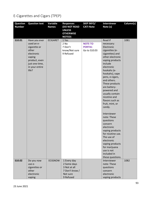# E-Cigarettes and Cigars (TPEP)

| <b>Question</b> | <b>Question text</b> | <b>Variable</b> | <b>Responses</b> | <b>SKIP INFO/</b> | <b>Interviewer</b>              | Column(s) |
|-----------------|----------------------|-----------------|------------------|-------------------|---------------------------------|-----------|
| <b>Number</b>   |                      | <b>Names</b>    | (DO NOT READ     | <b>CATI Note</b>  | Note (s)                        |           |
|                 |                      |                 | <b>UNLESS</b>    |                   |                                 |           |
|                 |                      |                 | <b>OTHERWISE</b> |                   |                                 |           |
|                 |                      |                 | <b>NOTED)</b>    |                   |                                 |           |
| S10.01          | Have you ever        | <b>ECIGARET</b> | 1 Yes            |                   | Read if                         | 1081      |
|                 | used an e-           |                 | 2 No             | <b>NOTE TO</b>    | necessary:                      |           |
|                 | cigarette or         |                 | 7 Don't          | <b>PORTIA:</b>    | Electronic                      |           |
|                 | other                |                 | know/Not sure    | Go to S10.03      | cigarettes (e-                  |           |
|                 | electronic           |                 | 9 Refused        |                   | cigarettes) and                 |           |
|                 | vaping               |                 |                  |                   | other electronic                |           |
|                 | product, even        |                 |                  |                   | vaping products                 |           |
|                 | just one time,       |                 |                  |                   | include                         |           |
|                 | in your entire       |                 |                  |                   | electronic                      |           |
|                 | life?                |                 |                  |                   | hookahs (e-                     |           |
|                 |                      |                 |                  |                   | hookahs), vape                  |           |
|                 |                      |                 |                  |                   | pens, e-cigars,                 |           |
|                 |                      |                 |                  |                   | and others.                     |           |
|                 |                      |                 |                  |                   | These products                  |           |
|                 |                      |                 |                  |                   | are battery-                    |           |
|                 |                      |                 |                  |                   | powered and                     |           |
|                 |                      |                 |                  |                   | usually contain<br>nicotine and |           |
|                 |                      |                 |                  |                   | flavors such as                 |           |
|                 |                      |                 |                  |                   |                                 |           |
|                 |                      |                 |                  |                   | fruit, mint, or<br>candy.       |           |
|                 |                      |                 |                  |                   |                                 |           |
|                 |                      |                 |                  |                   | Interviewer                     |           |
|                 |                      |                 |                  |                   | note: These                     |           |
|                 |                      |                 |                  |                   | questions                       |           |
|                 |                      |                 |                  |                   | concern                         |           |
|                 |                      |                 |                  |                   | electronic                      |           |
|                 |                      |                 |                  |                   | vaping products                 |           |
|                 |                      |                 |                  |                   | for nicotine use.               |           |
|                 |                      |                 |                  |                   | The use of                      |           |
|                 |                      |                 |                  |                   | electronic                      |           |
|                 |                      |                 |                  |                   | vaping products                 |           |
|                 |                      |                 |                  |                   | for marijuana                   |           |
|                 |                      |                 |                  |                   | use is not                      |           |
|                 |                      |                 |                  |                   | included in                     |           |
|                 |                      |                 |                  |                   | these questions.                |           |
| S10.02          | Do you now           | <b>ECIGNOW</b>  | 1 Every day      |                   | Interviewer                     | 1082      |
|                 | use e-               |                 | 2 Some days      |                   | note: These                     |           |
|                 | cigarettes or        |                 | 3 Not at all     |                   | questions                       |           |
|                 | other                |                 | 7 Don't know /   |                   | concern                         |           |
|                 | electronic           |                 | Not sure         |                   | electronic                      |           |
|                 | vaping               |                 | 9 Refused        |                   | vaping products                 |           |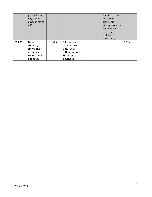|        | products every<br>day, some<br>days, or not at<br>all?                            |               |                                                                                       | for nicotine use.<br>The use of<br>electronic<br>vaping products<br>for marijuana<br>use is not<br>included in<br>these questions. |      |
|--------|-----------------------------------------------------------------------------------|---------------|---------------------------------------------------------------------------------------|------------------------------------------------------------------------------------------------------------------------------------|------|
| S10.03 | Do you<br>currently<br>smoke cigars<br>every day,<br>some days, or<br>not at all? | <b>CIGARS</b> | 1 Every day<br>2 Some days<br>3 Not at all<br>7 Don't know /<br>Not sure<br>9 Refused |                                                                                                                                    | 1083 |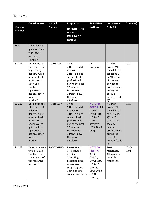Tobacco

|                                  | <b>Question text</b>                                                                                                                                                                           | Variable         | <b>Responses</b>                                                                                                                                                                      | <b>SKIP INFO/</b>                                                                                                            | <b>Interviewer</b>                                                                                                                                                               | Column(s)     |
|----------------------------------|------------------------------------------------------------------------------------------------------------------------------------------------------------------------------------------------|------------------|---------------------------------------------------------------------------------------------------------------------------------------------------------------------------------------|------------------------------------------------------------------------------------------------------------------------------|----------------------------------------------------------------------------------------------------------------------------------------------------------------------------------|---------------|
| <b>Question</b><br><b>Number</b> |                                                                                                                                                                                                | <b>Names</b>     | (DO NOT READ<br><b>UNLESS</b><br><b>OTHERWISE</b><br><b>NOTED)</b>                                                                                                                    | <b>CATI Note</b>                                                                                                             | Note (s)                                                                                                                                                                         |               |
| <b>Text</b>                      | The following<br>questions deal<br>with issues<br>related to<br>smoking.                                                                                                                       |                  |                                                                                                                                                                                       |                                                                                                                              |                                                                                                                                                                                  |               |
| S11.01                           | During the past<br>12 months, did<br>any doctor,<br>dentist, nurse<br>or other health<br>professional<br>ask if you<br>smoke<br>cigarettes or<br>use any other<br>tobacco<br>product?          | <b>TOBHPASK</b>  | 1 Yes<br>2 No, they did<br>not ask<br>3 No, I did not<br>see any health<br>professionals<br>during the past<br>12 months<br>Do not read<br>7 Don't know /<br>Not sure<br>9 Refused    | Ask<br>Everyone                                                                                                              | If 2 then<br>probe: "No,<br>they did not<br>ask (code 2)"<br>or "No, you<br>did not see<br>any health<br>professionals<br>during the<br>past 12<br>months (code<br>3)''          | 1084          |
| S11.02                           | During the past<br>12 months, did<br>a doctor,<br>dentist, nurse,<br>or other health<br>professional<br>advise you to<br>quit smoking<br>cigarettes or<br>use any other<br>tobacco<br>product? | <b>TOBHPADV</b>  | 1 Yes<br>2 No, they did<br>not advise<br>3 No, I did not<br>see any health<br>professionals<br>during the past<br>12 months<br>Do not read<br>7 Don't know /<br>Not sure<br>9 Refused | <b>NOTE TO</b><br><b>PORTIA: Ask</b><br>if C09.01,<br>SMOKE100<br>is 1 AND<br>current<br>smokers<br>$(C09.02 = 1)$<br>or 2). | If 2 then<br>probe: "No,<br>they did not<br>advise (code<br>$2)''$ or "No,<br>you did not<br>see any<br>health<br>professionals<br>during the<br>past 12<br>months (code<br>3)'' | 1085          |
| S11.03                           | When you were<br>trying to quit<br>smoking, did<br>you use any of<br>the following<br>methods?                                                                                                 | <b>TOBQTMTHD</b> | Please read:<br>1 Telephone<br>quitline<br>2 Smoking<br>cessation class,<br>program or<br>support group<br>3 One-on-one<br>counseling from a                                          | <b>NOTE TO</b><br><b>PORTIA:</b><br>Ask if<br>C09.01,<br>SMOKE100<br>is 1 AND<br>C09.03,<br>STOPSMK2<br>is 1 OR<br>C09.04,   | Read<br>responses.<br>Allow/record<br>multiple<br>responses.                                                                                                                     | 1086-<br>1091 |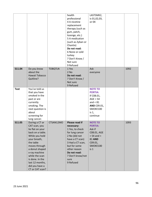|             |                                                                                                                                                                                                                                                                         |                | health<br>professional<br>4 A nicotine<br>replacement<br>therapy (such as<br>gum, patch,<br>lozenge, etc.)<br>5 A medication<br>(such as Zyban or<br>Chantix)<br>Do not read:<br>6 None or cold<br>turkey<br>7 Don't Know /<br>Not sure<br>9 Refused | LASTSMK2,<br>is 01,02,03,<br>or 04                                                                                                     |      |
|-------------|-------------------------------------------------------------------------------------------------------------------------------------------------------------------------------------------------------------------------------------------------------------------------|----------------|------------------------------------------------------------------------------------------------------------------------------------------------------------------------------------------------------------------------------------------------------|----------------------------------------------------------------------------------------------------------------------------------------|------|
| S11.04      | Do you know<br>about the<br>Hawaii Tobacco<br>Quitline?                                                                                                                                                                                                                 | <b>TOBQTLN</b> | 1 Yes<br>2 No<br>Do not read:<br>7 Don't Know /<br>Not sure<br>9 Refused                                                                                                                                                                             | Ask<br>everyone                                                                                                                        | 1092 |
| <b>Text</b> | You've told us<br>that you have<br>smoked in the<br>past or are<br>currently<br>smoking. The<br>next question is<br>about<br>screening for<br>lung cancer.                                                                                                              |                |                                                                                                                                                                                                                                                      | <b>NOTE TO</b><br><b>PORTIA:</b><br>If C08.01,<br>AGE > 54<br>and $< 81$<br>AND C09.01,<br>SMOKE100<br>is $1,$<br>continue             |      |
| S11.05      | During a CT or<br>CAT scan, you<br>lie flat on your<br>back on a table.<br>While you hold<br>your breath,<br>the table<br>moves through<br>a donut shaped<br>x-ray machine<br>while the scan<br>is done. In the<br>last 12 months,<br>did you have a<br>CT or CAT scan? | CTSAN12MO      | Please read if<br>necessary:<br>1 Yes, to check<br>for lung cancer<br>2 No (did not<br>have a CT scan)<br>3 Had a CT scan,<br>but for some<br>other reason<br>Do not read:<br>7 Don't know/not<br>sure<br>9 Refused                                  | <b>NOTE TO</b><br><b>PORTIA:</b><br>Ask if<br>C08.01, AGE<br>$> 54$ and $<$<br><b>81 AND</b><br>C09.01,<br>SMOKE100<br>is <sub>1</sub> | 1093 |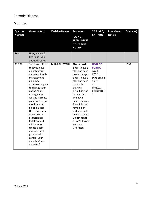## Chronic Disease

### Diabetes

| <b>Question</b> | <b>Question text</b>                                                                                                                                                                                                                                                                                                                                                                                                                     | <b>Variable Names</b> | <b>Responses</b>                                                                                                                                                                                                                                                                                                     | <b>SKIP INFO/</b>                                                                                                                     | <b>Interviewer</b> | Column(s) |
|-----------------|------------------------------------------------------------------------------------------------------------------------------------------------------------------------------------------------------------------------------------------------------------------------------------------------------------------------------------------------------------------------------------------------------------------------------------------|-----------------------|----------------------------------------------------------------------------------------------------------------------------------------------------------------------------------------------------------------------------------------------------------------------------------------------------------------------|---------------------------------------------------------------------------------------------------------------------------------------|--------------------|-----------|
| <b>Number</b>   |                                                                                                                                                                                                                                                                                                                                                                                                                                          |                       | (DO NOT<br><b>READ UNLESS</b><br><b>OTHERWISE</b><br><b>NOTED)</b>                                                                                                                                                                                                                                                   | <b>CATI Note</b>                                                                                                                      | Note (s)           |           |
| <b>Text</b>     | Now, we would                                                                                                                                                                                                                                                                                                                                                                                                                            |                       |                                                                                                                                                                                                                                                                                                                      |                                                                                                                                       |                    |           |
|                 | like to ask you                                                                                                                                                                                                                                                                                                                                                                                                                          |                       |                                                                                                                                                                                                                                                                                                                      |                                                                                                                                       |                    |           |
|                 | about diabetes.                                                                                                                                                                                                                                                                                                                                                                                                                          |                       |                                                                                                                                                                                                                                                                                                                      |                                                                                                                                       |                    |           |
| <b>S12.01</b>   | You have told us<br>that you have<br>diabetes/pre-<br>diabetes. A self-<br>management<br>plan may<br>document a plan<br>to change your<br>eating habits,<br>manage your<br>weight, increase<br>your exercise, or<br>monitor your<br>blood glucose.<br>Has a doctor or<br>other health<br>professional<br><b>EVER</b> worked<br>with you to<br>create a self-<br>management<br>plan to help<br>control your<br>diabetes/pre-<br>diabetes? | <b>DIABSLFMGTPLN</b>  | Please read:<br>1 Yes, I have a<br>plan and have<br>made changes<br>2 Yes, I have a<br>plan and have<br>not made<br>changes<br>3 No, I do not<br>have a plan<br>and have<br>made changes<br>4 No, I do not<br>have a plan<br>and have not<br>made changes<br>Do not read:<br>7 Don't Know /<br>Not sure<br>9 Refused | <b>NOTE TO</b><br><b>PORTIA:</b><br>Ask if<br>C06.11,<br><b>DIABETE3</b> is<br>1 or 4<br>or<br>M01.02,<br>PREDIAB1 is<br>$\mathbf{1}$ |                    | 1094      |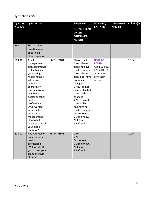## Hypertension

| <b>Question</b> | <b>Question text</b>                                                                                                                                                                                                                                                                                                                                      |                  | <b>Responses</b>                                                                                                                                                                                                                                                                                                        | <b>SKIP INFO/</b>                                                                                           | <b>Interviewer</b> | Column(s) |
|-----------------|-----------------------------------------------------------------------------------------------------------------------------------------------------------------------------------------------------------------------------------------------------------------------------------------------------------------------------------------------------------|------------------|-------------------------------------------------------------------------------------------------------------------------------------------------------------------------------------------------------------------------------------------------------------------------------------------------------------------------|-------------------------------------------------------------------------------------------------------------|--------------------|-----------|
| <b>Number</b>   |                                                                                                                                                                                                                                                                                                                                                           |                  | (DO NOT READ<br><b>UNLESS</b><br><b>OTHERWISE</b><br><b>NOTED)</b>                                                                                                                                                                                                                                                      | <b>CATI Note</b>                                                                                            | Note (s)           |           |
| <b>Text</b>     | The next few<br>questions ask<br>about high<br>blood pressure.                                                                                                                                                                                                                                                                                            |                  |                                                                                                                                                                                                                                                                                                                         |                                                                                                             |                    |           |
| S13.01          | A self-<br>management<br>plan documents<br>a plan to change<br>your eating<br>habits, reduce<br>salt intake,<br>increase<br>exercise, or<br>reduce alcohol<br>use. Has a<br>doctor or other<br>health<br>professional<br><b>EVER</b> worked<br>with you to<br>create a self-<br>management<br>plan to help<br>lower or control<br>your blood<br>pressure? | HBPSLFMGTPLN     | Please read:<br>1 Yes, I have a<br>plan and have<br>made changes<br>2 Yes, I have a<br>plan, but I have<br>not made<br>changes<br>3 No, I do not<br>have a plan but<br>have made<br>changes<br>4 No, I do not<br>have a plan<br>and have not<br>made changes<br>Do not read:<br>7 Don't Know /<br>Not Sure<br>9 Refused | <b>NOTE TO</b><br><b>PORTIA:</b><br>Ask if C04.01,<br>BPHIGH4 is 1.<br>Otherwise,<br>go to next<br>section. |                    | 1095      |
| S13.02          | Has your doctor,<br>nurse, or other<br>health<br>professional<br><b>EVER ADVISED</b><br>you to take your<br>blood pressure<br>at home?                                                                                                                                                                                                                    | <b>HBPMSRHME</b> | 1 Yes<br>2 No<br>Do not read:<br>7 Don't know /<br>Not sure<br>9 Refused                                                                                                                                                                                                                                                |                                                                                                             |                    | 1096      |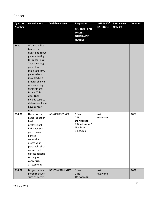# Cancer

| <b>Question</b> | <b>Question text</b>                                                                                                                                                                                                                                                                                                         | <b>Variable Names</b>  | <b>Responses</b>                                                         | <b>SKIP INFO/</b> | <b>Interviewer</b> | Column(s) |
|-----------------|------------------------------------------------------------------------------------------------------------------------------------------------------------------------------------------------------------------------------------------------------------------------------------------------------------------------------|------------------------|--------------------------------------------------------------------------|-------------------|--------------------|-----------|
| <b>Number</b>   |                                                                                                                                                                                                                                                                                                                              |                        | (DO NOT READ<br><b>UNLESS</b><br><b>OTHERWISE</b><br><b>NOTED)</b>       | <b>CATI Note</b>  | Note (s)           |           |
| <b>Text</b>     | We would like<br>to ask you<br>questions about<br>genetic testing<br>for cancer risk.<br>That is testing<br>your blood to<br>see if you carry<br>genes which<br>may predict a<br>greater chance<br>of developing<br>cancer in the<br>future. This<br>does NOT<br>include tests to<br>determine if you<br>have cancer<br>now. |                        |                                                                          |                   |                    |           |
| S14.01          | Has a doctor,<br>nurse, or other<br>health<br>professional<br><b>EVER</b> advised<br>you to see a<br>genetic<br>counselor to<br>assess your<br>personal risk of<br>cancer, or to<br>discuss genetic<br>testing for<br>cancer risk<br>assessment?                                                                             | ADVGENTSTCNCR          | 1 Yes<br>2 No<br>Do not read:<br>7 Don't Know /<br>Not Sure<br>9 Refused | Ask<br>everyone   |                    | 1097      |
| S14.02          | Do you have any<br>blood relatives<br>such as parents,                                                                                                                                                                                                                                                                       | <b>BRSTCNCRFMLYHST</b> | 1 Yes<br>$2$ No<br>Do not read:                                          | Ask<br>everyone   |                    | 1098      |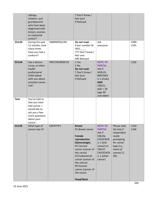| S14.03      | siblings,<br>children, and<br>grandparents<br>who have been<br>diagnosed with<br>breast, ovarian,<br>or colorectal<br>cancer?<br>During the past<br>12 months, how<br>many times<br>have you had a | SNBRNFRQ12M           | 7 Don't Know /<br>Not Sure<br>9 Refused<br>Do not read:<br>Enter number (0-<br>$365)$ _ _ _<br>777 Don't know /                                                                                                                                            | Ask<br>everyone                                                                                                                                              |                                                                                                                                  | 1099-<br>1101 |
|-------------|----------------------------------------------------------------------------------------------------------------------------------------------------------------------------------------------------|-----------------------|------------------------------------------------------------------------------------------------------------------------------------------------------------------------------------------------------------------------------------------------------------|--------------------------------------------------------------------------------------------------------------------------------------------------------------|----------------------------------------------------------------------------------------------------------------------------------|---------------|
| S14.04      | sunburn?<br>Has a doctor,<br>nurse, or other                                                                                                                                                       | <b>PRSTCNCRRSKTLK</b> | Not sure<br>999 Refused<br>1 Yes<br>$2$ No                                                                                                                                                                                                                 | <b>NOTE TO</b><br><b>PORTIA:</b>                                                                                                                             |                                                                                                                                  | 1102          |
|             | health<br>professional<br><b>EVER talked</b><br>with you about<br>prostate cancer<br>risk?                                                                                                         |                       | Do not read:<br>7 Don't Know /<br>Not Sure<br>9 Refused                                                                                                                                                                                                    | Ask if<br>M28.01,<br><b>BIRTHSEX</b><br>is $1$ (male)<br><b>AND</b><br>C08.01,<br>AGE > 39<br>(age 40<br>and older)                                          |                                                                                                                                  |               |
| <b>Text</b> | You've told us<br>that you have<br>had cancer. I<br>would like to<br>ask you a few<br>more questions<br>about your<br>cancer.                                                                      |                       |                                                                                                                                                                                                                                                            |                                                                                                                                                              |                                                                                                                                  |               |
| S14.05      | What type of<br>cancer was it?                                                                                                                                                                     | CNCRTYP1              | <b>Breast</b><br>01 Breast cancer<br>Female<br>reproductive<br>(Gynecologic)<br>02 Cervical<br>cancer (cancer of<br>the cervix)<br>03 Endometrial<br>cancer (cancer of<br>the uterus)<br>04 Ovarian<br>cancer (cancer of<br>the ovary)<br><b>Head/Neck</b> | <b>NOTE TO</b><br><b>PORTIA:</b><br>Ask if<br>C06.06,<br><b>CHCSCNCR</b><br>is 1 (skin<br>cancer) or<br>C06.07,<br><b>CHCOCNCR</b><br>is 1 (other<br>cancer) | Please read<br>list only if<br>respondent<br>needs<br>prompting<br>for cancer<br>type (i.e.,<br>name of<br>cancer) [1-<br>$30$ : | 1103-<br>1104 |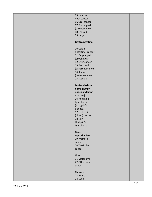|  | 05 Head and        |  |  |
|--|--------------------|--|--|
|  | neck cancer        |  |  |
|  | 06 Oral cancer     |  |  |
|  | 07 Pharyngeal      |  |  |
|  |                    |  |  |
|  | (throat) cancer    |  |  |
|  | 08 Thyroid         |  |  |
|  | 09 Larynx          |  |  |
|  |                    |  |  |
|  | Gastrointestinal   |  |  |
|  |                    |  |  |
|  |                    |  |  |
|  | 10 Colon           |  |  |
|  | (intestine) cancer |  |  |
|  | 11 Esophageal      |  |  |
|  | (esophagus)        |  |  |
|  | 12 Liver cancer    |  |  |
|  |                    |  |  |
|  | 13 Pancreatic      |  |  |
|  | (pancreas) cancer  |  |  |
|  | 14 Rectal          |  |  |
|  | (rectum) cancer    |  |  |
|  | 15 Stomach         |  |  |
|  |                    |  |  |
|  |                    |  |  |
|  | Leukemia/Lymp      |  |  |
|  | homa (lymph        |  |  |
|  | nodes and bone     |  |  |
|  | marrow)            |  |  |
|  | 16 Hodgkin's       |  |  |
|  |                    |  |  |
|  | Lymphoma           |  |  |
|  | (Hodgkin's         |  |  |
|  | disease)           |  |  |
|  | 17 Leukemia        |  |  |
|  | (blood) cancer     |  |  |
|  | 18 Non-            |  |  |
|  |                    |  |  |
|  | Hodgkin's          |  |  |
|  | Lymphoma           |  |  |
|  |                    |  |  |
|  | <b>Male</b>        |  |  |
|  | reproductive       |  |  |
|  | 19 Prostate        |  |  |
|  | cancer             |  |  |
|  |                    |  |  |
|  | 20 Testicular      |  |  |
|  | cancer             |  |  |
|  |                    |  |  |
|  | <b>Skin</b>        |  |  |
|  | 21 Melanoma        |  |  |
|  | 22 Other skin      |  |  |
|  |                    |  |  |
|  | cancer             |  |  |
|  |                    |  |  |
|  | <b>Thoracic</b>    |  |  |
|  | 23 Heart           |  |  |
|  | 24 Lung            |  |  |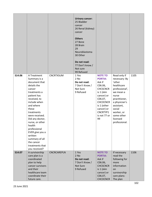|        |                                                                                                                                                                                                                                                                                                                                                              |             | <b>Urinary cancer:</b><br>25 Bladder<br>cancer<br>26 Renal (kidney)<br>cancer<br><b>Others</b><br>27 Bone<br>28 Brain<br>29<br>Neuroblastoma<br>30 Other<br>Do not read:<br>77 Don't know /<br>Not sure<br>99 Refused |                                                                                                                                                                                                   |                                                                                                                                                                                                                  |      |
|--------|--------------------------------------------------------------------------------------------------------------------------------------------------------------------------------------------------------------------------------------------------------------------------------------------------------------------------------------------------------------|-------------|-----------------------------------------------------------------------------------------------------------------------------------------------------------------------------------------------------------------------|---------------------------------------------------------------------------------------------------------------------------------------------------------------------------------------------------|------------------------------------------------------------------------------------------------------------------------------------------------------------------------------------------------------------------|------|
| S14.06 | A Treatment<br>Summary is a<br>document that<br>details the<br>cancer<br>treatments a<br>patient has<br>received, to<br>include when<br>and where<br>these<br>treatments<br>were received.<br>Did any doctor,<br>nurse, or other<br>health<br>professional<br>EVER give you a<br>written<br>summary of all<br>the cancer<br>treatments that<br>you received? | CNCRTXSUM   | 1 Yes<br>2 No<br>Do not read:<br>7 Don't Know /<br>Not Sure<br>9 Refused                                                                                                                                              | <b>NOTE TO</b><br><b>PORTIA:</b><br>Ask if<br>C06.06,<br><b>CHCSCNCR</b><br>is 1 (skin<br>cancer) or<br>C06.07,<br><b>CHCOCNCR</b><br>is 1 (other<br>cancer) or<br>CNCRTYP1<br>is not 77 or<br>99 | Read only if<br>necessary: By<br>'other<br>healthcare<br>professional',<br>we mean a<br>nurse<br>practitioner,<br>a physician's<br>assistant,<br>social<br>worker, or<br>some other<br>licensed<br>professional. | 1105 |
| S14.07 | A survivorship<br>care plan is a<br>coordinated<br>plan to help<br>cancer survivors<br>and their<br>healthcare team<br>coordinate their<br>future care.                                                                                                                                                                                                      | CNCRCAREPLN | 1 Yes<br>2 No<br>Do not read:<br>7 Don't Know /<br>Not Sure<br>9 Refused                                                                                                                                              | <b>NOTE TO</b><br><b>PORTIA:</b><br>Ask if<br>C06.06,<br><b>CHCSCNCR</b><br>is 1 (skin<br>cancer) or<br>C06.07,<br><b>CHCOCNCR</b>                                                                | If necessary<br>read the<br>following for<br>more<br>information<br>on<br>survivorship<br>care plans:<br>The plan                                                                                                | 1106 |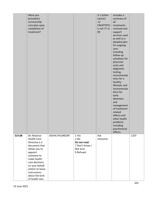|        | Were you<br>provided a<br>survivorship<br>care plan upon<br>completion of<br>treatment?                                                                                                                                                 |                |                                                                            | is 1 (other<br>cancer)<br>or<br>CNCRTYPE1<br>is not 77 or<br>99 | includes a<br>summary of<br>all<br>treatments<br>received and<br>support<br>services used<br>as well as a<br>detailed plan<br>for ongoing<br>care,<br>including<br>follow-up<br>schedules for<br>physician<br>visits and<br>diagnostic<br>testing,<br>recommenda<br>tions for a<br>healthy<br>lifestyle, and<br>recommenda<br>tions for<br>early<br>detection<br>and<br>management<br>of treatment-<br>related<br>effects and<br>other health<br>problems<br>including<br>psychosocial |      |
|--------|-----------------------------------------------------------------------------------------------------------------------------------------------------------------------------------------------------------------------------------------|----------------|----------------------------------------------------------------------------|-----------------------------------------------------------------|----------------------------------------------------------------------------------------------------------------------------------------------------------------------------------------------------------------------------------------------------------------------------------------------------------------------------------------------------------------------------------------------------------------------------------------------------------------------------------------|------|
| S14.08 | An Advance<br><b>Health Care</b><br>Directive is a<br>document that<br>allows you to<br>appoint<br>someone to<br>make health<br>care decisions<br>on your behalf<br>and/or to leave<br>instructions<br>about the kind<br>of health care | ADVHLTHCAREDIR | 1 Yes<br>$2$ No<br>Do not read:<br>7 Don't Know /<br>Not Sure<br>9 Refused | Ask<br>everyone                                                 | effects.                                                                                                                                                                                                                                                                                                                                                                                                                                                                               | 1107 |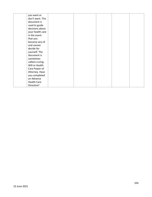| you want or        |  |  |  |
|--------------------|--|--|--|
| don't want. This   |  |  |  |
| document is        |  |  |  |
| used to guide      |  |  |  |
| decisions about    |  |  |  |
| your health care   |  |  |  |
| in the event       |  |  |  |
| that you           |  |  |  |
| become very ill    |  |  |  |
| and cannot         |  |  |  |
| decide for         |  |  |  |
| yourself. The      |  |  |  |
| document is        |  |  |  |
| sometimes          |  |  |  |
| called a Living    |  |  |  |
| Will or Health     |  |  |  |
| Care Power of      |  |  |  |
| Attorney. Have     |  |  |  |
| you completed      |  |  |  |
| an Advance         |  |  |  |
| <b>Health Care</b> |  |  |  |
| Directive?         |  |  |  |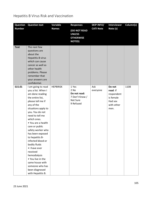## Hepatitis B Virus Risk and Vaccination

| <b>Question</b> | <b>Question text</b>                                                                                                                                                                                                                                                                                                                                                                                                                                                                    | Variable        | <b>Responses</b>                                                         | <b>SKIP INFO/</b> | <b>Interviewer</b>                                                             | Column(s) |
|-----------------|-----------------------------------------------------------------------------------------------------------------------------------------------------------------------------------------------------------------------------------------------------------------------------------------------------------------------------------------------------------------------------------------------------------------------------------------------------------------------------------------|-----------------|--------------------------------------------------------------------------|-------------------|--------------------------------------------------------------------------------|-----------|
| <b>Number</b>   |                                                                                                                                                                                                                                                                                                                                                                                                                                                                                         | <b>Names</b>    | (DO NOT READ<br><b>UNLESS</b><br><b>OTHERWISE</b><br><b>NOTED)</b>       | <b>CATI Note</b>  | Note (s)                                                                       |           |
| <b>Text</b>     | The next few<br>questions are<br>about the<br>Hepatitis-B virus<br>which can cause<br>cancer as well as<br>other health<br>problems. Please<br>remember that<br>your answers are<br>confidential.                                                                                                                                                                                                                                                                                       |                 |                                                                          |                   |                                                                                |           |
| S15.01          | I am going to read<br>you a list. When I<br>am done reading<br>the entire list,<br>please tell me if<br>any of the<br>situations apply to<br>you. You do not<br>need to tell me<br>which ones.<br>• You are a health<br>care or public<br>safety worker who<br>has been exposed<br>to hepatitis B-<br>infected blood or<br>bodily fluids<br>• I have ever<br>received<br>hemodialysis<br>• You live in the<br>same house with<br>someone who has<br>been diagnosed<br>with Hepatitis B. | <b>HEPBRISK</b> | 1 Yes<br>2 No<br>Do not read:<br>7 Don't Know /<br>Not Sure<br>9 Refused | Ask<br>everyone   | Do not<br>read: If<br>respondent<br>is female<br>Had sex<br>with other<br>men. | 1108      |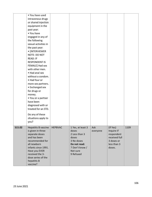|        | • You have used<br>intravenous drugs<br>or shared injection<br>equipment in the<br>past year.<br>• You have<br>engaged in any of<br>the following<br>sexual activities in<br>the past year:<br>• [INTERVIEWER<br>NOTE: DO NOT<br><b>READ: IF</b><br><b>RESPONDENT IS</b><br>FEMALE] Had sex<br>with other men.<br>• Had anal sex<br>without a condom.<br>• Had four or<br>more sex partners. |                |                                                                                                      |                 |                                                                                              |      |
|--------|----------------------------------------------------------------------------------------------------------------------------------------------------------------------------------------------------------------------------------------------------------------------------------------------------------------------------------------------------------------------------------------------|----------------|------------------------------------------------------------------------------------------------------|-----------------|----------------------------------------------------------------------------------------------|------|
| S15.02 | • Exchanged sex<br>for drugs or<br>money.<br>• You or a partner<br>have been<br>diagnosed with or<br>treated for an STD.<br>Do any of these<br>situations apply to<br>you?<br>Hepatitis B vaccine<br>is given in three<br>separate doses<br>and has been<br>recommended for<br>all newborn<br>infants since 1991.                                                                            | <b>HEPBVAC</b> | 1 Yes, at least 3<br>doses<br>2 Less than 3<br>doses<br>3 No doses<br>Do not read:<br>7 Don't know / | Ask<br>everyone | (If Yes)<br>Inquire if<br>respondent<br>received full<br>3 doses or<br>less than 3<br>doses. | 1109 |
|        | Have you EVER<br>received the 3-<br>dose series of the<br>hepatitis B<br>vaccine?                                                                                                                                                                                                                                                                                                            |                | Not sure<br>9 Refused                                                                                |                 |                                                                                              |      |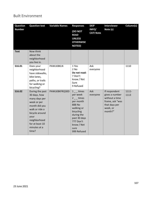## Built Environment

| <b>Question</b> | <b>Variable Names</b><br><b>Question text</b>                                                                                                                                            |                  | <b>Responses</b>                                                                                                                                                         | <b>SKIP</b>               | <b>Interviewer</b>                                                                                           | Column(s)        |
|-----------------|------------------------------------------------------------------------------------------------------------------------------------------------------------------------------------------|------------------|--------------------------------------------------------------------------------------------------------------------------------------------------------------------------|---------------------------|--------------------------------------------------------------------------------------------------------------|------------------|
| <b>Number</b>   |                                                                                                                                                                                          |                  | (DO NOT<br><b>READ</b><br><b>UNLESS</b><br><b>OTHERWISE</b><br><b>NOTED)</b>                                                                                             | INFO/<br><b>CATI Note</b> | Note (s)                                                                                                     |                  |
| <b>Text</b>     | Now think<br>about the<br>neighborhood<br>you live in.                                                                                                                                   |                  |                                                                                                                                                                          |                           |                                                                                                              |                  |
| S16.01          | Does your<br>neighborhood<br>have sidewalks,<br>bike lanes,<br>paths, or trails<br>for walking or<br>bicycling?                                                                          | <b>PAWLKBKLN</b> | 1 Yes<br>$2$ No<br>Do not read:<br>7 Don't<br>know / Not<br>Sure<br>9 Refused                                                                                            | Ask<br>everyone           |                                                                                                              | 1110             |
| S16.02          | During the past<br>30 days, how<br>many days per<br>week or per<br>month did you<br>walk or ride a<br>bicycle around<br>your<br>neighborhood<br>for at least 10<br>minutes at a<br>time? | PAWLKBKFRQ30D    | $1 -$ times<br>per week<br>$2 -$ times<br>per month<br>888 No<br>walking or<br>bicycling<br>during the<br>past 30 days<br>777 Don't<br>know / Not<br>sure<br>999 Refused | Ask<br>everyone           | If respondent<br>gives a number<br>without a time<br>frame, ask "was<br>that days per<br>week, or<br>month?" | $1111 -$<br>1113 |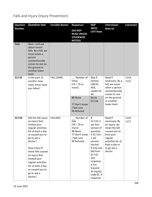| <b>Question</b><br><b>Number</b> | <b>Question text</b>                                                                                                                                                                                                                                                                                             | <b>Variable Names</b> | <b>Responses</b>                                                                                         | <b>SKIP</b><br>INFO/<br><b>CATI Note</b>                                                                                                                                                                                      | <b>Interviewer</b><br>Note (s)                                                                                                                                        | Column(s)     |
|----------------------------------|------------------------------------------------------------------------------------------------------------------------------------------------------------------------------------------------------------------------------------------------------------------------------------------------------------------|-----------------------|----------------------------------------------------------------------------------------------------------|-------------------------------------------------------------------------------------------------------------------------------------------------------------------------------------------------------------------------------|-----------------------------------------------------------------------------------------------------------------------------------------------------------------------|---------------|
|                                  |                                                                                                                                                                                                                                                                                                                  |                       | (DO NOT<br><b>READ UNLESS</b><br><b>OTHERWISE</b><br><b>NOTED)</b>                                       |                                                                                                                                                                                                                               |                                                                                                                                                                       |               |
| <b>Text</b>                      | Next, I will ask<br>about recent<br>falls. By a fall, we<br>mean when a<br>person<br>unintentionally<br>comes to rest on<br>the ground or<br>another lower<br>level.                                                                                                                                             |                       |                                                                                                          |                                                                                                                                                                                                                               |                                                                                                                                                                       |               |
| S17.01                           | In the past 12<br>months, how<br>many times have<br>you fallen?                                                                                                                                                                                                                                                  | FALL12MN              | _ _ Number of<br>times<br>$[76 = 76$ or<br>more]<br>88 None<br>77 Don't know<br>/ Not sure<br>99 Refused | Skip if<br>Section<br>C08.01,<br>AGE,<br>coded 18-<br>44<br>Go to<br>S17.04                                                                                                                                                   | Read if<br>necessary: By a<br>fall, we mean<br>when a person<br>unintentionally<br>comes to rest<br>on the ground<br>or another<br>lower level.                       | 1114-<br>1115 |
| S17.02                           | Did this fall cause<br>an injury that<br>limited your<br>regular activities<br>for at least a day<br>or caused you to<br>go to see a<br>doctor?<br>How many of<br>these falls caused<br>an injury that<br>limited your<br>regular activities<br>for at least a day<br>or caused you to<br>go to see a<br>doctor? | FALLINJ3              | _ _ Number of<br>falls<br>$76 = 76$ or<br>more]<br>88 None<br>77 Don't know<br>/ Not sure<br>99 Refused  | If<br>$S17.01=1$<br>ask first<br>version of<br>question,<br>if S17.01><br>1 ask<br>second<br>version.<br>If only one<br>fall from<br>S17.01<br>and<br>response<br>is Yes<br>(caused<br>an injury);<br>code 01. If<br>response | Read if<br>necessary: By<br>an injury, we<br>mean the fall<br>caused you to<br>limit your<br>regular<br>activities for at<br>least a day or<br>to go see a<br>doctor. | 1116-<br>1117 |

# Falls and Injury (Injury Prevention)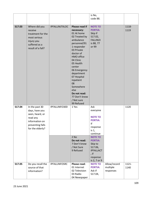|        |                                                                                                                           |                       |                                                                                                                                                                                                                                                                                                                                        | is No,<br>code 88.                                                                                                                                                                                             |                                       |               |
|--------|---------------------------------------------------------------------------------------------------------------------------|-----------------------|----------------------------------------------------------------------------------------------------------------------------------------------------------------------------------------------------------------------------------------------------------------------------------------------------------------------------------------|----------------------------------------------------------------------------------------------------------------------------------------------------------------------------------------------------------------|---------------------------------------|---------------|
|        |                                                                                                                           |                       |                                                                                                                                                                                                                                                                                                                                        |                                                                                                                                                                                                                |                                       |               |
| S17.03 | Where did you<br>receive<br>treatment for the<br>most serious<br>injury you<br>suffered as a<br>result of a fall?         | <b>IPFALLINJTXLOC</b> | Please read if<br>necessary:<br>01 At home<br>02 Treated by<br>ambulance<br>personnel/91<br>1 responder<br>03 Private<br>doctor of<br>HMO office<br>04 Clinic<br>05 Health<br>center<br>06 Emergency<br>department<br>07 Hospital<br>inpatient<br>08<br>Somewhere<br>else<br>Do not read:<br>77 Don't know<br>/ Not sure<br>99 Refused | <b>NOTE TO</b><br><b>PORTIA:</b><br>Skip if<br>S17.02,<br>FALLINJ3<br>is 88, 77<br>or 99                                                                                                                       |                                       | 1118-<br>1119 |
| S17.04 | In the past 30<br>days, have you<br>seen, heard, or<br>read any<br>information on<br>preventing falls<br>for the elderly? | IPFALLINFO30D         | 1 Yes<br>2 No<br>Do not read:<br>7 Don't know<br>/ Not Sure<br>9 Refused                                                                                                                                                                                                                                                               | Ask<br>everyone<br><b>NOTE TO</b><br><b>PORTIA:</b><br>If<br>response<br>is $1,$<br>continue<br><b>NOTE TO</b><br><b>PORTIA:</b><br>Skip to<br>S17.06,<br><b>IPFALLACT</b><br>, if<br>response<br>is 2, 7 or 9 |                                       | 1120          |
| S17.05 | Do you recall the<br>source of that<br>information?                                                                       | <b>IPFALLINFOSRC</b>  | Please read:<br>01 Internet<br>02 Television<br>03 Radio<br>04 Newspaper                                                                                                                                                                                                                                                               | <b>NOTE TO</b><br><b>PORTIA:</b><br>Ask if<br>S17.04,                                                                                                                                                          | Allow/record<br>multiple<br>responses | 1121-<br>1140 |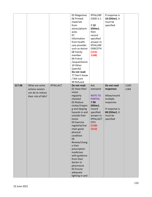|        |                                                                              |                  | 05 Magazines<br>06 Printed<br>materials<br>from<br>stores/pharm<br>acies<br>07<br>Information<br>from health<br>care provider<br>such as doctor<br>08 Family<br>member<br>09 Friend<br>/acquaintance<br>10 Other<br>(specify)<br>Do not read:<br>77 Don't know<br>/ Not sure<br>99 Refused                                                                                                              | <b>IPFALLINF</b><br>030D is 1<br>If $10$<br>(Other),<br>then<br>record<br>specified<br>answer in:<br><b>IPFALLINF</b><br><b>OSRCOTH</b><br>$(1141 -$<br>1168)                | If response is<br>10 (Other), it<br>must be<br>specified                                                                      |               |
|--------|------------------------------------------------------------------------------|------------------|---------------------------------------------------------------------------------------------------------------------------------------------------------------------------------------------------------------------------------------------------------------------------------------------------------------------------------------------------------------------------------------------------------|------------------------------------------------------------------------------------------------------------------------------------------------------------------------------|-------------------------------------------------------------------------------------------------------------------------------|---------------|
| S17.06 | What are some<br>actions seniors<br>can do to reduce<br>their risk of falls? | <b>IPFALLACT</b> | Do not read:<br>01 Have their<br>vision<br>regularly<br>checked<br>02 Reduce<br>clutter/trippin<br>g and slipping<br>hazards in and<br>outside their<br>home<br>03 Exercise<br>regularly/mai<br>ntain good<br>physical<br>condition<br>04<br>Review/chang<br>e their<br>prescription<br>medicines<br>with guidance<br>from their<br>doctor or<br>pharmacist<br>05 Ensure<br>adequate<br>lighting in and | Ask<br>everyone<br><b>NOTE TO</b><br><b>PORTIA:</b><br><b>If 08</b><br>(Other),<br>record<br>specified<br>answer in:<br><b>IPFALLACT</b><br><b>OTH</b><br>$(1185 -$<br>1212) | Do not read<br>responses<br>Allow/record<br>multiple<br>responses<br>If response is<br>08 (Other), it<br>must be<br>specified | 1169-<br>1184 |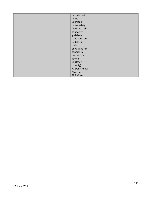|  | outside their    |  |  |
|--|------------------|--|--|
|  | home             |  |  |
|  | 06 Install       |  |  |
|  | home safety      |  |  |
|  | features such    |  |  |
|  | as shower        |  |  |
|  | grab bars,       |  |  |
|  | hand rails, etc. |  |  |
|  | 07 Consult       |  |  |
|  | their            |  |  |
|  | physicians for   |  |  |
|  | general fall     |  |  |
|  | prevention       |  |  |
|  | advice           |  |  |
|  | 08 Other         |  |  |
|  | (specify)        |  |  |
|  | 77 Don't know    |  |  |
|  | / Not sure       |  |  |
|  | 99 Refused       |  |  |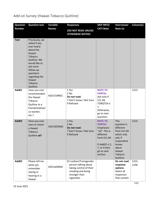## Add-on Survey (Hawaii Tobacco Quitline)

| <b>Question</b> | <b>Question text</b>                                                                                                                                                                                     | Variable         | <b>Responses</b>                                                                                                              | <b>SKIP INFO/</b>                                                                                                                                       | <b>Interviewer</b>                                                                                                                                | Column(s)     |
|-----------------|----------------------------------------------------------------------------------------------------------------------------------------------------------------------------------------------------------|------------------|-------------------------------------------------------------------------------------------------------------------------------|---------------------------------------------------------------------------------------------------------------------------------------------------------|---------------------------------------------------------------------------------------------------------------------------------------------------|---------------|
| <b>Number</b>   |                                                                                                                                                                                                          | <b>Names</b>     | (DO NOT READ UNLESS<br><b>OTHERWISE NOTED)</b>                                                                                | <b>CATI Note</b>                                                                                                                                        | Note (s)                                                                                                                                          |               |
| <b>Text</b>     | Previously, we<br>asked if you<br>ever heard<br>about the<br>Hawaii<br>Tobacco<br>Quitline. We<br>would like to<br>ask some<br>follow-up<br>questions<br>regarding the<br>Hawaii<br>Tobacco<br>Quitline. |                  |                                                                                                                               |                                                                                                                                                         |                                                                                                                                                   |               |
| Add01           | Have you ever<br>recommended<br>the Hawaii<br>Tobacco<br>Quitline to a<br>friend/relative/<br>co-worker,<br>etc.?                                                                                        | HQTLEVRREC       | 1 Yes<br>2 No<br>Do not read:<br>7 Don't know / Not Sure<br>9 Refused                                                         | <b>NOTE TO</b><br><b>PORTIA:</b><br>Ask only if<br>S11.04,<br><b>TOBQTLN is</b><br>1.<br>Otherwise,<br>go to next<br>question.                          |                                                                                                                                                   | 1213          |
| Add02           | Have you ever<br>seen or heard<br>a Hawaii<br>Tobacco<br>Quitline ad?                                                                                                                                    | HQTLSEENAD       | 1 Yes<br>2 No<br>Do not read:<br>7 Don't know / Not Sure<br>9 Refused                                                         | <b>NOTE TO</b><br><b>PORTIA:</b><br>Emphasize<br>"ad". This is<br>different<br>from S11.04.<br>If Add02 is 2,<br>7, or 9 then<br>go to next<br>section. | <b>This</b><br>question is<br>different<br>from S11.04<br>which only<br>asks if<br>respondent<br>knows<br>about<br>Hawaii<br>Tobacco<br>Quitline. | 1214          |
| Add03           | Please tell me<br>what you<br>remember<br>seeing or<br>hearing in a<br>Hawaii                                                                                                                            | <b>HQTLADREM</b> | 01 Lesbian/Transgender<br>person talking about<br>taking control of their<br>smoking and being<br>stronger than<br>cigarettes |                                                                                                                                                         | Do not read<br>response<br>options.<br>Select all<br>responses<br>that contain                                                                    | 1215-<br>1238 |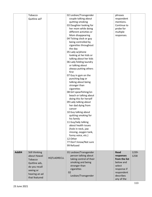|       | Tobacco        |             | 02 Lesbian/Transgender  | phrases       |       |
|-------|----------------|-------------|-------------------------|---------------|-------|
|       | Quitline ad?   |             | couple talking about    | respondent    |       |
|       |                |             | quitting smoking        | mentions.     |       |
|       |                |             | 03 Daughter looking for | Continue to   |       |
|       |                |             | her mom while doing     | probe for     |       |
|       |                |             | different activities or | multiple      |       |
|       |                |             | Mom disappearing        |               |       |
|       |                |             |                         | responses.    |       |
|       |                |             | 04 Ticking clock or guy |               |       |
|       |                |             | being controlled by     |               |       |
|       |                |             | cigarettes throughout   |               |       |
|       |                |             | the day                 |               |       |
|       |                |             | 05 Lady w/phone         |               |       |
|       |                |             | looking at her kids or  |               |       |
|       |                |             | talking about her kids  |               |       |
|       |                |             | 06 Lady folding laundry |               |       |
|       |                |             | or talking about        |               |       |
|       |                |             | always putting others   |               |       |
|       |                |             | first                   |               |       |
|       |                |             | 07 Guy in gym on the    |               |       |
|       |                |             | punching bag or         |               |       |
|       |                |             | talking about being     |               |       |
|       |                |             | stronger than           |               |       |
|       |                |             | cigarettes              |               |       |
|       |                |             | 08 Girl spearfishing/on |               |       |
|       |                |             | beach or talking about  |               |       |
|       |                |             |                         |               |       |
|       |                |             | doing this for herself  |               |       |
|       |                |             | 09 Lady talking about   |               |       |
|       |                |             | her dad dying from      |               |       |
|       |                |             | cancer                  |               |       |
|       |                |             | 10 Guy talking about    |               |       |
|       |                |             | quitting smoking for    |               |       |
|       |                |             | his family              |               |       |
|       |                |             | 11 Guy/lady talking     |               |       |
|       |                |             | about health issues     |               |       |
|       |                |             | (hole in neck, jaw      |               |       |
|       |                |             | missing, oxygen tank,   |               |       |
|       |                |             | funny voice, etc.)      |               |       |
|       |                |             | 12 Other                |               |       |
|       |                |             | 77 Don't know/Not sure  |               |       |
|       |                |             | 99 Refused              |               |       |
|       |                |             |                         |               |       |
| Add04 | Still thinking |             | 01 Lesbian/Transgender  | <b>Read</b>   | 1239- |
|       | about Hawaii   |             | person talking about    | responses     | 1258  |
|       |                | HQTLADRECLL | taking control of their | from the list |       |
|       | Tobacco        |             | smoking and being       | below and     |       |
|       | Quitline ads,  |             | stronger than           | select        |       |
|       | do you recall  |             |                         |               |       |
|       | seeing or      |             | cigarettes              | response if   |       |
|       | hearing an ad  |             | 02                      | respondent    |       |
|       | that featured  |             | Lesbian/Transgender     | describes     |       |
|       |                |             |                         | any of the    |       |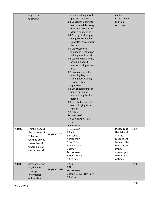|       | any of the      |                   | couple talking about       | choices            |      |
|-------|-----------------|-------------------|----------------------------|--------------------|------|
|       | following:      |                   | quitting smoking           | listed. Allow      |      |
|       |                 |                   | 03 Daughter looking for    | multiple           |      |
|       |                 |                   | her mom while doing        | responses.         |      |
|       |                 |                   | different activities or    |                    |      |
|       |                 |                   | Mom disappearing           |                    |      |
|       |                 |                   | 04 Ticking clock or guy    |                    |      |
|       |                 |                   | being controlled by        |                    |      |
|       |                 |                   | cigarettes throughout      |                    |      |
|       |                 |                   | the day                    |                    |      |
|       |                 |                   | 05 Lady w/phone            |                    |      |
|       |                 |                   | looking at her kids or     |                    |      |
|       |                 |                   | talking about her kids     |                    |      |
|       |                 |                   | 06 Lady folding laundry    |                    |      |
|       |                 |                   | or talking about           |                    |      |
|       |                 |                   | always putting others      |                    |      |
|       |                 |                   | first                      |                    |      |
|       |                 |                   | 07 Guy in gym on the       |                    |      |
|       |                 |                   | punching bag or            |                    |      |
|       |                 |                   | talking about being        |                    |      |
|       |                 |                   | stronger than              |                    |      |
|       |                 |                   | cigarettes                 |                    |      |
|       |                 |                   | 08 Girl spearfishing/on    |                    |      |
|       |                 |                   | beach or talking           |                    |      |
|       |                 |                   | about doing this for       |                    |      |
|       |                 |                   | herself                    |                    |      |
|       |                 |                   | 09 Lady talking about      |                    |      |
|       |                 |                   | her dad dying from         |                    |      |
|       |                 |                   | cancer                     |                    |      |
|       |                 |                   | 10 Other                   |                    |      |
|       |                 |                   | Do not read:               |                    |      |
|       |                 |                   | 77 Don't know/Not          |                    |      |
|       |                 |                   | sure                       |                    |      |
| Add05 | Thinking about  |                   | 99 Refused<br>1 Television | <b>Please read</b> | 1259 |
|       | the last Hawaii |                   | 2 Radio                    | the list and       |      |
|       | Tobacco         | <b>HQTLADLOC</b>  | 3 Facebook                 | ask the            |      |
|       |                 |                   | 4 Instagram                | respondent         |      |
|       | Quitline ad you |                   | 5 YouTube                  | to select the      |      |
|       | saw or heard,   |                   | 6 Online search            | most recent        |      |
|       | where did you   |                   | 7 Other                    | if they            |      |
|       | see or hear it? |                   | Do not read:               | answer yes         |      |
|       |                 |                   | 8 Don't know               | to multiple        |      |
|       |                 |                   | 9 Refused                  | options.           |      |
| Add06 | After seeing an |                   | 1 Yes                      |                    | 1260 |
|       | ad, did you     |                   | 2 No                       |                    |      |
|       | look up         | <b>HQTLADLKUP</b> | Do not read:               |                    |      |
|       | information     |                   | 7 Don't know / Not Sure    |                    |      |
|       | online about    |                   | 9 Refused                  |                    |      |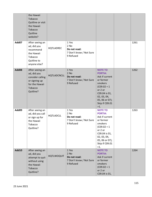|              | the Hawaii<br>Tobacco<br>Quitline or visit<br>the Hawaii<br>Tobacco<br>Quitline<br>website?                   |                    |                                                                         |                                                                                                                                                                                       |      |
|--------------|---------------------------------------------------------------------------------------------------------------|--------------------|-------------------------------------------------------------------------|---------------------------------------------------------------------------------------------------------------------------------------------------------------------------------------|------|
| Add07        | After seeing an<br>ad, did you<br>recommend<br>the Hawaii<br>Tobacco<br>Quitline to<br>anyone else?           | HQTLADREC          | 1 Yes<br>2 No<br>Do not read:<br>7 Don't know / Not Sure<br>9 Refused   |                                                                                                                                                                                       | 1261 |
| Add08        | After seeing an<br>ad, did you<br>consider calling<br>or signing up<br>for the Hawaii<br>Tobacco<br>Quitline? | <b>HQTLADCNCLL</b> | 1 Yes<br>$2$ No<br>Do not read:<br>7 Don't know / Not Sure<br>9 Refused | <b>NOTE TO</b><br><b>PORTIA:</b><br>Ask if current<br>or former<br>smokers<br>$(C09.02 = 1)$<br>or 2 or<br>C09.04 is 01,<br>02, 03, 04,<br>05, 06 or 07);<br>Skip if C09.01<br>$>1$ . | 1262 |
| Add09        | After seeing an<br>ad, did you call<br>or sign up for<br>the Hawaii<br>Tobacco<br>Quitline?                   | <b>HQTLADCLL</b>   | 1 Yes<br>2 No<br>Do not read:<br>7 Don't know / Not Sure<br>9 Refused   | <b>NOTE TO</b><br><b>PORTIA:</b><br>Ask if current<br>or former<br>smokers<br>$(C09.02 = 1)$<br>or 2 or<br>C09.04 is 01,<br>02, 03, 04,<br>05, 06 or 07);<br>Skip if C09.01<br>$>1$ . | 1263 |
| <b>Add10</b> | After seeing an<br>ad, did you<br>attempt to quit<br>without using<br>the Hawaii<br>Tobacco<br>Quitline?      | <b>HQTLWOQUIT</b>  | 1 Yes<br>2 No<br>Do not read:<br>7 Don't know / Not Sure<br>9 Refused   | <b>NOTE TO</b><br><b>PORTIA:</b><br>Ask if current<br>or former<br>smokers<br>$(C09.02 = 1)$<br>or 2 or<br>C09.04 is 01,                                                              | 1264 |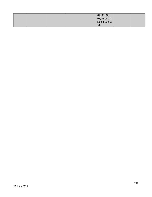|  |  | 02, 03, 04,<br>05, 06 or 07);<br>Skip if C09.01 |  |
|--|--|-------------------------------------------------|--|
|  |  |                                                 |  |
|  |  | ╱⊥.                                             |  |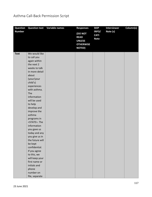## Asthma Call-Back Permission Script

| Question      | <b>Question text</b> | <b>Variable names</b> | <b>Responses</b>                                                             | <b>SKIP</b>                         | <b>Interviewer</b> | Column(s) |
|---------------|----------------------|-----------------------|------------------------------------------------------------------------------|-------------------------------------|--------------------|-----------|
| <b>Number</b> |                      |                       | (DO NOT<br><b>READ</b><br><b>UNLESS</b><br><b>OTHERWISE</b><br><b>NOTED)</b> | INFO/<br><b>CATI</b><br><b>Note</b> | Note (s)           |           |
| <b>Text</b>   | We would like        |                       |                                                                              |                                     |                    |           |
|               | to call you          |                       |                                                                              |                                     |                    |           |
|               | again within         |                       |                                                                              |                                     |                    |           |
|               | the next 2           |                       |                                                                              |                                     |                    |           |
|               | weeks to talk        |                       |                                                                              |                                     |                    |           |
|               | in more detail       |                       |                                                                              |                                     |                    |           |
|               | about                |                       |                                                                              |                                     |                    |           |
|               | (your/your           |                       |                                                                              |                                     |                    |           |
|               | child's)             |                       |                                                                              |                                     |                    |           |
|               | experiences          |                       |                                                                              |                                     |                    |           |
|               | with asthma.         |                       |                                                                              |                                     |                    |           |
|               | The                  |                       |                                                                              |                                     |                    |           |
|               | information          |                       |                                                                              |                                     |                    |           |
|               | will be used         |                       |                                                                              |                                     |                    |           |
|               | to help              |                       |                                                                              |                                     |                    |           |
|               | develop and          |                       |                                                                              |                                     |                    |           |
|               | improve the          |                       |                                                                              |                                     |                    |           |
|               | asthma               |                       |                                                                              |                                     |                    |           |
|               | programs in          |                       |                                                                              |                                     |                    |           |
|               | <state>. The</state> |                       |                                                                              |                                     |                    |           |
|               | information          |                       |                                                                              |                                     |                    |           |
|               | you gave us          |                       |                                                                              |                                     |                    |           |
|               | today and any        |                       |                                                                              |                                     |                    |           |
|               | you give us in       |                       |                                                                              |                                     |                    |           |
|               | the future will      |                       |                                                                              |                                     |                    |           |
|               | be kept              |                       |                                                                              |                                     |                    |           |
|               | confidential.        |                       |                                                                              |                                     |                    |           |
|               | If you agree         |                       |                                                                              |                                     |                    |           |
|               | to this, we          |                       |                                                                              |                                     |                    |           |
|               | will keep your       |                       |                                                                              |                                     |                    |           |
|               | first name or        |                       |                                                                              |                                     |                    |           |
|               | initials and         |                       |                                                                              |                                     |                    |           |
|               | phone                |                       |                                                                              |                                     |                    |           |
|               | number on            |                       |                                                                              |                                     |                    |           |
|               | file, separate       |                       |                                                                              |                                     |                    |           |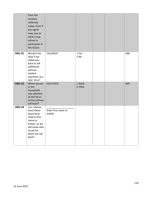|         | from the<br>answers<br>collected<br>today. Even if<br>you agree<br>now, you or<br>others may<br>refuse to<br>participate in<br>the future.        |                                  |                    |  |     |
|---------|---------------------------------------------------------------------------------------------------------------------------------------------------|----------------------------------|--------------------|--|-----|
| CB01.01 | Would it be<br>okay if we<br>called you<br>back to ask<br>additional<br>asthma-<br>related<br>questions at a<br>later time?                       | CALLBACK                         | 1 Yes<br>2 No      |  | 668 |
| CB01.02 | Which person<br>in the<br>household<br>was selected<br>as the focus<br>of the asthma<br>call-back?                                                | <b>ADLTCHLD</b>                  | 1 Adult<br>2 Child |  | 669 |
| CB01.03 | Can I please<br>have either<br>(your/your<br>child's) first<br>name or<br>initials, so we<br>will know who<br>to ask for<br>when we call<br>back? | Enter first name or<br>initials. |                    |  |     |